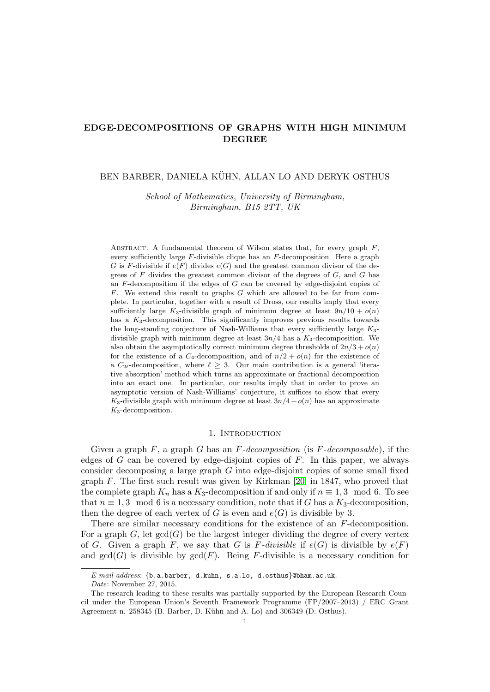# EDGE-DECOMPOSITIONS OF GRAPHS WITH HIGH MINIMUM DEGREE

## BEN BARBER, DANIELA KÜHN, ALLAN LO AND DERYK OSTHUS

School of Mathematics, University of Birmingham, Birmingham, B15 2TT, UK

ABSTRACT. A fundamental theorem of Wilson states that, for every graph  $F$ , every sufficiently large  $F$ -divisible clique has an  $F$ -decomposition. Here a graph G is F-divisible if  $e(F)$  divides  $e(G)$  and the greatest common divisor of the degrees of  $F$  divides the greatest common divisor of the degrees of  $G$ , and  $G$  has an  $F$ -decomposition if the edges of  $G$  can be covered by edge-disjoint copies of  $F$ . We extend this result to graphs  $G$  which are allowed to be far from complete. In particular, together with a result of Dross, our results imply that every sufficiently large K<sub>3</sub>-divisible graph of minimum degree at least  $9n/10 + o(n)$ has a  $K_3$ -decomposition. This significantly improves previous results towards the long-standing conjecture of Nash-Williams that every sufficiently large  $K_3$ divisible graph with minimum degree at least  $3n/4$  has a  $K_3$ -decomposition. We also obtain the asymptotically correct minimum degree thresholds of  $2n/3 + o(n)$ for the existence of a  $C_4$ -decomposition, and of  $n/2 + o(n)$  for the existence of a  $C_{2\ell}$ -decomposition, where  $\ell \geq 3$ . Our main contribution is a general 'iterative absorption' method which turns an approximate or fractional decomposition into an exact one. In particular, our results imply that in order to prove an asymptotic version of Nash-Williams' conjecture, it suffices to show that every K<sub>3</sub>-divisible graph with minimum degree at least  $3n/4 + o(n)$  has an approximate  $K_3$ -decomposition.

#### 1. Introduction

Given a graph F, a graph G has an  $F-decomposition$  (is  $F-decomposition$ ), if the edges of  $G$  can be covered by edge-disjoint copies of  $F$ . In this paper, we always consider decomposing a large graph  $G$  into edge-disjoint copies of some small fixed graph  $F$ . The first such result was given by Kirkman [\[20\]](#page-39-0) in 1847, who proved that the complete graph  $K_n$  has a  $K_3$ -decomposition if and only if  $n \equiv 1, 3 \mod 6$ . To see that  $n \equiv 1, 3 \mod 6$  is a necessary condition, note that if G has a  $K_3$ -decomposition, then the degree of each vertex of G is even and  $e(G)$  is divisible by 3.

There are similar necessary conditions for the existence of an F-decomposition. For a graph  $G$ , let  $gcd(G)$  be the largest integer dividing the degree of every vertex of G. Given a graph F, we say that G is F-divisible if  $e(G)$  is divisible by  $e(F)$ and  $gcd(G)$  is divisible by  $gcd(F)$ . Being F-divisible is a necessary condition for

E-mail address:  $\{b.a.barber, d.kuhn, s.a.lo, d.osthus\}$ @bham.ac.uk.

Date: November 27, 2015.

The research leading to these results was partially supported by the European Research Council under the European Union's Seventh Framework Programme (FP/2007–2013) / ERC Grant Agreement n. 258345 (B. Barber, D. Kühn and A. Lo) and 306349 (D. Osthus).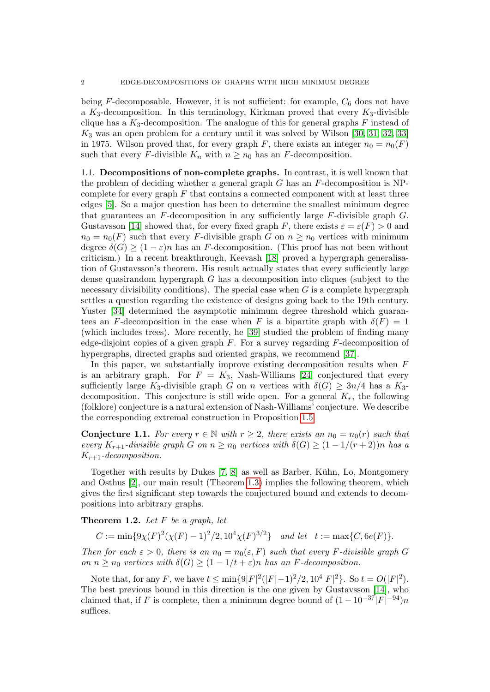being  $F$ -decomposable. However, it is not sufficient: for example,  $C_6$  does not have a  $K_3$ -decomposition. In this terminology, Kirkman proved that every  $K_3$ -divisible clique has a  $K_3$ -decomposition. The analogue of this for general graphs  $F$  instead of  $K_3$  was an open problem for a century until it was solved by Wilson [\[30,](#page-39-1) [31,](#page-39-2) [32,](#page-39-3) [33\]](#page-39-4) in 1975. Wilson proved that, for every graph F, there exists an integer  $n_0 = n_0(F)$ such that every F-divisible  $K_n$  with  $n \geq n_0$  has an F-decomposition.

1.1. Decompositions of non-complete graphs. In contrast, it is well known that the problem of deciding whether a general graph  $G$  has an  $F$ -decomposition is NPcomplete for every graph  $F$  that contains a connected component with at least three edges [\[5\]](#page-38-0). So a major question has been to determine the smallest minimum degree that guarantees an  $F$ -decomposition in any sufficiently large  $F$ -divisible graph  $G$ . Gustavsson [\[14\]](#page-39-5) showed that, for every fixed graph F, there exists  $\varepsilon = \varepsilon(F) > 0$  and  $n_0 = n_0(F)$  such that every F-divisible graph G on  $n \geq n_0$  vertices with minimum degree  $\delta(G) \geq (1 - \varepsilon)n$  has an F-decomposition. (This proof has not been without criticism.) In a recent breakthrough, Keevash [\[18\]](#page-39-6) proved a hypergraph generalisation of Gustavsson's theorem. His result actually states that every sufficiently large dense quasirandom hypergraph  $G$  has a decomposition into cliques (subject to the necessary divisibility conditions). The special case when  $G$  is a complete hypergraph settles a question regarding the existence of designs going back to the 19th century. Yuster [\[34\]](#page-39-7) determined the asymptotic minimum degree threshold which guarantees an F-decomposition in the case when F is a bipartite graph with  $\delta(F) = 1$ (which includes trees). More recently, he [\[39\]](#page-40-0) studied the problem of finding many edge-disjoint copies of a given graph  $F$ . For a survey regarding  $F$ -decomposition of hypergraphs, directed graphs and oriented graphs, we recommend [\[37\]](#page-40-1).

In this paper, we substantially improve existing decomposition results when F is an arbitrary graph. For  $F = K_3$ , Nash-Williams [\[24\]](#page-39-8) conjectured that every sufficiently large K<sub>3</sub>-divisible graph G on n vertices with  $\delta(G) \geq 3n/4$  has a K<sub>3</sub>decomposition. This conjecture is still wide open. For a general  $K_r$ , the following (folklore) conjecture is a natural extension of Nash-Williams' conjecture. We describe the corresponding extremal construction in Proposition [1.5.](#page-3-0)

<span id="page-1-1"></span>**Conjecture 1.1.** For every  $r \in \mathbb{N}$  with  $r \geq 2$ , there exists an  $n_0 = n_0(r)$  such that every  $K_{r+1}$ -divisible graph G on  $n \geq n_0$  vertices with  $\delta(G) \geq (1 - 1/(r+2))n$  has a  $K_{r+1}$ -decomposition.

Together with results by Dukes [\[7,](#page-38-1) [8\]](#page-39-9) as well as Barber, Kühn, Lo, Montgomery and Osthus [\[2\]](#page-38-2), our main result (Theorem [1.3\)](#page-2-0) implies the following theorem, which gives the first significant step towards the conjectured bound and extends to decompositions into arbitrary graphs.

<span id="page-1-0"></span>**Theorem 1.2.** Let  $F$  be a graph, let

 $C := \min\{9\chi(F)^2(\chi(F) - 1)^2/2, 10^4\chi(F)^{3/2}\}\$ and let  $t := \max\{C, 6e(F)\}.$ 

Then for each  $\varepsilon > 0$ , there is an  $n_0 = n_0(\varepsilon, F)$  such that every F-divisible graph G on  $n > n_0$  vertices with  $\delta(G) > (1 - 1/t + \varepsilon)n$  has an F-decomposition.

Note that, for any F, we have  $t \le \min\{9|F|^2(|F|-1)^2/2, 10^4|F|^2\}$ . So  $t = O(|F|^2)$ . The best previous bound in this direction is the one given by Gustavsson [\[14\]](#page-39-5), who claimed that, if F is complete, then a minimum degree bound of  $(1 - 10^{-37}|F|^{-94})n$ suffices.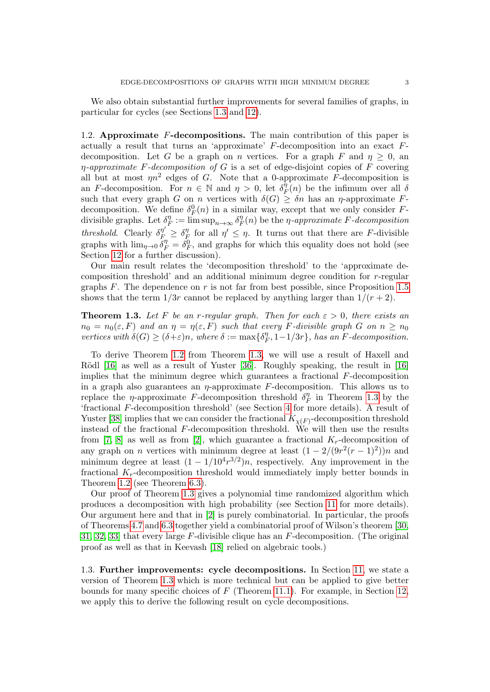We also obtain substantial further improvements for several families of graphs, in particular for cycles (see Sections [1.3](#page-2-1) and [12\)](#page-35-0).

1.2. Approximate  $F$ -decompositions. The main contribution of this paper is actually a result that turns an 'approximate'  $F$ -decomposition into an exact  $F$ decomposition. Let G be a graph on n vertices. For a graph F and  $\eta \geq 0$ , and  $\eta$ -approximate F-decomposition of G is a set of edge-disjoint copies of F covering all but at most  $\eta n^2$  edges of G. Note that a 0-approximate F-decomposition is an F-decomposition. For  $n \in \mathbb{N}$  and  $\eta > 0$ , let  $\delta_R^{\eta}$  $\int_F^{\eta}(n)$  be the infimum over all  $\delta$ such that every graph G on n vertices with  $\delta(G) \geq \delta n$  has an  $\eta$ -approximate Fdecomposition. We define  $\delta_F^0(n)$  in a similar way, except that we only consider Fdivisible graphs. Let  $\delta_{\mu}^{\eta}$  $\eta_F^n := \limsup_{n \to \infty} \delta_H^\eta$  $F_F^{\eta}(n)$  be the  $\eta$ -approximate F-decomposition threshold. Clearly  $\delta_{F_n}^{\eta'} \geq \delta_{F_n}^{\eta'}$  $\eta \atop F$  for all  $\eta' \leq \eta$ . It turns out that there are F-divisible graphs with  $\lim_{\eta\to 0} \delta_F^{\eta} = \delta_F^0$ , and graphs for which this equality does not hold (see Section [12](#page-35-0) for a further discussion).

Our main result relates the 'decomposition threshold' to the 'approximate decomposition threshold' and an additional minimum degree condition for r-regular graphs  $F$ . The dependence on  $r$  is not far from best possible, since Proposition [1.5](#page-3-0) shows that the term  $1/3r$  cannot be replaced by anything larger than  $1/(r+2)$ .

<span id="page-2-0"></span>**Theorem 1.3.** Let F be an r-regular graph. Then for each  $\varepsilon > 0$ , there exists an  $n_0 = n_0(\varepsilon, F)$  and an  $\eta = \eta(\varepsilon, F)$  such that every F-divisible graph G on  $n \geq n_0$ vertices with  $\delta(G) \geq (\delta + \varepsilon)n$ , where  $\delta := \max\{\delta_R^{\eta}$  $\binom{\eta}{F}, 1-1/3r\},\ has\ an\ F\hbox{-}decomposition.$ 

To derive Theorem [1.2](#page-1-0) from Theorem [1.3,](#page-2-0) we will use a result of Haxell and Rödl  $[16]$  as well as a result of Yuster  $[36]$ . Roughly speaking, the result in  $[16]$ implies that the minimum degree which guarantees a fractional  $F$ -decomposition in a graph also guarantees an  $\eta$ -approximate F-decomposition. This allows us to replace the *η*-approximate F-decomposition threshold  $\delta_{R}^{\eta}$  $T_F^{\eta}$  in Theorem [1.3](#page-2-0) by the 'fractional F-decomposition threshold' (see Section [4](#page-6-0) for more details). A result of Yuster [\[38\]](#page-40-3) implies that we can consider the fractional  $K_{\chi(F)}$ -decomposition threshold instead of the fractional  $F$ -decomposition threshold. We will then use the results from [\[7,](#page-38-1) [8\]](#page-39-9) as well as from [\[2\]](#page-38-2), which guarantee a fractional  $K_r$ -decomposition of any graph on *n* vertices with minimum degree at least  $(1 - 2/(9r^2(r-1)^2))n$  and minimum degree at least  $(1 - 1/10^4 r^{3/2})n$ , respectively. Any improvement in the fractional  $K_r$ -decomposition threshold would immediately imply better bounds in Theorem [1.2](#page-1-0) (see Theorem [6.3\)](#page-12-0).

Our proof of Theorem [1.3](#page-2-0) gives a polynomial time randomized algorithm which produces a decomposition with high probability (see Section [11](#page-34-0) for more details). Our argument here and that in [\[2\]](#page-38-2) is purely combinatorial. In particular, the proofs of Theorems [4.7](#page-7-0) and [6.3](#page-12-0) together yield a combinatorial proof of Wilson's theorem [\[30,](#page-39-1) [31,](#page-39-2) [32,](#page-39-3) [33\]](#page-39-4) that every large F-divisible clique has an F-decomposition. (The original proof as well as that in Keevash [\[18\]](#page-39-6) relied on algebraic tools.)

<span id="page-2-1"></span>1.3. Further improvements: cycle decompositions. In Section [11,](#page-34-0) we state a version of Theorem [1.3](#page-2-0) which is more technical but can be applied to give better bounds for many specific choices of  $F$  (Theorem [11.1\)](#page-35-1). For example, in Section [12,](#page-35-0) we apply this to derive the following result on cycle decompositions.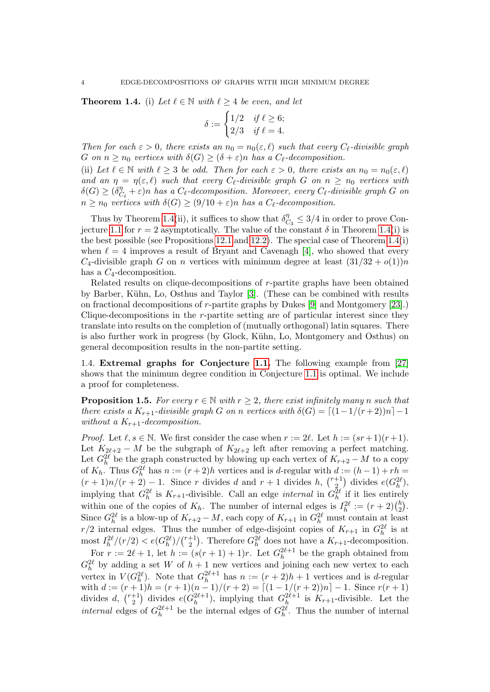<span id="page-3-1"></span>**Theorem 1.4.** (i) Let  $\ell \in \mathbb{N}$  with  $\ell \geq 4$  be even, and let

$$
\delta := \begin{cases} 1/2 & \text{if } \ell \ge 6; \\ 2/3 & \text{if } \ell = 4. \end{cases}
$$

Then for each  $\varepsilon > 0$ , there exists an  $n_0 = n_0(\varepsilon, \ell)$  such that every  $C_{\ell}$ -divisible graph G on  $n \geq n_0$  vertices with  $\delta(G) \geq (\delta + \varepsilon)n$  has a  $C_{\ell}$ -decomposition.

(ii) Let  $\ell \in \mathbb{N}$  with  $\ell \geq 3$  be odd. Then for each  $\varepsilon > 0$ , there exists an  $n_0 = n_0(\varepsilon, \ell)$ and an  $\eta = \eta(\varepsilon, \ell)$  such that every  $C_{\ell}$ -divisible graph G on  $n \geq n_0$  vertices with  $\delta(G) \geq (\delta_G^{\eta})$  $C_{\ell}^{n} + \varepsilon$ )n has a  $C_{\ell}$ -decomposition. Moreover, every  $C_{\ell}$ -divisible graph G on  $n \geq n_0$  vertices with  $\delta(G) \geq (9/10 + \varepsilon)n$  has a  $C_{\ell}$ -decomposition.

Thus by Theorem [1.4\(](#page-3-1)ii), it suffices to show that  $\delta_C^{\eta}$  $\frac{\eta}{C_3} \leq 3/4$  in order to prove Con-jecture [1.1](#page-1-1) for  $r = 2$  asymptotically. The value of the constant  $\delta$  in Theorem [1.4\(](#page-3-1)i) is the best possible (see Propositions [12.1](#page-36-0) and [12.2\)](#page-36-1). The special case of Theorem [1.4\(](#page-3-1)i) when  $\ell = 4$  improves a result of Bryant and Cavenagh [\[4\]](#page-38-3), who showed that every  $C_4$ -divisible graph G on n vertices with minimum degree at least  $(31/32 + o(1))n$ has a  $C_4$ -decomposition.

Related results on clique-decompositions of r-partite graphs have been obtained by Barber, K¨uhn, Lo, Osthus and Taylor [\[3\]](#page-38-4). (These can be combined with results on fractional decompositions of r-partite graphs by Dukes [\[9\]](#page-39-11) and Montgomery [\[23\]](#page-39-12).) Clique-decompositions in the r-partite setting are of particular interest since they translate into results on the completion of (mutually orthogonal) latin squares. There is also further work in progress (by Glock, Kühn, Lo, Montgomery and Osthus) on general decomposition results in the non-partite setting.

1.4. Extremal graphs for Conjecture [1.1.](#page-1-1) The following example from [\[27\]](#page-39-13) shows that the minimum degree condition in Conjecture [1.1](#page-1-1) is optimal. We include a proof for completeness.

<span id="page-3-0"></span>**Proposition 1.5.** For every  $r \in \mathbb{N}$  with  $r > 2$ , there exist infinitely many n such that there exists a  $K_{r+1}$ -divisible graph G on n vertices with  $\delta(G) = \lceil (1-1/(r+2))n \rceil - 1$ without a  $K_{r+1}$ -decomposition.

*Proof.* Let  $\ell, s \in \mathbb{N}$ . We first consider the case when  $r := 2\ell$ . Let  $h := (sr + 1)(r + 1)$ . Let  $K_{2\ell+2} - M$  be the subgraph of  $K_{2\ell+2}$  left after removing a perfect matching. Let  $G_h^{2\ell}$  be the graph constructed by blowing up each vertex of  $K_{r+2} - M$  to a copy of  $K_h$ . Thus  $G_h^{2\ell}$  has  $n := (r+2)h$  vertices and is d-regular with  $d := (h-1) + rh =$  $(r+1)n/(r+2) - 1$ . Since r divides d and  $r+1$  divides h,  $\binom{r+1}{2}$  $e^{+1}_{2}$  divides  $e(G_h^{2\ell}),$ implying that  $G_h^{2\ell}$  is  $K_{r+1}$ -divisible. Call an edge *internal* in  $G_h^{2\ell}$  if it lies entirely within one of the copies of  $K_h$ . The number of internal edges is  $I_h^{2\ell} := (r+2) \binom{h}{2\ell}$  $\binom{h}{2}$ . Since  $G_h^{2\ell}$  is a blow-up of  $K_{r+2} - M$ , each copy of  $K_{r+1}$  in  $G_h^{2\ell}$  must contain at least  $r/2$  internal edges. Thus the number of edge-disjoint copies of  $K_{r+1}$  in  $G_h^{2\ell}$  is at most  $I_h^{2\ell}/(r/2) < e(G_h^{2\ell})/(r+1)$  $\binom{+1}{2}$ . Therefore  $G_h^{2\ell}$  does not have a  $K_{r+1}$ -decomposition.

For  $r := 2\ell + 1$ , let  $h := (s(r + 1) + 1)r$ . Let  $G_h^{2\ell+1}$  $h^{2\ell+1}$  be the graph obtained from  $G_h^{2\ell}$  by adding a set W of  $h+1$  new vertices and joining each new vertex to each vertex in  $V(G_h^{2\ell})$ . Note that  $G_h^{2\ell+1}$  $h^{2\ell+1}$  has  $n := (r+2)h + 1$  vertices and is d-regular with  $d := (r+1)h = (r+1)(n-1)/(r+2) = [(1-1/(r+2))n] - 1$ . Since  $r(r+1)$ divides d,  $\binom{r+1}{2}$  divides  $e(G_h^{2\ell+1})$ , implying that  $G_h^{2\ell+1}$  is  $K_{r+1}$ -divisible. Let the  $r+1$  divides  $e^{(C^{2l+1})}$  implying that  $C^{2l+1}$ internal edges of  $G_h^{2\ell+1}$  $h^{2\ell+1}$  be the internal edges of  $G_h^{2\ell}$ . Thus the number of internal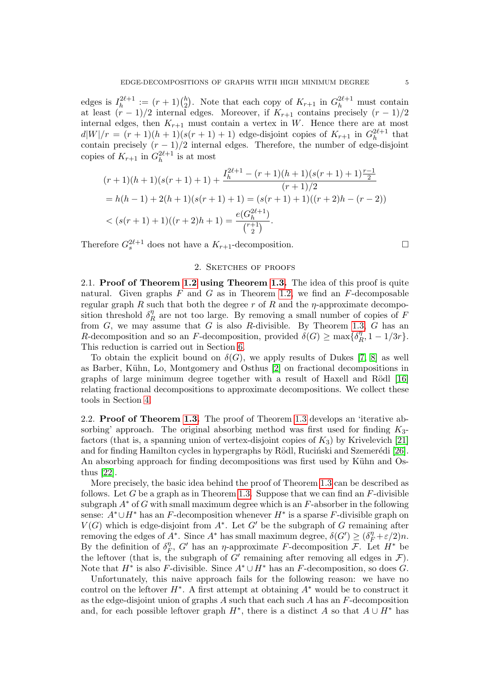edges is  $I_h^{2\ell+1}$  $h^{2\ell+1} := (r+1) \binom{h}{2}$  $_{2}^{h}$ ). Note that each copy of  $K_{r+1}$  in  $G_{h}^{2\ell+1}$  must contain at least  $(r-1)/2$  internal edges. Moreover, if  $K_{r+1}$  contains precisely  $(r-1)/2$ internal edges, then  $K_{r+1}$  must contain a vertex in W. Hence there are at most  $d|W|/r = (r + 1)(h + 1)(s(r + 1) + 1)$  edge-disjoint copies of  $K_{r+1}$  in  $G_h^{2\ell+1}$  $h^{2\ell+1}$  that contain precisely  $(r-1)/2$  internal edges. Therefore, the number of edge-disjoint copies of  $K_{r+1}$  in  $G_h^{2\ell+1}$  $h^{2\ell+1}$  is at most

$$
(r+1)(h+1)(s(r+1)+1) + \frac{I_h^{2\ell+1} - (r+1)(h+1)(s(r+1)+1)\frac{r-1}{2}}{(r+1)/2}
$$
  
=  $h(h-1) + 2(h+1)(s(r+1)+1) = (s(r+1)+1)((r+2)h - (r-2))$   
 $< (s(r+1)+1)((r+2)h+1) = \frac{e(G_h^{2\ell+1})}{\binom{r+1}{2}}.$ 

Therefore  $G_s^{2\ell+1}$  does not have a  $K_{r+1}$ -decomposition.

## 2. Sketches of proofs

2.1. Proof of Theorem [1.2](#page-1-0) using Theorem [1.3.](#page-2-0) The idea of this proof is quite natural. Given graphs  $F$  and  $G$  as in Theorem [1.2,](#page-1-0) we find an  $F$ -decomposable regular graph R such that both the degree r of R and the  $\eta$ -approximate decomposition threshold  $\delta_R^{\eta}$  $R \nvert R$  are not too large. By removing a small number of copies of F from  $G$ , we may assume that  $G$  is also  $R$ -divisible. By Theorem [1.3,](#page-2-0)  $G$  has an R-decomposition and so an F-decomposition, provided  $\delta(G) \ge \max\{\delta_I^n\}$  $\int_R^{\eta}, 1-1/3r\}.$ This reduction is carried out in Section [6.](#page-9-0)

To obtain the explicit bound on  $\delta(G)$ , we apply results of Dukes [\[7,](#page-38-1) [8\]](#page-39-9) as well as Barber, Kühn, Lo, Montgomery and Osthus [\[2\]](#page-38-2) on fractional decompositions in graphs of large minimum degree together with a result of Haxell and Rödl [\[16\]](#page-39-10) relating fractional decompositions to approximate decompositions. We collect these tools in Section [4.](#page-6-0)

2.2. **Proof of Theorem [1.3.](#page-2-0)** The proof of Theorem [1.3](#page-2-0) develops an 'iterative absorbing' approach. The original absorbing method was first used for finding  $K_3$ factors (that is, a spanning union of vertex-disjoint copies of  $K_3$ ) by Krivelevich [\[21\]](#page-39-14) and for finding Hamilton cycles in hypergraphs by Rödl, Ruciński and Szemerédi [\[26\]](#page-39-15). An absorbing approach for finding decompositions was first used by Kühn and Osthus [\[22\]](#page-39-16).

More precisely, the basic idea behind the proof of Theorem [1.3](#page-2-0) can be described as follows. Let G be a graph as in Theorem [1.3.](#page-2-0) Suppose that we can find an  $F$ -divisible subgraph  $A^*$  of G with small maximum degree which is an F-absorber in the following sense:  $A^* \cup H^*$  has an F-decomposition whenever  $H^*$  is a sparse F-divisible graph on  $V(G)$  which is edge-disjoint from  $A^*$ . Let  $G'$  be the subgraph of G remaining after removing the edges of  $A^*$ . Since  $A^*$  has small maximum degree,  $\delta(G') \geq (\delta_F^{\eta} + \varepsilon/2)n$ . By the definition of  $\delta_{\mu}^{\eta}$  $\eta$ <sup>n</sup>, G' has an  $\eta$ -approximate F-decomposition F. Let  $H^*$  be the leftover (that is, the subgraph of  $G'$  remaining after removing all edges in  $\mathcal{F}$ ). Note that  $H^*$  is also F-divisible. Since  $A^* \cup H^*$  has an F-decomposition, so does G.

Unfortunately, this naive approach fails for the following reason: we have no control on the leftover  $H^*$ . A first attempt at obtaining  $A^*$  would be to construct it as the edge-disjoint union of graphs  $A$  such that each such  $A$  has an  $F$ -decomposition and, for each possible leftover graph  $H^*$ , there is a distinct A so that  $A \cup H^*$  has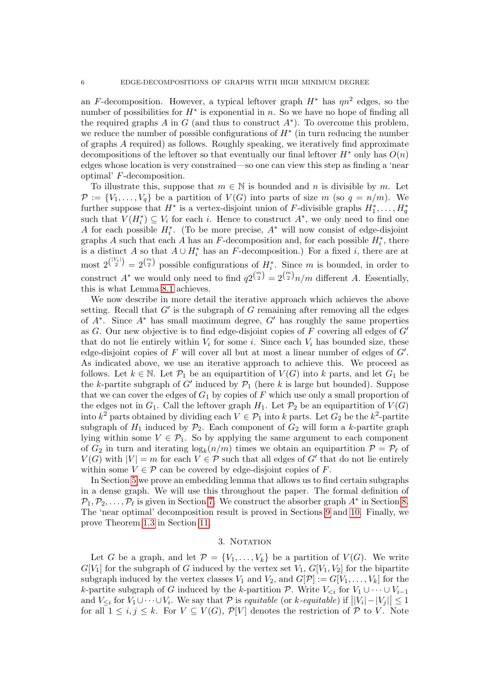an F-decomposition. However, a typical leftover graph  $H^*$  has  $\eta n^2$  edges, so the number of possibilities for  $H^*$  is exponential in n. So we have no hope of finding all the required graphs  $A$  in  $G$  (and thus to construct  $A^*$ ). To overcome this problem, we reduce the number of possible configurations of  $H^*$  (in turn reducing the number of graphs A required) as follows. Roughly speaking, we iteratively find approximate decompositions of the leftover so that eventually our final leftover  $H^*$  only has  $O(n)$ edges whose location is very constrained—so one can view this step as finding a 'near optimal' F-decomposition.

To illustrate this, suppose that  $m \in \mathbb{N}$  is bounded and n is divisible by m. Let  $\mathcal{P} := \{V_1, \ldots, V_q\}$  be a partition of  $V(G)$  into parts of size m (so  $q = n/m$ ). We further suppose that  $H^*$  is a vertex-disjoint union of F-divisible graphs  $H_1^*, \ldots, H_q^*$ such that  $V(H_i^*) \subseteq V_i$  for each i. Hence to construct  $A^*$ , we only need to find one A for each possible  $H_i^*$ . (To be more precise,  $A^*$  will now consist of edge-disjoint graphs A such that each A has an F-decomposition and, for each possible  $H_i^*$ , there is a distinct A so that  $A \cup H_i^*$  has an F-decomposition.) For a fixed i, there are at most  $2^{\binom{|V_i|}{2}} = 2^{\binom{m}{2}}$  possible configurations of  $H_i^*$ . Since m is bounded, in order to construct  $A^*$  we would only need to find  $q_2\binom{m}{2} = 2\binom{m}{2}n/m$  different A. Essentially, this is what Lemma [8.1](#page-14-0) achieves.

We now describe in more detail the iterative approach which achieves the above setting. Recall that  $G'$  is the subgraph of G remaining after removing all the edges of  $A^*$ . Since  $A^*$  has small maximum degree,  $G'$  has roughly the same properties as G. Our new objective is to find edge-disjoint copies of  $F$  covering all edges of  $G'$ that do not lie entirely within  $V_i$  for some i. Since each  $V_i$  has bounded size, these edge-disjoint copies of  $F$  will cover all but at most a linear number of edges of  $G'$ . As indicated above, we use an iterative approach to achieve this. We proceed as follows. Let  $k \in \mathbb{N}$ . Let  $\mathcal{P}_1$  be an equipartition of  $V(G)$  into k parts, and let  $G_1$  be the k-partite subgraph of G' induced by  $\mathcal{P}_1$  (here k is large but bounded). Suppose that we can cover the edges of  $G_1$  by copies of F which use only a small proportion of the edges not in  $G_1$ . Call the leftover graph  $H_1$ . Let  $\mathcal{P}_2$  be an equipartition of  $V(G)$ into  $k^2$  parts obtained by dividing each  $V \in \mathcal{P}_1$  into k parts. Let  $G_2$  be the  $k^2$ -partite subgraph of  $H_1$  induced by  $\mathcal{P}_2$ . Each component of  $G_2$  will form a k-partite graph lying within some  $V \in \mathcal{P}_1$ . So by applying the same argument to each component of  $G_2$  in turn and iterating  $\log_k(n/m)$  times we obtain an equipartition  $\mathcal{P} = \mathcal{P}_{\ell}$  of  $V(G)$  with  $|V| = m$  for each  $V \in \mathcal{P}$  such that all edges of  $G'$  that do not lie entirely within some  $V \in \mathcal{P}$  can be covered by edge-disjoint copies of F.

In Section [5](#page-7-1) we prove an embedding lemma that allows us to find certain subgraphs in a dense graph. We will use this throughout the paper. The formal definition of  $\mathcal{P}_1, \mathcal{P}_2, \ldots, \mathcal{P}_\ell$  is given in Section [7.](#page-12-1) We construct the absorber graph  $A^*$  in Section [8.](#page-13-0) The 'near optimal' decomposition result is proved in Sections [9](#page-22-0) and [10.](#page-25-0) Finally, we prove Theorem [1.3](#page-2-0) in Section [11.](#page-34-0)

#### 3. NOTATION

Let G be a graph, and let  $\mathcal{P} = \{V_1, \ldots, V_k\}$  be a partition of  $V(G)$ . We write  $G[V_1]$  for the subgraph of G induced by the vertex set  $V_1$ ,  $G[V_1, V_2]$  for the bipartite subgraph induced by the vertex classes  $V_1$  and  $V_2$ , and  $G[\mathcal{P}] := G[V_1, \ldots, V_k]$  for the k-partite subgraph of G induced by the k-partition P. Write  $V_{\leq i}$  for  $V_1 \cup \cdots \cup V_{i-1}$ and  $V_{\leq i}$  for  $V_1 \cup \cdots \cup V_i$ . We say that  $\mathcal P$  is equitable (or k-equitable) if  $||V_i| - |V_j|| \leq 1$ for all  $1 \leq i, j \leq k$ . For  $V \subseteq V(G)$ ,  $\mathcal{P}[V]$  denotes the restriction of  $\mathcal P$  to V. Note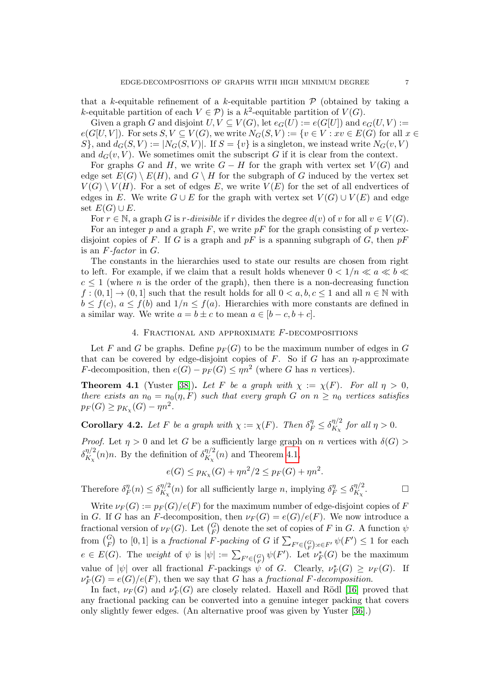that a k-equitable refinement of a k-equitable partition  $\mathcal P$  (obtained by taking a k-equitable partition of each  $V \in \mathcal{P}$ ) is a  $k^2$ -equitable partition of  $V(G)$ .

Given a graph G and disjoint  $U, V \subseteq V(G)$ , let  $e_G(U) := e(G[U])$  and  $e_G(U, V) :=$  $e(G[U, V])$ . For sets  $S, V \subseteq V(G)$ , we write  $N_G(S, V) := \{v \in V : xv \in E(G) \text{ for all } x \in V\}$  $S$ , and  $d_G(S, V) := |N_G(S, V)|$ . If  $S = \{v\}$  is a singleton, we instead write  $N_G(v, V)$ and  $d_G(v, V)$ . We sometimes omit the subscript G if it is clear from the context.

For graphs G and H, we write  $G - H$  for the graph with vertex set  $V(G)$  and edge set  $E(G) \setminus E(H)$ , and  $G \setminus H$  for the subgraph of G induced by the vertex set  $V(G) \setminus V(H)$ . For a set of edges E, we write  $V(E)$  for the set of all endvertices of edges in E. We write  $G \cup E$  for the graph with vertex set  $V(G) \cup V(E)$  and edge set  $E(G) \cup E$ .

For  $r \in \mathbb{N}$ , a graph G is r-divisible if r divides the degree  $d(v)$  of v for all  $v \in V(G)$ .

For an integer p and a graph  $F$ , we write  $pF$  for the graph consisting of p vertexdisjoint copies of F. If G is a graph and  $pF$  is a spanning subgraph of G, then  $pF$ is an  $F$ -factor in  $G$ .

The constants in the hierarchies used to state our results are chosen from right to left. For example, if we claim that a result holds whenever  $0 < 1/n \ll a \ll b \ll$  $c \leq 1$  (where *n* is the order of the graph), then there is a non-decreasing function  $f:(0,1] \to (0,1]$  such that the result holds for all  $0 < a, b, c \le 1$  and all  $n \in \mathbb{N}$  with  $b \leq f(c)$ ,  $a \leq f(b)$  and  $1/n \leq f(a)$ . Hierarchies with more constants are defined in a similar way. We write  $a = b \pm c$  to mean  $a \in [b - c, b + c]$ .

## 4. Fractional and approximate F-decompositions

<span id="page-6-0"></span>Let F and G be graphs. Define  $p_F(G)$  to be the maximum number of edges in G that can be covered by edge-disjoint copies of  $F$ . So if  $G$  has an  $\eta$ -approximate *F*-decomposition, then  $e(G) - p_F(G) \leq \eta n^2$  (where G has n vertices).

<span id="page-6-1"></span>**Theorem 4.1** (Yuster [\[38\]](#page-40-3)). Let F be a graph with  $\chi := \chi(F)$ . For all  $\eta > 0$ , there exists an  $n_0 = n_0(\eta, F)$  such that every graph G on  $n \geq n_0$  vertices satisfies  $p_F(G) \geq p_{K_{\chi}}(G) - \eta n^2$ .

<span id="page-6-2"></span>**Corollary 4.2.** Let F be a graph with  $\chi := \chi(F)$ . Then  $\delta_F^{\eta} \leq \delta_{K_{\chi}}^{\eta/2}$  $\int_{K_{\chi}}^{\eta/2}$  for all  $\eta > 0$ .

*Proof.* Let  $\eta > 0$  and let G be a sufficiently large graph on n vertices with  $\delta(G)$  $\delta^{\eta/2}_{K}$  $\frac{\eta/2}{K_{\chi}}(n)n$ . By the definition of  $\delta_{K_{\chi}}^{\eta/2}$  $\frac{d\mathcal{H}}{dX_{\chi}}(n)$  and Theorem [4.1,](#page-6-1)

$$
e(G) \le p_{K_{\chi}}(G) + \eta n^2/2 \le p_F(G) + \eta n^2.
$$

Therefore  $\delta_{\mu}^{\eta}$  $T_F^{\eta}(n) \leq \delta_{K_{\chi}}^{\eta/2}$  $\frac{\eta/2}{K_{\chi}}(n)$  for all sufficiently large n, implying  $\delta_{F}^{\eta} \leq \delta_{K_{\chi}}^{\eta/2}$  $K_\chi$ 

 $\Box$ 

Write  $\nu_F(G) := p_F(G)/e(F)$  for the maximum number of edge-disjoint copies of F in G. If G has an F-decomposition, then  $\nu_F(G) = e(G)/e(F)$ . We now introduce a fractional version of  $\nu_F(G)$ . Let  $\binom{G}{F}$  denote the set of copies of F in G. A function  $\psi$ from  $\binom{G}{F}$  to  $[0,1]$  is a *fractional F-packing* of G if  $\sum_{F' \in \binom{G}{F} : e \in F'} \psi(F') \le 1$  for each  $e \in E(G)$ . The weight of  $\psi$  is  $|\psi| := \sum_{F' \in {G \choose F}} \psi(F')$ . Let  $\nu_F^*(G)$  be the maximum value of  $|\psi|$  over all fractional F-packings  $\psi$  of G. Clearly,  $\nu_F^*(G) \geq \nu_F(G)$ . If  $\nu_F^*(G) = e(G)/e(F)$ , then we say that G has a fractional F-decomposition.

In fact,  $\nu_F(G)$  and  $\nu_F^*(G)$  are closely related. Haxell and Rödl [\[16\]](#page-39-10) proved that any fractional packing can be converted into a genuine integer packing that covers only slightly fewer edges. (An alternative proof was given by Yuster [\[36\]](#page-40-2).)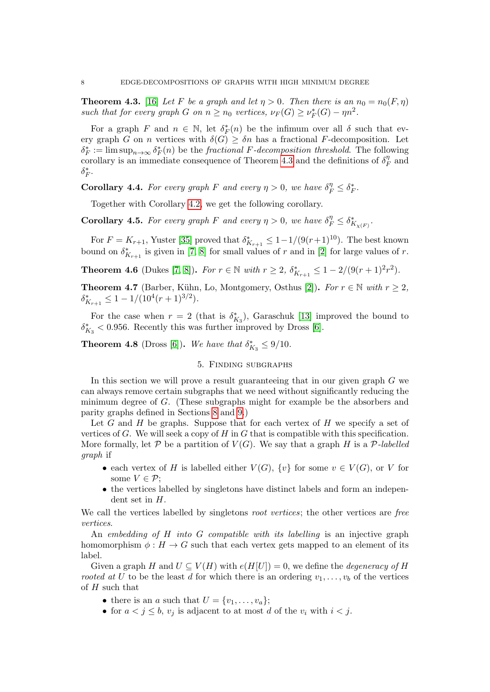<span id="page-7-2"></span>**Theorem 4.3.** [\[16\]](#page-39-10) Let F be a graph and let  $\eta > 0$ . Then there is an  $n_0 = n_0(F, \eta)$ such that for every graph G on  $n \ge n_0$  vertices,  $\nu_F(G) \ge \nu_F^*(G) - \eta n^2$ .

For a graph F and  $n \in \mathbb{N}$ , let  $\delta_F^*(n)$  be the infimum over all  $\delta$  such that every graph G on n vertices with  $\delta(G) \geq \delta n$  has a fractional F-decomposition. Let  $\delta_F^* := \limsup_{n \to \infty} \delta_F^*(n)$  be the fractional F-decomposition threshold. The following corollary is an immediate consequence of Theorem [4.3](#page-7-2) and the definitions of  $\delta_R^{\eta}$  $\tilde{F}^{\eta}$  and  $\delta_F^*$ .

**Corollary 4.4.** For every graph F and every  $\eta > 0$ , we have  $\delta_F^{\eta} \leq \delta_F^*$ .

Together with Corollary [4.2,](#page-6-2) we get the following corollary.

<span id="page-7-4"></span>**Corollary 4.5.** For every graph F and every  $\eta > 0$ , we have  $\delta_F^{\eta} \leq \delta_{K_{\chi(F)}}^*$ .

For  $F = K_{r+1}$ , Yuster [\[35\]](#page-40-4) proved that  $\delta_{K_{r+1}}^* \leq 1 - 1/(9(r+1)^{10})$ . The best known bound on  $\delta_{K_{r+1}}^*$  is given in [\[7,](#page-38-1) [8\]](#page-39-9) for small values of r and in [\[2\]](#page-38-2) for large values of r.

<span id="page-7-3"></span>**Theorem 4.6** (Dukes [\[7,](#page-38-1) [8\]](#page-39-9)). For  $r \in \mathbb{N}$  with  $r \geq 2$ ,  $\delta_{K_{r+1}}^* \leq 1 - 2/(9(r+1)^2r^2)$ .

<span id="page-7-0"></span>**Theorem 4.7** (Barber, Kühn, Lo, Montgomery, Osthus [\[2\]](#page-38-2)). For  $r \in \mathbb{N}$  with  $r \geq 2$ ,  $\delta_{K_{r+1}}^* \leq 1 - 1/(10^4(r+1)^{3/2}).$ 

For the case when  $r = 2$  (that is  $\delta_{K_3}^*$ ), Garaschuk [\[13\]](#page-39-17) improved the bound to  $\delta_{K_3}^*$  < 0.956. Recently this was further improved by Dross [\[6\]](#page-38-5).

<span id="page-7-5"></span>**Theorem 4.8** (Dross [\[6\]](#page-38-5)). We have that  $\delta_{K_3}^* \leq 9/10$ .

## 5. Finding subgraphs

<span id="page-7-1"></span>In this section we will prove a result guaranteeing that in our given graph G we can always remove certain subgraphs that we need without significantly reducing the minimum degree of G. (These subgraphs might for example be the absorbers and parity graphs defined in Sections [8](#page-13-0) and [9.](#page-22-0))

Let G and H be graphs. Suppose that for each vertex of H we specify a set of vertices of G. We will seek a copy of  $H$  in G that is compatible with this specification. More formally, let  $P$  be a partition of  $V(G)$ . We say that a graph H is a P-labelled graph if

- each vertex of H is labelled either  $V(G)$ ,  $\{v\}$  for some  $v \in V(G)$ , or V for some  $V \in \mathcal{P}$ ;
- the vertices labelled by singletons have distinct labels and form an independent set in H.

We call the vertices labelled by singletons *root vertices*; the other vertices are free vertices.

An embedding of  $H$  into  $G$  compatible with its labelling is an injective graph homomorphism  $\phi : H \to G$  such that each vertex gets mapped to an element of its label.

Given a graph H and  $U \subseteq V(H)$  with  $e(H[U]) = 0$ , we define the *degeneracy of H* rooted at U to be the least d for which there is an ordering  $v_1, \ldots, v_b$  of the vertices of  $H$  such that

- there is an a such that  $U = \{v_1, \ldots, v_a\};$
- for  $a < j \leq b$ ,  $v_j$  is adjacent to at most d of the  $v_i$  with  $i < j$ .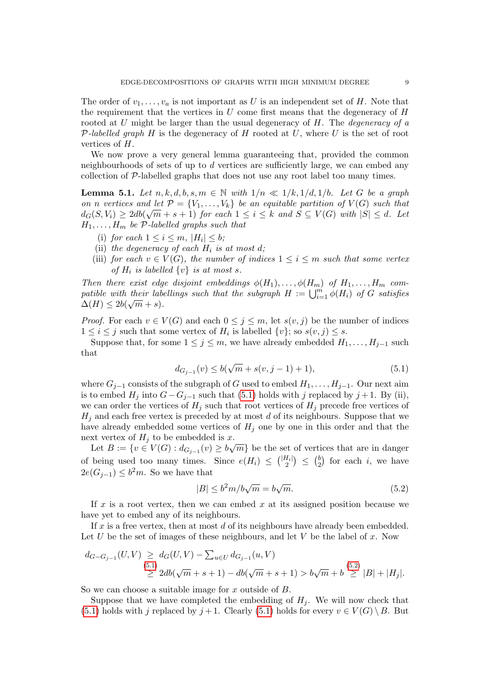The order of  $v_1, \ldots, v_a$  is not important as U is an independent set of H. Note that the requirement that the vertices in  $U$  come first means that the degeneracy of  $H$ rooted at  $U$  might be larger than the usual degeneracy of  $H$ . The *degeneracy of a* P-labelled graph H is the degeneracy of H rooted at U, where U is the set of root vertices of H.

We now prove a very general lemma guaranteeing that, provided the common neighbourhoods of sets of up to d vertices are sufficiently large, we can embed any collection of P-labelled graphs that does not use any root label too many times.

<span id="page-8-2"></span>**Lemma 5.1.** Let  $n, k, d, b, s, m \in \mathbb{N}$  with  $1/n \ll 1/k, 1/d, 1/b$ . Let G be a graph on n vertices and let  $\mathcal{P} = \{V_1, \ldots, V_k\}$  be an equitable partition of  $V(G)$  such that  $d_G(S, V_i) \geq 2db(\sqrt{m} + s + 1)$  for each  $1 \leq i \leq k$  and  $S \subseteq V(G)$  with  $|S| \leq d$ . Let  $H_1, \ldots, H_m$  be P-labelled graphs such that

- (i) for each  $1 \leq i \leq m$ ,  $|H_i| \leq b$ ;
- (ii) the degeneracy of each  $H_i$  is at most d;
- (iii) for each  $v \in V(G)$ , the number of indices  $1 \leq i \leq m$  such that some vertex of  $H_i$  is labelled  $\{v\}$  is at most s.

Then there exist edge disjoint embeddings  $\phi(H_1), \ldots, \phi(H_m)$  of  $H_1, \ldots, H_m$  compatible with their labellings such that the subgraph  $H := \bigcup_{i=1}^m \phi(H_i)$  of G satisfies  $\Delta(H) \leq 2b(\sqrt{m} + s).$ 

*Proof.* For each  $v \in V(G)$  and each  $0 \leq j \leq m$ , let  $s(v, j)$  be the number of indices  $1 \leq i \leq j$  such that some vertex of  $H_i$  is labelled  $\{v\}$ ; so  $s(v, j) \leq s$ .

Suppose that, for some  $1 \leq j \leq m$ , we have already embedded  $H_1, \ldots, H_{j-1}$  such that

<span id="page-8-0"></span>
$$
d_{G_{j-1}}(v) \le b(\sqrt{m} + s(v, j-1) + 1),
$$
\n(5.1)

where  $G_{i-1}$  consists of the subgraph of G used to embed  $H_1, \ldots, H_{i-1}$ . Our next aim is to embed  $H_j$  into  $G-G_{j-1}$  such that [\(5.1\)](#page-8-0) holds with j replaced by j + 1. By (ii), we can order the vertices of  $H_j$  such that root vertices of  $H_j$  precede free vertices of  $H_i$  and each free vertex is preceded by at most d of its neighbours. Suppose that we have already embedded some vertices of  $H_i$  one by one in this order and that the next vertex of  $H_j$  to be embedded is x.

Let  $B := \{v \in V(G) : d_{G_{j-1}}(v) \ge b\sqrt{m}\}\$ be the set of vertices that are in danger of being used too many times. Since  $e(H_i) \leq {H_i \choose 2} \leq {t \choose 2}$  $\binom{b}{2}$  for each *i*, we have  $2e(G_{j-1}) \leq b^2m$ . So we have that

<span id="page-8-1"></span>
$$
|B| \le b^2 m/b\sqrt{m} = b\sqrt{m}.\tag{5.2}
$$

If x is a root vertex, then we can embed x at its assigned position because we have yet to embed any of its neighbours.

If  $x$  is a free vertex, then at most  $d$  of its neighbours have already been embedded. Let U be the set of images of these neighbours, and let V be the label of  $x$ . Now

$$
d_{G-G_{j-1}}(U,V) \geq d_G(U,V) - \sum_{u \in U} d_{G_{j-1}}(u,V)
$$
  
\n
$$
\geq 2db(\sqrt{m} + s + 1) - db(\sqrt{m} + s + 1) > b\sqrt{m} + b \geq |B| + |H_j|.
$$

So we can choose a suitable image for x outside of B.

Suppose that we have completed the embedding of  $H_i$ . We will now check that [\(5.1\)](#page-8-0) holds with j replaced by  $j+1$ . Clearly (5.1) holds for every  $v \in V(G) \setminus B$ . But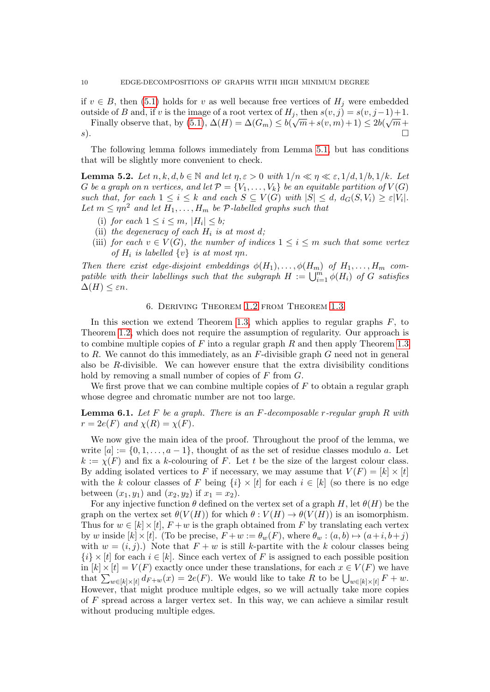if  $v \in B$ , then [\(5.1\)](#page-8-0) holds for v as well because free vertices of  $H_j$  were embedded outside of B and, if v is the image of a root vertex of  $H_j$ , then  $s(v, j) = s(v, j-1)+1$ . Finally observe that, by  $(5.1), \Delta(H) = \Delta(G_m) \leq b(\sqrt{m} + s(v, m) + 1) \leq 2b(\sqrt{m} + s(v, m))$  $(5.1), \Delta(H) = \Delta(G_m) \leq b(\sqrt{m} + s(v, m) + 1) \leq 2b(\sqrt{m} + s(v, m))$  $s$ ).

The following lemma follows immediately from Lemma [5.1,](#page-8-2) but has conditions that will be slightly more convenient to check.

<span id="page-9-2"></span>**Lemma 5.2.** Let  $n, k, d, b \in \mathbb{N}$  and let  $\eta, \varepsilon > 0$  with  $1/n \ll \eta \ll \varepsilon, 1/d, 1/b, 1/k$ . Let G be a graph on n vertices, and let  $\mathcal{P} = \{V_1, \ldots, V_k\}$  be an equitable partition of  $V(G)$ such that, for each  $1 \leq i \leq k$  and each  $S \subseteq V(G)$  with  $|S| \leq d$ ,  $d_G(S, V_i) \geq \varepsilon |V_i|$ . Let  $m \leq \eta n^2$  and let  $H_1, \ldots, H_m$  be  $P$ -labelled graphs such that

- (i) for each  $1 \leq i \leq m$ ,  $|H_i| \leq b$ ;
- (ii) the degeneracy of each  $H_i$  is at most d;
- (iii) for each  $v \in V(G)$ , the number of indices  $1 \leq i \leq m$  such that some vertex of  $H_i$  is labelled  $\{v\}$  is at most  $\eta n$ .

Then there exist edge-disjoint embeddings  $\phi(H_1), \ldots, \phi(H_m)$  of  $H_1, \ldots, H_m$  compatible with their labellings such that the subgraph  $H := \bigcup_{i=1}^m \phi(H_i)$  of G satisfies  $\Delta(H) \leq \varepsilon n$ .

#### 6. Deriving Theorem [1.2](#page-1-0) from Theorem [1.3](#page-2-0)

<span id="page-9-0"></span>In this section we extend Theorem [1.3,](#page-2-0) which applies to regular graphs  $F$ , to Theorem [1.2,](#page-1-0) which does not require the assumption of regularity. Our approach is to combine multiple copies of F into a regular graph R and then apply Theorem [1.3](#page-2-0) to R. We cannot do this immediately, as an  $F$ -divisible graph G need not in general also be  $R$ -divisible. We can however ensure that the extra divisibility conditions hold by removing a small number of copies of  $F$  from  $G$ .

We first prove that we can combine multiple copies of  $F$  to obtain a regular graph whose degree and chromatic number are not too large.

<span id="page-9-1"></span>**Lemma 6.1.** Let F be a graph. There is an F-decomposable r-regular graph R with  $r = 2e(F)$  and  $\chi(R) = \chi(F)$ .

We now give the main idea of the proof. Throughout the proof of the lemma, we write  $[a] := \{0, 1, \ldots, a-1\}$ , thought of as the set of residue classes modulo a. Let  $k := \chi(F)$  and fix a k-colouring of F. Let t be the size of the largest colour class. By adding isolated vertices to F if necessary, we may assume that  $V(F) = [k] \times [t]$ with the k colour classes of F being  $\{i\} \times [t]$  for each  $i \in [k]$  (so there is no edge between  $(x_1, y_1)$  and  $(x_2, y_2)$  if  $x_1 = x_2$ .

For any injective function  $\theta$  defined on the vertex set of a graph H, let  $\theta(H)$  be the graph on the vertex set  $\theta(V(H))$  for which  $\theta: V(H) \to \theta(V(H))$  is an isomorphism. Thus for  $w \in [k] \times [t]$ ,  $F + w$  is the graph obtained from F by translating each vertex by w inside  $[k] \times [t]$ . (To be precise,  $F + w := \theta_w(F)$ , where  $\theta_w : (a, b) \mapsto (a + i, b + j)$ with  $w = (i, j)$ . Note that  $F + w$  is still k-partite with the k colour classes being  ${i} \times [t]$  for each  $i \in [k]$ . Since each vertex of F is assigned to each possible position in  $[k] \times [t] = V(F)$  exactly once under these translations, for each  $x \in V(F)$  we have that  $\sum_{w\in[k]\times[t]}d_{F+w}(x)=2e(F)$ . We would like to take R to be  $\bigcup_{w\in[k]\times[t]}F+w$ . However, that might produce multiple edges, so we will actually take more copies of F spread across a larger vertex set. In this way, we can achieve a similar result without producing multiple edges.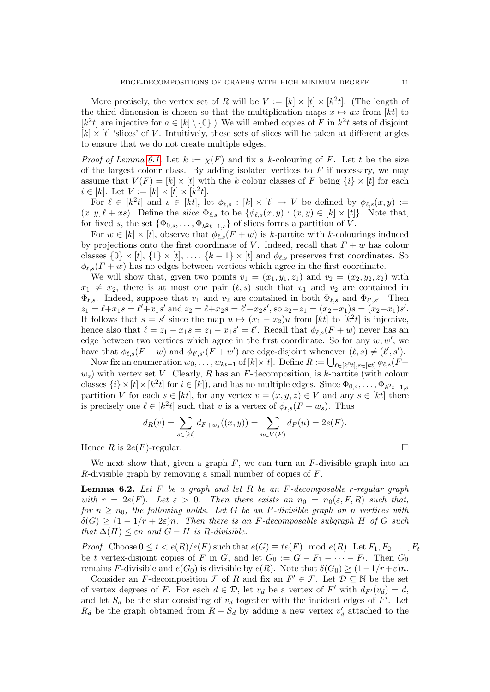More precisely, the vertex set of R will be  $V := [k] \times [t] \times [k^2 t]$ . (The length of the third dimension is chosen so that the multiplication maps  $x \mapsto ax$  from [kt] to  $[k^2t]$  are injective for  $a \in [k] \setminus \{0\}$ .) We will embed copies of F in  $k^2t$  sets of disjoint  $[k] \times [t]$  'slices' of V. Intuitively, these sets of slices will be taken at different angles to ensure that we do not create multiple edges.

*Proof of Lemma [6.1.](#page-9-1)* Let  $k := \chi(F)$  and fix a k-colouring of F. Let t be the size of the largest colour class. By adding isolated vertices to  $F$  if necessary, we may assume that  $V(F) = [k] \times [t]$  with the k colour classes of F being  $\{i\} \times [t]$  for each  $i \in [k]$ . Let  $V := [k] \times [t] \times [k^2 t]$ .

For  $\ell \in [k^2t]$  and  $s \in [kt]$ , let  $\phi_{\ell,s} : [k] \times [t] \to V$  be defined by  $\phi_{\ell,s}(x, y) :=$  $(x, y, \ell + xs)$ . Define the slice  $\Phi_{\ell,s}$  to be  $\{\phi_{\ell,s}(x, y) : (x, y) \in [k] \times [t]\}.$  Note that, for fixed s, the set  $\{\Phi_{0,s}, \ldots, \Phi_{k^2t-1,s}\}\$  of slices forms a partition of V.

For  $w \in [k] \times [t]$ , observe that  $\phi_{\ell,s}(F + w)$  is k-partite with k-colourings induced by projections onto the first coordinate of V. Indeed, recall that  $F + w$  has colour classes  $\{0\} \times [t], \{1\} \times [t], \ldots, \{k-1\} \times [t]$  and  $\phi_{\ell,s}$  preserves first coordinates. So  $\phi_{\ell,s}(F + w)$  has no edges between vertices which agree in the first coordinate.

We will show that, given two points  $v_1 = (x_1, y_1, z_1)$  and  $v_2 = (x_2, y_2, z_2)$  with  $x_1 \neq x_2$ , there is at most one pair  $(\ell, s)$  such that  $v_1$  and  $v_2$  are contained in  $\Phi_{\ell,s}$ . Indeed, suppose that  $v_1$  and  $v_2$  are contained in both  $\Phi_{\ell,s}$  and  $\Phi_{\ell',s'}$ . Then  $z_1 = \ell + x_1s = \ell' + x_1s'$  and  $z_2 = \ell + x_2s = \ell' + x_2s'$ , so  $z_2 - z_1 = (x_2 - x_1)s = (x_2 - x_1)s'$ . It follows that  $s = s'$  since the map  $u \mapsto (x_1 - x_2)u$  from [kt] to [k<sup>2</sup>t] is injective, hence also that  $\ell = z_1 - x_1 s = z_1 - x_1 s' = \ell'$ . Recall that  $\phi_{\ell,s}(F + w)$  never has an edge between two vertices which agree in the first coordinate. So for any  $w, w'$ , we have that  $\phi_{\ell,s}(F + w)$  and  $\phi_{\ell',s'}(F + w')$  are edge-disjoint whenever  $(\ell, s) \neq (\ell', s')$ .

Now fix an enumeration  $w_0, \ldots, w_{kt-1}$  of  $[k] \times [t]$ . Define  $R := \bigcup_{\ell \in [k^2 t], s \in [kt]} \phi_{\ell,s}(F +$  $w_s$ ) with vertex set V. Clearly, R has an F-decomposition, is k-partite (with colour classes  $\{i\} \times [t] \times [k^2 t]$  for  $i \in [k]$ ), and has no multiple edges. Since  $\Phi_{0,s}, \ldots, \Phi_{k^2 t-1,s}$ partition V for each  $s \in [kt]$ , for any vertex  $v = (x, y, z) \in V$  and any  $s \in [kt]$  there is precisely one  $\ell \in [k^2 t]$  such that v is a vertex of  $\phi_{\ell,s}(F + w_s)$ . Thus

$$
d_R(v) = \sum_{s \in [kt]} d_{F+w_s}((x, y)) = \sum_{u \in V(F)} d_F(u) = 2e(F).
$$

Hence R is  $2e(F)$ -regular.

We next show that, given a graph  $F$ , we can turn an  $F$ -divisible graph into an R-divisible graph by removing a small number of copies of F.

<span id="page-10-0"></span>**Lemma 6.2.** Let  $F$  be a graph and let  $R$  be an  $F$ -decomposable r-regular graph with  $r = 2e(F)$ . Let  $\varepsilon > 0$ . Then there exists an  $n_0 = n_0(\varepsilon, F, R)$  such that, for  $n \geq n_0$ , the following holds. Let G be an F-divisible graph on n vertices with  $\delta(G) > (1 - 1/r + 2\varepsilon)n$ . Then there is an F-decomposable subgraph H of G such that  $\Delta(H) \leq \varepsilon n$  and  $G - H$  is R-divisible.

*Proof.* Choose  $0 \le t < e(R)/e(F)$  such that  $e(G) \equiv te(F) \mod e(R)$ . Let  $F_1, F_2, \ldots, F_t$ be t vertex-disjoint copies of F in G, and let  $G_0 := G - F_1 - \cdots - F_t$ . Then  $G_0$ remains F-divisible and  $e(G_0)$  is divisible by  $e(R)$ . Note that  $\delta(G_0) \geq (1-1/r+\varepsilon)n$ .

Consider an F-decomposition F of R and fix an  $F' \in \mathcal{F}$ . Let  $\mathcal{D} \subseteq \mathbb{N}$  be the set of vertex degrees of F. For each  $d \in \mathcal{D}$ , let  $v_d$  be a vertex of F' with  $d_{F'}(v_d) = d$ , and let  $S_d$  be the star consisting of  $v_d$  together with the incident edges of  $F'$ . Let  $R_d$  be the graph obtained from  $R - S_d$  by adding a new vertex  $v'_d$  attached to the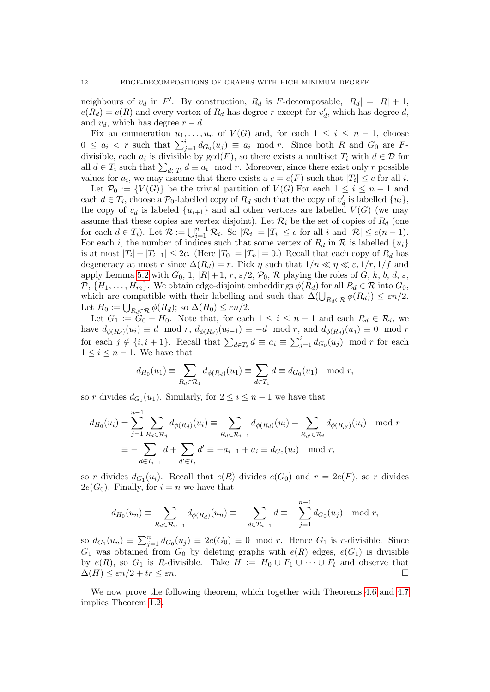neighbours of  $v_d$  in F'. By construction,  $R_d$  is F-decomposable,  $|R_d| = |R| + 1$ ,  $e(R_d) = e(R)$  and every vertex of  $R_d$  has degree r except for  $v'_d$ , which has degree d, and  $v_d$ , which has degree  $r - d$ .

Fix an enumeration  $u_1, \ldots, u_n$  of  $V(G)$  and, for each  $1 \leq i \leq n-1$ , choose  $0 \leq a_i \lt r$  such that  $\sum_{j=1}^i d_{G_0}(u_j) \equiv a_i \mod r$ . Since both R and  $G_0$  are Fdivisible, each  $a_i$  is divisible by  $gcd(F)$ , so there exists a multiset  $T_i$  with  $d \in \mathcal{D}$  for all  $d \in T_i$  such that  $\sum_{d \in T_i} d \equiv a_i \mod r$ . Moreover, since there exist only r possible values for  $a_i$ , we may assume that there exists a  $c = c(F)$  such that  $|T_i| \leq c$  for all i.

Let  $\mathcal{P}_0 := \{V(G)\}\$ be the trivial partition of  $V(G)$ . For each  $1 \leq i \leq n-1$  and each  $d \in T_i$ , choose a  $\mathcal{P}_0$ -labelled copy of  $R_d$  such that the copy of  $v'_d$  is labelled  $\{u_i\}$ , the copy of  $v_d$  is labeled  $\{u_{i+1}\}\$  and all other vertices are labelled  $V(G)$  (we may assume that these copies are vertex disjoint). Let  $\mathcal{R}_i$  be the set of copies of  $R_d$  (one for each  $d \in T_i$ ). Let  $\mathcal{R} := \bigcup_{i=1}^{n-1} \mathcal{R}_i$ . So  $|\mathcal{R}_i| = |T_i| \le c$  for all i and  $|\mathcal{R}| \le c(n-1)$ . For each i, the number of indices such that some vertex of  $R_d$  in  $\mathcal R$  is labelled  $\{u_i\}$ is at most  $|T_i| + |T_{i-1}| \leq 2c$ . (Here  $|T_0| = |T_n| = 0$ .) Recall that each copy of  $R_d$  has degeneracy at most r since  $\Delta(R_d) = r$ . Pick  $\eta$  such that  $1/n \ll \eta \ll \varepsilon$ ,  $1/r$ ,  $1/f$  and apply Lemma [5.2](#page-9-2) with  $G_0$ , 1,  $|R|+1$ ,  $r$ ,  $\varepsilon/2$ ,  $\mathcal{P}_0$ ,  $\mathcal{R}$  playing the roles of  $G$ ,  $k$ ,  $b$ ,  $d$ ,  $\varepsilon$ ,  $\mathcal{P}, \{H_1, \ldots, H_m\}$ . We obtain edge-disjoint embeddings  $\phi(R_d)$  for all  $R_d \in \mathcal{R}$  into  $G_0$ , which are compatible with their labelling and such that  $\Delta(\bigcup_{R_d \in \mathcal{R}} \phi(R_d)) \leq \varepsilon n/2$ . Let  $H_0 := \bigcup_{R_d \in \mathcal{R}} \phi(R_d)$ ; so  $\Delta(H_0) \leq \varepsilon n/2$ .

Let  $G_1 := \tilde{G}_0 - H_0$ . Note that, for each  $1 \leq i \leq n-1$  and each  $R_d \in \mathcal{R}_i$ , we have  $d_{\phi(R_d)}(u_i) \equiv d \mod r$ ,  $d_{\phi(R_d)}(u_{i+1}) \equiv -d \mod r$ , and  $d_{\phi(R_d)}(u_j) \equiv 0 \mod r$ for each  $j \notin \{i, i + 1\}$ . Recall that  $\sum_{d \in T_i} d \equiv a_i \equiv \sum_{j=1}^i d_{G_0}(u_j) \mod r$  for each  $1 \leq i \leq n-1$ . We have that

$$
d_{H_0}(u_1) \equiv \sum_{R_d \in \mathcal{R}_1} d_{\phi(R_d)}(u_1) \equiv \sum_{d \in T_1} d \equiv d_{G_0}(u_1) \mod r,
$$

so r divides  $d_{G_1}(u_1)$ . Similarly, for  $2 \leq i \leq n-1$  we have that

$$
d_{H_0}(u_i) = \sum_{j=1}^{n-1} \sum_{R_d \in \mathcal{R}_j} d_{\phi(R_d)}(u_i) \equiv \sum_{R_d \in \mathcal{R}_{i-1}} d_{\phi(R_d)}(u_i) + \sum_{R_{d'} \in \mathcal{R}_i} d_{\phi(R_{d'})}(u_i) \mod r
$$
  

$$
\equiv - \sum_{d \in T_{i-1}} d + \sum_{d' \in T_i} d' \equiv -a_{i-1} + a_i \equiv d_{G_0}(u_i) \mod r,
$$

so r divides  $d_{G_1}(u_i)$ . Recall that  $e(R)$  divides  $e(G_0)$  and  $r = 2e(F)$ , so r divides  $2e(G_0)$ . Finally, for  $i = n$  we have that

$$
d_{H_0}(u_n) \equiv \sum_{R_d \in \mathcal{R}_{n-1}} d_{\phi(R_d)}(u_n) \equiv -\sum_{d \in T_{n-1}} d \equiv -\sum_{j=1}^{n-1} d_{G_0}(u_j) \mod r,
$$

so  $d_{G_1}(u_n) \equiv \sum_{j=1}^n d_{G_0}(u_j) \equiv 2e(G_0) \equiv 0 \mod r$ . Hence  $G_1$  is r-divisible. Since  $G_1$  was obtained from  $G_0$  by deleting graphs with  $e(R)$  edges,  $e(G_1)$  is divisible by  $e(R)$ , so  $G_1$  is R-divisible. Take  $H := H_0 \cup F_1 \cup \cdots \cup F_t$  and observe that  $\Delta(H) \leq \varepsilon n/2 + tr \leq \varepsilon n.$ 

We now prove the following theorem, which together with Theorems [4.6](#page-7-3) and [4.7](#page-7-0) implies Theorem [1.2.](#page-1-0)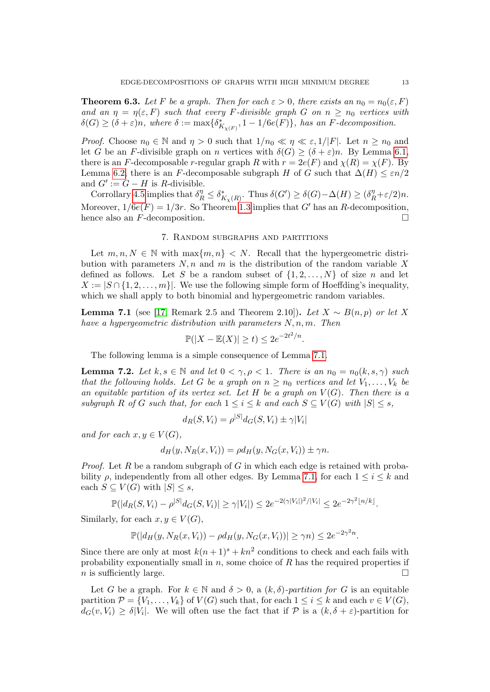<span id="page-12-0"></span>**Theorem 6.3.** Let F be a graph. Then for each  $\varepsilon > 0$ , there exists an  $n_0 = n_0(\varepsilon, F)$ and an  $\eta = \eta(\varepsilon, F)$  such that every F-divisible graph G on  $n \geq n_0$  vertices with  $\delta(G) \geq (\delta + \varepsilon)n$ , where  $\delta := \max\{\delta^*_{K_{\chi(F)}}, 1 - 1/6e(F)\}\$ , has an F-decomposition.

*Proof.* Choose  $n_0 \in \mathbb{N}$  and  $\eta > 0$  such that  $1/n_0 \ll \eta \ll \varepsilon, 1/|F|$ . Let  $n \ge n_0$  and let G be an F-divisible graph on n vertices with  $\delta(G) \geq (\delta + \varepsilon)n$ . By Lemma [6.1,](#page-9-1) there is an F-decomposable r-regular graph R with  $r = 2e(F)$  and  $\chi(R) = \chi(F)$ . By Lemma [6.2,](#page-10-0) there is an F-decomposable subgraph H of G such that  $\Delta(H) \leq \varepsilon n/2$ and  $G' := G - H$  is R-divisible.

Corrollary [4.5](#page-7-4) implies that  $\delta_R^{\eta} \leq \delta_{K_{\chi}(R)}^*$ . Thus  $\delta(G') \geq \delta(G) - \Delta(H) \geq (\delta_R^{\eta} + \varepsilon/2)n$ . Moreover,  $1/6e(F) = 1/3r$ . So Theorem [1.3](#page-2-0) implies that G' has an R-decomposition, hence also an F-decomposition.

#### 7. Random subgraphs and partitions

<span id="page-12-1"></span>Let  $m, n, N \in \mathbb{N}$  with  $\max\{m, n\} < N$ . Recall that the hypergeometric distribution with parameters  $N, n$  and m is the distribution of the random variable X defined as follows. Let S be a random subset of  $\{1, 2, \ldots, N\}$  of size n and let  $X := |S \cap \{1, 2, \ldots, m\}|$ . We use the following simple form of Hoeffding's inequality, which we shall apply to both binomial and hypergeometric random variables.

<span id="page-12-2"></span>**Lemma 7.1** (see [\[17,](#page-39-18) Remark 2.5 and Theorem 2.10]). Let  $X ∼ B(n, p)$  or let X have a hypergeometric distribution with parameters  $N, n, m$ . Then

$$
\mathbb{P}(|X - \mathbb{E}(X)| \ge t) \le 2e^{-2t^2/n}.
$$

The following lemma is a simple consequence of Lemma [7.1.](#page-12-2)

<span id="page-12-3"></span>**Lemma 7.2.** Let  $k, s \in \mathbb{N}$  and let  $0 < \gamma, \rho < 1$ . There is an  $n_0 = n_0(k, s, \gamma)$  such that the following holds. Let G be a graph on  $n \geq n_0$  vertices and let  $V_1, \ldots, V_k$  be an equitable partition of its vertex set. Let H be a graph on  $V(G)$ . Then there is a subgraph R of G such that, for each  $1 \leq i \leq k$  and each  $S \subseteq V(G)$  with  $|S| \leq s$ ,

$$
d_R(S, V_i) = \rho^{|S|} d_G(S, V_i) \pm \gamma |V_i|
$$

and for each  $x, y \in V(G)$ ,

$$
d_H(y, N_R(x, V_i)) = \rho d_H(y, N_G(x, V_i)) \pm \gamma n.
$$

*Proof.* Let R be a random subgraph of G in which each edge is retained with probability  $\rho$ , independently from all other edges. By Lemma [7.1,](#page-12-2) for each  $1 \leq i \leq k$  and each  $S \subseteq V(G)$  with  $|S| \leq s$ ,

$$
\mathbb{P}(|d_R(S, V_i) - \rho^{|S|} d_G(S, V_i)| \ge \gamma |V_i|) \le 2e^{-2(\gamma |V_i|)^2/|V_i|} \le 2e^{-2\gamma^2 \lfloor n/k \rfloor}.
$$

Similarly, for each  $x, y \in V(G)$ ,

$$
\mathbb{P}(|d_H(y, N_R(x, V_i)) - \rho d_H(y, N_G(x, V_i))| \ge \gamma n) \le 2e^{-2\gamma^2 n}.
$$

Since there are only at most  $k(n+1)^s + kn^2$  conditions to check and each fails with probability exponentially small in  $n$ , some choice of  $R$  has the required properties if  $n$  is sufficiently large.

Let G be a graph. For  $k \in \mathbb{N}$  and  $\delta > 0$ , a  $(k, \delta)$ -partition for G is an equitable partition  $\mathcal{P} = \{V_1, \ldots, V_k\}$  of  $V(G)$  such that, for each  $1 \leq i \leq k$  and each  $v \in V(G)$ ,  $d_G(v, V_i) \geq \delta |V_i|$ . We will often use the fact that if  $P$  is a  $(k, \delta + \varepsilon)$ -partition for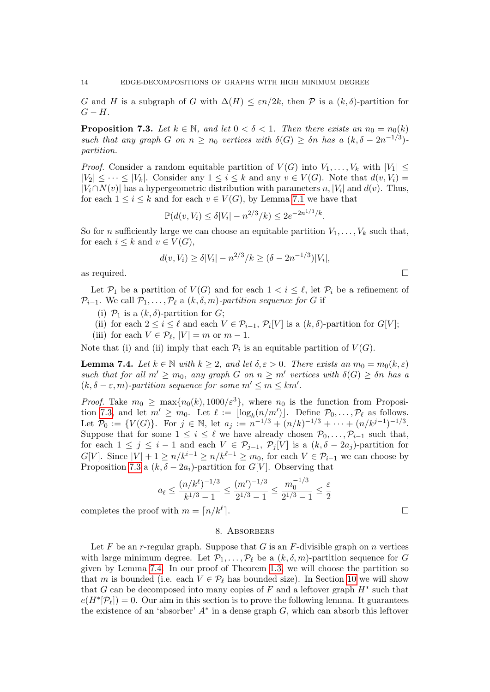G and H is a subgraph of G with  $\Delta(H) \leq \varepsilon n/2k$ , then P is a  $(k, \delta)$ -partition for  $G-H.$ 

<span id="page-13-1"></span>**Proposition 7.3.** Let  $k \in \mathbb{N}$ , and let  $0 < \delta < 1$ . Then there exists an  $n_0 = n_0(k)$ such that any graph G on  $n \geq n_0$  vertices with  $\delta(G) \geq \delta n$  has a  $(k, \delta - 2n^{-1/3})$ . partition.

*Proof.* Consider a random equitable partition of  $V(G)$  into  $V_1, \ldots, V_k$  with  $|V_1| \leq$  $|V_2| \leq \cdots \leq |V_k|$ . Consider any  $1 \leq i \leq k$  and any  $v \in V(G)$ . Note that  $d(v, V_i)$  $|V_i \cap N(v)|$  has a hypergeometric distribution with parameters n,  $|V_i|$  and  $d(v)$ . Thus, for each  $1 \leq i \leq k$  and for each  $v \in V(G)$ , by Lemma [7.1](#page-12-2) we have that

$$
\mathbb{P}(d(v, V_i) \le \delta |V_i| - n^{2/3}/k) \le 2e^{-2n^{1/3}/k}.
$$

So for *n* sufficiently large we can choose an equitable partition  $V_1, \ldots, V_k$  such that, for each  $i \leq k$  and  $v \in V(G)$ ,

$$
d(v, V_i) \ge \delta |V_i| - n^{2/3} / k \ge (\delta - 2n^{-1/3}) |V_i|,
$$

as required.  $\Box$ 

Let  $\mathcal{P}_1$  be a partition of  $V(G)$  and for each  $1 < i \leq \ell$ , let  $\mathcal{P}_i$  be a refinement of  $\mathcal{P}_{i-1}$ . We call  $\mathcal{P}_1, \ldots, \mathcal{P}_{\ell}$  a  $(k, \delta, m)$ -partition sequence for G if

(i)  $\mathcal{P}_1$  is a  $(k, \delta)$ -partition for  $G$ ;

(ii) for each  $2 \leq i \leq \ell$  and each  $V \in \mathcal{P}_{i-1}$ ,  $\mathcal{P}_i[V]$  is a  $(k, \delta)$ -partition for  $G[V]$ ;

(iii) for each  $V \in \mathcal{P}_{\ell}, |V| = m$  or  $m - 1$ .

Note that (i) and (ii) imply that each  $\mathcal{P}_i$  is an equitable partition of  $V(G)$ .

<span id="page-13-2"></span>**Lemma 7.4.** Let  $k \in \mathbb{N}$  with  $k \geq 2$ , and let  $\delta, \varepsilon > 0$ . There exists an  $m_0 = m_0(k, \varepsilon)$ such that for all  $m' \geq m_0$ , any graph G on  $n \geq m'$  vertices with  $\delta(G) \geq \delta n$  has a  $(k, \delta - \varepsilon, m)$ -partition sequence for some  $m' \le m \le km'$ .

*Proof.* Take  $m_0 \ge \max\{n_0(k), 1000/\varepsilon^3\}$ , where  $n_0$  is the function from Proposi-tion [7.3,](#page-13-1) and let  $m' \ge m_0$ . Let  $\ell := \lfloor \log_k(n/m') \rfloor$ . Define  $\mathcal{P}_0, \ldots, \mathcal{P}_\ell$  as follows. Let  $\mathcal{P}_0 := \{V(G)\}\$ . For  $j \in \mathbb{N}$ , let  $a_j := n^{-1/3} + (n/k)^{-1/3} + \cdots + (n/k^{j-1})^{-1/3}$ . Suppose that for some  $1 \leq i \leq \ell$  we have already chosen  $\mathcal{P}_0, \ldots, \mathcal{P}_{i-1}$  such that, for each  $1 \leq j \leq i-1$  and each  $V \in \mathcal{P}_{j-1}$ ,  $\mathcal{P}_j[V]$  is a  $(k, \delta - 2a_j)$ -partition for  $G[V]$ . Since  $|V| + 1 \ge n/k^{i-1} \ge n/k^{\ell-1} \ge m_0$ , for each  $V \in \mathcal{P}_{i-1}$  we can choose by Proposition [7.3](#page-13-1) a  $(k, \delta - 2a_i)$ -partition for  $G[V]$ . Observing that

$$
a_{\ell} \le \frac{(n/k^{\ell})^{-1/3}}{k^{1/3} - 1} \le \frac{(m')^{-1/3}}{2^{1/3} - 1} \le \frac{m_0^{-1/3}}{2^{1/3} - 1} \le \frac{\varepsilon}{2}
$$

completes the proof with  $m = \lceil n/k^{\ell} \rceil$ .  $\Box$ 

#### 8. Absorbers

<span id="page-13-0"></span>Let F be an r-regular graph. Suppose that G is an F-divisible graph on n vertices with large minimum degree. Let  $\mathcal{P}_1, \ldots, \mathcal{P}_\ell$  be a  $(k, \delta, m)$ -partition sequence for G given by Lemma [7.4.](#page-13-2) In our proof of Theorem [1.3,](#page-2-0) we will choose the partition so that m is bounded (i.e. each  $V \in \mathcal{P}_{\ell}$  has bounded size). In Section [10](#page-25-0) we will show that G can be decomposed into many copies of  $F$  and a leftover graph  $H^*$  such that  $e(H^*[\mathcal{P}_l]) = 0$ . Our aim in this section is to prove the following lemma. It guarantees the existence of an 'absorber'  $A^*$  in a dense graph  $G$ , which can absorb this leftover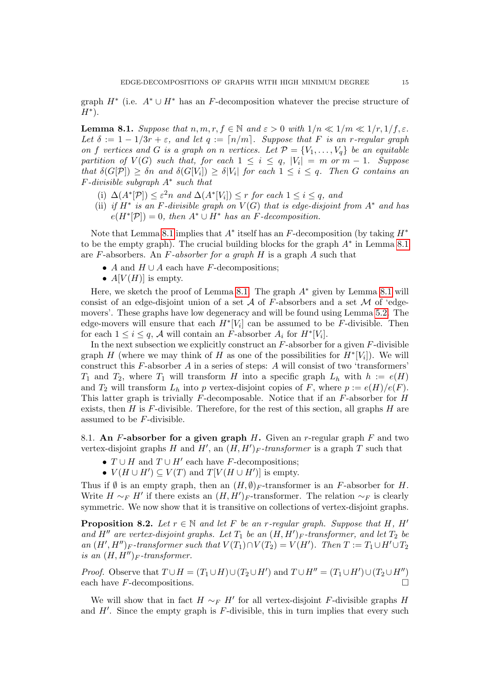graph  $H^*$  (i.e.  $A^* \cup H^*$  has an F-decomposition whatever the precise structure of  $H^*$ ).

<span id="page-14-0"></span>**Lemma 8.1.** Suppose that  $n, m, r, f \in \mathbb{N}$  and  $\varepsilon > 0$  with  $1/n \ll 1/m \ll 1/r, 1/f, \varepsilon$ . Let  $\delta := 1 - 1/3r + \varepsilon$ , and let  $q := \lceil n/m \rceil$ . Suppose that F is an r-regular graph on f vertices and G is a graph on n vertices. Let  $\mathcal{P} = \{V_1, \ldots, V_q\}$  be an equitable partition of  $V(G)$  such that, for each  $1 \leq i \leq q$ ,  $|V_i| = m$  or  $m-1$ . Suppose that  $\delta(G[P]) \geq \delta n$  and  $\delta(G[V_i]) \geq \delta |V_i|$  for each  $1 \leq i \leq q$ . Then G contains an  $F$ -divisible subgraph  $A^*$  such that

- (i)  $\Delta(A^*[\mathcal{P}]) \leq \varepsilon^2 n$  and  $\Delta(A^*[V_i]) \leq r$  for each  $1 \leq i \leq q$ , and
- (ii) if  $H^*$  is an F-divisible graph on  $V(G)$  that is edge-disjoint from  $A^*$  and has  $e(H^*[\mathcal{P}]) = 0$ , then  $A^* \cup H^*$  has an F-decomposition.

Note that Lemma [8.1](#page-14-0) implies that  $A^*$  itself has an F-decomposition (by taking  $H^*$ to be the empty graph). The crucial building blocks for the graph  $A^*$  in Lemma [8.1](#page-14-0) are F-absorbers. An F-absorber for a graph  $H$  is a graph  $A$  such that

- A and  $H \cup A$  each have F-decompositions;
- $A[V(H)]$  is empty.

Here, we sketch the proof of Lemma [8.1.](#page-14-0) The graph  $A^*$  given by Lemma [8.1](#page-14-0) will consist of an edge-disjoint union of a set  $A$  of F-absorbers and a set  $M$  of 'edgemovers'. These graphs have low degeneracy and will be found using Lemma [5.2.](#page-9-2) The edge-movers will ensure that each  $H^*[V_i]$  can be assumed to be F-divisible. Then for each  $1 \leq i \leq q$ , A will contain an F-absorber  $A_i$  for  $H^*[V_i]$ .

In the next subsection we explicitly construct an  $F$ -absorber for a given  $F$ -divisible graph H (where we may think of H as one of the possibilities for  $H^*[V_i]$ ). We will construct this  $F$ -absorber  $A$  in a series of steps:  $A$  will consist of two 'transformers'  $T_1$  and  $T_2$ , where  $T_1$  will transform H into a specific graph  $L_h$  with  $h := e(H)$ and  $T_2$  will transform  $L_h$  into p vertex-disjoint copies of F, where  $p := e(H)/e(F)$ . This latter graph is trivially  $F$ -decomposable. Notice that if an  $F$ -absorber for  $H$ exists, then  $H$  is  $F$ -divisible. Therefore, for the rest of this section, all graphs  $H$  are assumed to be F-divisible.

<span id="page-14-2"></span>8.1. An F-absorber for a given graph  $H$ . Given an r-regular graph  $F$  and two vertex-disjoint graphs H and H', an  $(H, H')_F$ -transformer is a graph T such that

- $T \cup H$  and  $T \cup H'$  each have F-decompositions;
- $V(H \cup H') \subseteq V(T)$  and  $T[V(H \cup H')]$  is empty.

Thus if  $\emptyset$  is an empty graph, then an  $(H, \emptyset)$ <sub>F</sub>-transformer is an F-absorber for H. Write  $H \sim_F H'$  if there exists an  $(H, H')_F$ -transformer. The relation  $\sim_F$  is clearly symmetric. We now show that it is transitive on collections of vertex-disjoint graphs.

<span id="page-14-1"></span>**Proposition 8.2.** Let  $r \in \mathbb{N}$  and let F be an r-regular graph. Suppose that H, H' and H<sup>n</sup> are vertex-disjoint graphs. Let  $T_1$  be an  $(H, H')_F$ -transformer, and let  $T_2$  be an  $(H', H'')_F$ -transformer such that  $V(T_1) \cap V(T_2) = V(H')$ . Then  $T := T_1 \cup H' \cup T_2$ is an  $(H, H'')_F$ -transformer.

*Proof.* Observe that  $T \cup H = (T_1 \cup H) \cup (T_2 \cup H')$  and  $T \cup H'' = (T_1 \cup H') \cup (T_2 \cup H'')$ each have  $F$ -decompositions.

We will show that in fact  $H \sim_F H'$  for all vertex-disjoint F-divisible graphs H and  $H'$ . Since the empty graph is  $F$ -divisible, this in turn implies that every such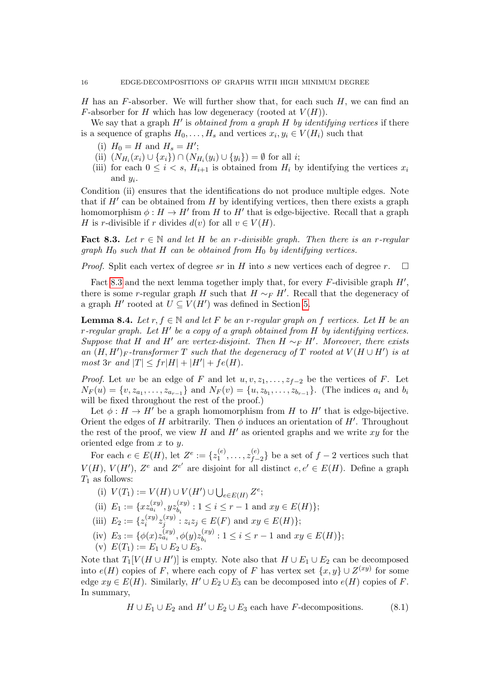H has an F-absorber. We will further show that, for each such  $H$ , we can find an F-absorber for H which has low degeneracy (rooted at  $V(H)$ ).

We say that a graph  $H'$  is *obtained from a graph H by identifying vertices* if there is a sequence of graphs  $H_0, \ldots, H_s$  and vertices  $x_i, y_i \in V(H_i)$  such that

- (i)  $H_0 = H$  and  $H_s = H'$ ;
- (ii)  $(N_{H_i}(x_i) \cup \{x_i\}) \cap (N_{H_i}(y_i) \cup \{y_i\}) = \emptyset$  for all *i*;
- (iii) for each  $0 \leq i \leq s$ ,  $H_{i+1}$  is obtained from  $H_i$  by identifying the vertices  $x_i$ and  $y_i$ .

Condition (ii) ensures that the identifications do not produce multiple edges. Note that if  $H'$  can be obtained from  $H$  by identifying vertices, then there exists a graph homomorphism  $\phi: H \to H'$  from H to H<sup>t</sup> that is edge-bijective. Recall that a graph H is r-divisible if r divides  $d(v)$  for all  $v \in V(H)$ .

<span id="page-15-0"></span>Fact 8.3. Let  $r \in \mathbb{N}$  and let H be an r-divisible graph. Then there is an r-regular graph  $H_0$  such that H can be obtained from  $H_0$  by identifying vertices.

*Proof.* Split each vertex of degree sr in H into s new vertices each of degree r.  $\square$ 

Fact [8.3](#page-15-0) and the next lemma together imply that, for every  $F$ -divisible graph  $H'$ , there is some r-regular graph H such that  $H \sim_F H'$ . Recall that the degeneracy of a graph  $H'$  rooted at  $U \subseteq V(H')$  was defined in Section [5.](#page-7-1)

<span id="page-15-2"></span>**Lemma 8.4.** Let r,  $f \in \mathbb{N}$  and let F be an r-regular graph on f vertices. Let H be an  $r$ -regular graph. Let  $H'$  be a copy of a graph obtained from  $H$  by identifying vertices. Suppose that H and H' are vertex-disjoint. Then  $H \sim_F H'$ . Moreover, there exists an  $(H, H')_F$ -transformer T such that the degeneracy of T rooted at  $V(H \cup H')$  is at most 3r and  $|T| \leq fr|H| + |H'| + fe(H)$ .

*Proof.* Let uv be an edge of F and let  $u, v, z_1, \ldots, z_{f-2}$  be the vertices of F. Let  $N_F(u) = \{v, z_{a_1}, \ldots, z_{a_{r-1}}\}$  and  $N_F(v) = \{u, z_{b_1}, \ldots, z_{b_{r-1}}\}$ . (The indices  $a_i$  and  $b_i$ will be fixed throughout the rest of the proof.)

Let  $\phi: H \to H'$  be a graph homomorphism from H to H<sup>t</sup> that is edge-bijective. Orient the edges of H arbitrarily. Then  $\phi$  induces an orientation of H'. Throughout the rest of the proof, we view H and H' as oriented graphs and we write  $xy$  for the oriented edge from  $x$  to  $y$ .

For each  $e \in E(H)$ , let  $Z^e := \{z_1^{(e)}\}$  $z_1^{(e)},\ldots,z_{f-}^{(e)}$  ${e \choose f-2}$  be a set of  $f-2$  vertices such that  $V(H)$ ,  $V(H')$ ,  $Z^e$  and  $Z^{e'}$  are disjoint for all distinct  $e, e' \in E(H)$ . Define a graph  $T_1$  as follows:

- (i)  $V(T_1) := V(H) \cup V(H') \cup \bigcup_{e \in E(H)} Z^e;$
- (ii)  $E_1 := \{x z_{a_i}^{(xy)}, y z_{b_i}^{(xy)}\}$  $b_i^{(xy)}$ :  $1 \le i \le r - 1$  and  $xy \in E(H)$ ;
- (iii)  $E_2 := \{z_i^{(xy)}\}$  $\genfrac{(}{)}{0pt}{}{(xy)}{z_j^{\left(xy\right)}}$  $j_j^{(xy)}$ :  $z_i z_j \in E(F)$  and  $xy \in E(H)$ ;
- (iv)  $E_3 := \{ \phi(x) z_{a_i}^{(xy)}, \phi(y) z_{b_i}^{(xy)} \}$  $b_i^{(xy)}$ :  $1 \le i \le r - 1$  and  $xy \in E(H)$ ;
- (v)  $E(T_1) := E_1 \cup E_2 \cup E_3$ .

Note that  $T_1[V(H \cup H')]$  is empty. Note also that  $H \cup E_1 \cup E_2$  can be decomposed into  $e(H)$  copies of F, where each copy of F has vertex set  $\{x, y\} \cup Z^{(xy)}$  for some edge  $xy \in E(H)$ . Similarly,  $H' \cup E_2 \cup E_3$  can be decomposed into  $e(H)$  copies of F. In summary,

<span id="page-15-1"></span> $H \cup E_1 \cup E_2$  and  $H' \cup E_2 \cup E_3$  each have F-decompositions. (8.1)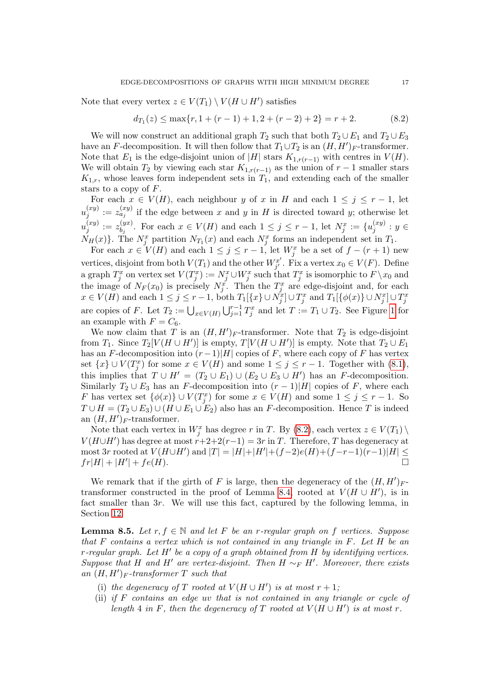Note that every vertex  $z \in V(T_1) \setminus V(H \cup H')$  satisfies

<span id="page-16-0"></span>
$$
d_{T_1}(z) \le \max\{r, 1 + (r - 1) + 1, 2 + (r - 2) + 2\} = r + 2. \tag{8.2}
$$

We will now construct an additional graph  $T_2$  such that both  $T_2 \cup E_1$  and  $T_2 \cup E_3$ have an F-decomposition. It will then follow that  $T_1 \cup T_2$  is an  $(H, H')_F$ -transformer. Note that  $E_1$  is the edge-disjoint union of |H| stars  $K_{1,r(r-1)}$  with centres in  $V(H)$ . We will obtain  $T_2$  by viewing each star  $K_{1,r(r-1)}$  as the union of  $r-1$  smaller stars  $K_{1,r}$ , whose leaves form independent sets in  $T_1$ , and extending each of the smaller stars to a copy of F.

For each  $x \in V(H)$ , each neighbour y of x in H and each  $1 \leq j \leq r-1$ , let  $u_i^{(xy)}$  $j^{(xy)}_{j} := z_{a_j}^{(xy)}$  if the edge between x and y in H is directed toward y; otherwise let  $u_i^{(xy)}$  $\stackrel{(xy)}{j}:=z_{b_j}^{(yx)}$  $\sum_{b_j}^{(yx)}$ . For each  $x \in V(H)$  and each  $1 \leq j \leq r-1$ , let  $N_j^x := \{u_j^{(xy)}\}$  $y_j^{(xy)}: y \in$  $N_H(x)$ . The  $N_j^x$  partition  $N_{T_1}(x)$  and each  $N_j^x$  forms an independent set in  $T_1$ .

For each  $x \in V(H)$  and each  $1 \leq j \leq r-1$ , let  $W_j^x$  be a set of  $f - (r + 1)$  new vertices, disjoint from both  $V(T_1)$  and the other  $W_{j'}^{x'}$  $j'$ . Fix a vertex  $x_0 \in V(F)$ . Define a graph  $T_j^x$  on vertex set  $V(T_j^x) := N_j^x \cup W_j^x$  such that  $T_j^x$  is isomorphic to  $F \setminus x_0$  and the image of  $N_F(x_0)$  is precisely  $N_j^x$ . Then the  $T_j^x$  are edge-disjoint and, for each  $x \in V(H)$  and each  $1 \leq j \leq r-1$ , both  $T_1[\lbrace x \rbrace \cup N_j^x] \cup T_j^x$  and  $T_1[\lbrace \phi(x) \rbrace \cup N_j^x] \cup T_j^x$ are copies of F. Let  $T_2 := \bigcup_{x \in V(H)} \bigcup_{j=1}^{r-1} T_j^x$  and let  $T := T_1 \cup T_2$ . See Figure [1](#page-17-0) for an example with  $F = C_6$ .

We now claim that T is an  $(H, H')_F$ -transformer. Note that  $T_2$  is edge-disjoint from  $T_1$ . Since  $T_2[V(H \cup H')]$  is empty,  $T[V(H \cup H')]$  is empty. Note that  $T_2 \cup E_1$ has an F-decomposition into  $(r-1)|H|$  copies of F, where each copy of F has vertex set  $\{x\} \cup V(T_j^x)$  for some  $x \in V(H)$  and some  $1 \leq j \leq r-1$ . Together with  $(8.1)$ , this implies that  $T \cup H' = (T_2 \cup E_1) \cup (E_2 \cup E_3 \cup H')$  has an F-decomposition. Similarly  $T_2 \cup E_3$  has an F-decomposition into  $(r-1)|H|$  copies of F, where each F has vertex set  $\{\phi(x)\}\cup V(T_j^x)$  for some  $x\in V(H)$  and some  $1\leq j\leq r-1$ . So  $T \cup H = (T_2 \cup E_3) \cup (H \cup E_1 \cup E_2)$  also has an F-decomposition. Hence T is indeed an  $(H, H')_F$ -transformer.

Note that each vertex in  $W_j^x$  has degree r in T. By [\(8.2\)](#page-16-0), each vertex  $z \in V(T_1) \setminus$  $V(H \cup H')$  has degree at most  $r+2+2(r-1) = 3r$  in T. Therefore, T has degeneracy at most 3r rooted at  $V(H \cup H')$  and  $|T| = |H| + |H'| + (f-2)e(H) + (f-r-1)(r-1)|H| \le$  $fr|H| + |H'| + fe(H).$ 

We remark that if the girth of F is large, then the degeneracy of the  $(H, H')_{F}$ transformer constructed in the proof of Lemma [8.4,](#page-15-2) rooted at  $V(H \cup H')$ , is in fact smaller than 3r. We will use this fact, captured by the following lemma, in Section [12.](#page-35-0)

<span id="page-16-1"></span>**Lemma 8.5.** Let  $r, f \in \mathbb{N}$  and let F be an r-regular graph on f vertices. Suppose that F contains a vertex which is not contained in any triangle in F. Let H be an r-regular graph. Let  $H'$  be a copy of a graph obtained from  $H$  by identifying vertices. Suppose that H and H' are vertex-disjoint. Then  $H \sim_F H'$ . Moreover, there exists an  $(H, H')_F$ -transformer T such that

- (i) the degeneracy of T rooted at  $V(H \cup H')$  is at most  $r + 1$ ;
- (ii) if F contains an edge uv that is not contained in any triangle or cycle of length 4 in F, then the degeneracy of T rooted at  $V(H \cup H')$  is at most r.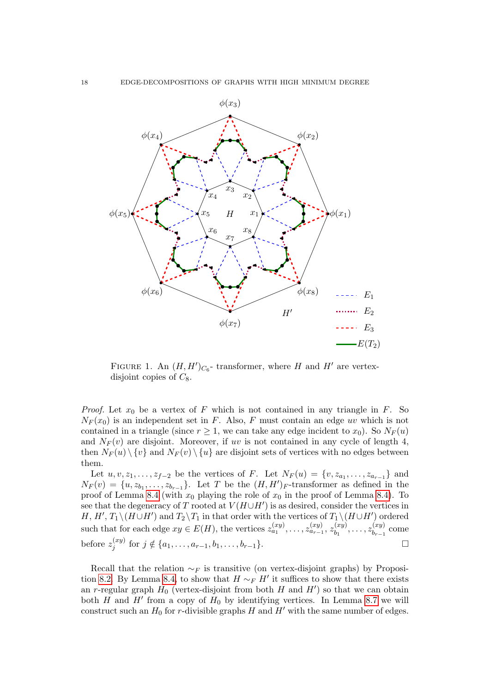

<span id="page-17-0"></span>FIGURE 1. An  $(H, H')_{C_6}$ - transformer, where H and H' are vertexdisjoint copies of  $C_8$ .

*Proof.* Let  $x_0$  be a vertex of F which is not contained in any triangle in F. So  $N_F(x_0)$  is an independent set in F. Also, F must contain an edge uv which is not contained in a triangle (since  $r \geq 1$ , we can take any edge incident to  $x_0$ ). So  $N_F(u)$ and  $N_F(v)$  are disjoint. Moreover, if uv is not contained in any cycle of length 4, then  $N_F(u) \setminus \{v\}$  and  $N_F(v) \setminus \{u\}$  are disjoint sets of vertices with no edges between them.

Let  $u, v, z_1, \ldots, z_{f-2}$  be the vertices of F. Let  $N_F(u) = \{v, z_{a_1}, \ldots, z_{a_{r-1}}\}$  and  $N_F(v) = \{u, z_{b_1}, \ldots, z_{b_{r-1}}\}$ . Let T be the  $(H, H')_F$ -transformer as defined in the proof of Lemma [8.4](#page-15-2) (with  $x_0$  playing the role of  $x_0$  in the proof of Lemma [8.4\)](#page-15-2). To see that the degeneracy of T rooted at  $V(H\cup H')$  is as desired, consider the vertices in  $H, H', T_1 \setminus (H \cup H')$  and  $T_2 \setminus T_1$  in that order with the vertices of  $T_1 \setminus (H \cup H')$  ordered such that for each edge  $xy \in E(H)$ , the vertices  $z_{a_1}^{(xy)}, \ldots, z_{a_{r-1}}^{(xy)}, z_{b_1}^{(xy)}$  $z_{b_1}^{(xy)},\ldots,z_{b_{r-1}}^{(xy)}$  $\sum_{b_{r-1}}^{(xy)}$  come before  $z_i^{(xy)}$  $j^{(xy)}$  for  $j \notin \{a_1, \ldots, a_{r-1}, b_1, \ldots, b_{r-1}\}.$ 

Recall that the relation  $\sim_F$  is transitive (on vertex-disjoint graphs) by Proposi-tion [8.2.](#page-14-1) By Lemma [8.4,](#page-15-2) to show that  $H \sim_F H'$  it suffices to show that there exists an r-regular graph  $H_0$  (vertex-disjoint from both H and H') so that we can obtain both  $H$  and  $H'$  from a copy of  $H_0$  by identifying vertices. In Lemma [8.7](#page-18-0) we will construct such an  $H_0$  for r-divisible graphs H and H' with the same number of edges.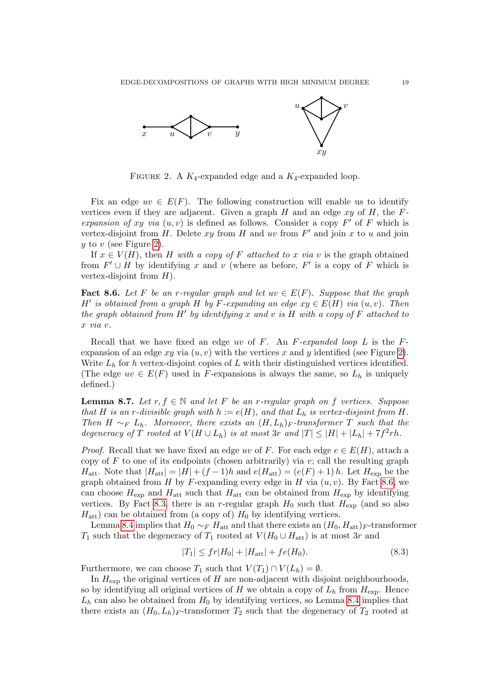

<span id="page-18-1"></span>FIGURE 2. A  $K_4$ -expanded edge and a  $K_4$ -expanded loop.

Fix an edge  $uv \in E(F)$ . The following construction will enable us to identify vertices even if they are adjacent. Given a graph H and an edge  $xy$  of H, the Fexpansion of xy via  $(u, v)$  is defined as follows. Consider a copy  $F'$  of F which is vertex-disjoint from  $H$ . Delete  $xy$  from  $H$  and  $uv$  from  $F'$  and join  $x$  to  $u$  and join  $y$  to  $v$  (see Figure [2\)](#page-18-1).

If  $x \in V(H)$ , then H with a copy of F attached to x via v is the graph obtained from  $F' \cup H$  by identifying x and v (where as before, F' is a copy of F which is vertex-disjoint from  $H$ ).

<span id="page-18-2"></span>**Fact 8.6.** Let F be an r-regular graph and let  $uv \in E(F)$ . Suppose that the graph H' is obtained from a graph H by F-expanding an edge  $xy \in E(H)$  via  $(u, v)$ . Then the graph obtained from  $H'$  by identifying x and v is H with a copy of F attached to x via v.

Recall that we have fixed an edge uv of  $F$ . An  $F$ -expanded loop  $L$  is the  $F$ expansion of an edge  $xy$  via  $(u, v)$  with the vertices x and y identified (see Figure [2\)](#page-18-1). Write  $L<sub>h</sub>$  for h vertex-disjoint copies of L with their distinguished vertices identified. (The edge  $uv \in E(F)$  used in F-expansions is always the same, so  $L_h$  is uniquely defined.)

<span id="page-18-0"></span>**Lemma 8.7.** Let  $r, f \in \mathbb{N}$  and let F be an r-regular graph on f vertices. Suppose that H is an r-divisible graph with  $h := e(H)$ , and that  $L_h$  is vertex-disjoint from H. Then H  $\sim_F L_h$ . Moreover, there exists an  $(H, L_h)$ <sub>F</sub>-transformer T such that the degeneracy of T rooted at  $V(H \cup L_h)$  is at most 3r and  $|T| \leq |H| + |L_h| + 7f^2rh$ .

*Proof.* Recall that we have fixed an edge uv of F. For each edge  $e \in E(H)$ , attach a copy of F to one of its endpoints (chosen arbitrarily) via  $v$ ; call the resulting graph  $H_{\text{att}}$ . Note that  $|H_{\text{att}}| = |H| + (f-1)h$  and  $e(H_{\text{att}}) = (e(F) + 1)h$ . Let  $H_{\text{exp}}$  be the graph obtained from H by F-expanding every edge in H via  $(u, v)$ . By Fact [8.6,](#page-18-2) we can choose  $H_{\text{exp}}$  and  $H_{\text{att}}$  such that  $H_{\text{att}}$  can be obtained from  $H_{\text{exp}}$  by identifying vertices. By Fact [8.3,](#page-15-0) there is an r-regular graph  $H_0$  such that  $H_{\text{exp}}$  (and so also  $H_{\text{att}}$ ) can be obtained from (a copy of)  $H_0$  by identifying vertices.

Lemma [8.4](#page-15-2) implies that  $H_0 \sim_F H_{\text{att}}$  and that there exists an  $(H_0, H_{\text{att}})_F$ -transformer  $T_1$  such that the degeneracy of  $T_1$  rooted at  $V(H_0 \cup H_{\text{att}})$  is at most 3r and

<span id="page-18-3"></span>
$$
|T_1| \le fr|H_0| + |H_{\text{att}}| + fe(H_0). \tag{8.3}
$$

Furthermore, we can choose  $T_1$  such that  $V(T_1) \cap V(L_h) = \emptyset$ .

In  $H_{\text{exp}}$  the original vertices of H are non-adjacent with disjoint neighbourhoods, so by identifying all original vertices of H we obtain a copy of  $L<sub>h</sub>$  from  $H<sub>exp</sub>$ . Hence  $L<sub>h</sub>$  can also be obtained from  $H<sub>0</sub>$  by identifying vertices, so Lemma [8.4](#page-15-2) implies that there exists an  $(H_0, L_h)$ <sub>F</sub>-transformer  $T_2$  such that the degeneracy of  $T_2$  rooted at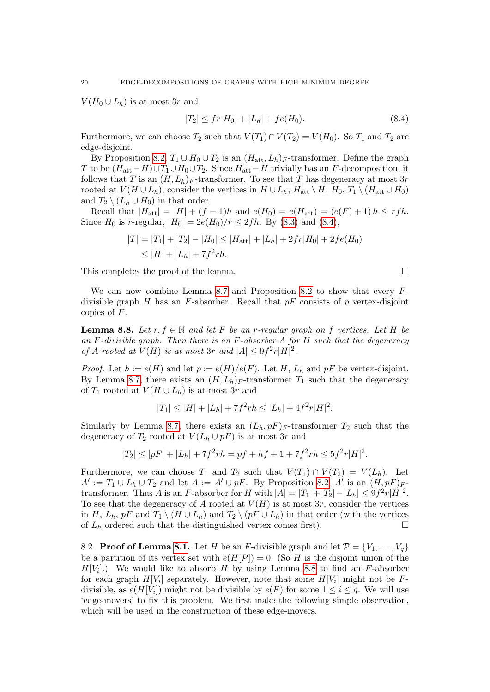$V(H_0 \cup L_h)$  is at most 3r and

$$
|T_2| \le fr|H_0| + |L_h| + fe(H_0). \tag{8.4}
$$

Furthermore, we can choose  $T_2$  such that  $V(T_1) \cap V(T_2) = V(H_0)$ . So  $T_1$  and  $T_2$  are edge-disjoint.

By Proposition [8.2,](#page-14-1)  $T_1 \cup H_0 \cup T_2$  is an  $(H_{\text{att}}, L_h)$ <sub>F</sub>-transformer. Define the graph T to be  $(H_{\text{att}}-H) \cup T_1 \cup H_0 \cup T_2$ . Since  $H_{\text{att}}-H$  trivially has an F-decomposition, it follows that T is an  $(H, L_h)$ <sub>F</sub>-transformer. To see that T has degeneracy at most 3r rooted at  $V(H \cup L_h)$ , consider the vertices in  $H \cup L_h$ ,  $H_{\text{att}} \setminus H$ ,  $H_0$ ,  $T_1 \setminus (H_{\text{att}} \cup H_0)$ and  $T_2 \setminus (L_h \cup H_0)$  in that order.

Recall that  $|H_{\text{att}}| = |H| + (f - 1)h$  and  $e(H_0) = e(H_{\text{att}}) = (e(F) + 1)h \leq rfh$ . Since  $H_0$  is r-regular,  $|H_0| = 2e(H_0)/r \le 2fh$ . By [\(8.3\)](#page-18-3) and [\(8.4\)](#page-19-0),

$$
|T| = |T_1| + |T_2| - |H_0| \le |H_{\text{att}}| + |L_h| + 2fr|H_0| + 2fe(H_0)
$$
  

$$
\le |H| + |L_h| + 7f^2rh.
$$

This completes the proof of the lemma.

We can now combine Lemma [8.7](#page-18-0) and Proposition [8.2](#page-14-1) to show that every  $F$ divisible graph H has an F-absorber. Recall that  $pF$  consists of p vertex-disjoint copies of F.

<span id="page-19-1"></span>**Lemma 8.8.** Let r,  $f \in \mathbb{N}$  and let F be an r-regular graph on f vertices. Let H be an F-divisible graph. Then there is an F-absorber  $A$  for  $H$  such that the degeneracy of A rooted at  $V(H)$  is at most 3r and  $|A| \leq 9f^2r|H|^2$ .

*Proof.* Let  $h := e(H)$  and let  $p := e(H)/e(F)$ . Let H,  $L_h$  and  $pF$  be vertex-disjoint. By Lemma [8.7,](#page-18-0) there exists an  $(H, L_h)$ <sub>F</sub>-transformer  $T_1$  such that the degeneracy of  $T_1$  rooted at  $V(H \cup L_h)$  is at most 3r and

$$
|T_1| \le |H| + |L_h| + 7f^2rh \le |L_h| + 4f^2r|H|^2.
$$

Similarly by Lemma [8.7,](#page-18-0) there exists an  $(L_h, pF)_F$ -transformer  $T_2$  such that the degeneracy of  $T_2$  rooted at  $V(L_h \cup pF)$  is at most 3r and

$$
|T_2| \le |pF| + |L_h| + 7f^2rh = pf + hf + 1 + 7f^2rh \le 5f^2r|H|^2.
$$

Furthermore, we can choose  $T_1$  and  $T_2$  such that  $V(T_1) \cap V(T_2) = V(L_h)$ . Let  $A' := T_1 \cup L_h \cup T_2$  and let  $A := A' \cup pF$ . By Proposition [8.2,](#page-14-1) A' is an  $(H, pF)_{F}$ transformer. Thus A is an F-absorber for H with  $|A| = |T_1| + |T_2| - |L_h| \leq 9f^2r|H|^2$ . To see that the degeneracy of A rooted at  $V(H)$  is at most 3r, consider the vertices in H,  $L_h$ , pF and  $T_1 \setminus (H \cup L_h)$  and  $T_2 \setminus (pF \cup L_h)$  in that order (with the vertices of  $L_h$  ordered such that the distinguished vertex comes first).

8.2. **Proof of Lemma [8.1.](#page-14-0)** Let H be an F-divisible graph and let  $\mathcal{P} = \{V_1, \ldots, V_q\}$ be a partition of its vertex set with  $e(H[\mathcal{P}]) = 0$ . (So H is the disjoint union of the  $H[V_i]$ .) We would like to absorb H by using Lemma [8.8](#page-19-1) to find an F-absorber for each graph  $H[V_i]$  separately. However, note that some  $H[V_i]$  might not be Fdivisible, as  $e(H[V_i])$  might not be divisible by  $e(F)$  for some  $1 \leq i \leq q$ . We will use 'edge-movers' to fix this problem. We first make the following simple observation, which will be used in the construction of these edge-movers.

<span id="page-19-0"></span>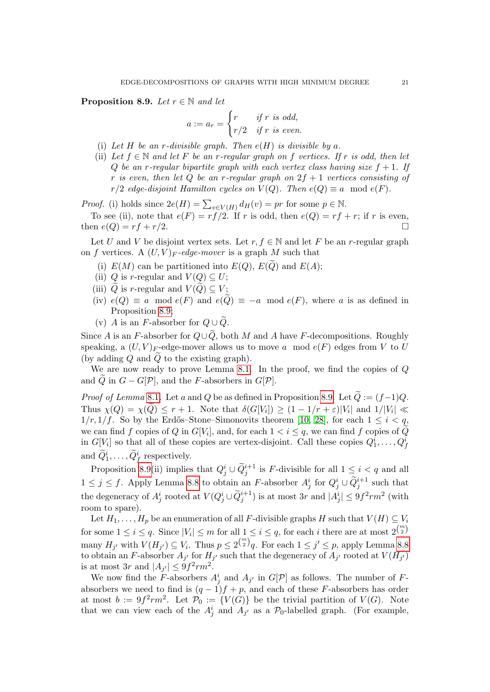<span id="page-20-0"></span>**Proposition 8.9.** Let  $r \in \mathbb{N}$  and let

$$
a := a_r = \begin{cases} r & \text{if } r \text{ is odd,} \\ r/2 & \text{if } r \text{ is even.} \end{cases}
$$

- (i) Let H be an r-divisible graph. Then  $e(H)$  is divisible by a.
- (ii) Let  $f \in \mathbb{N}$  and let F be an r-regular graph on f vertices. If r is odd, then let Q be an r-regular bipartite graph with each vertex class having size  $f + 1$ . If r is even, then let Q be an r-regular graph on  $2f + 1$  vertices consisting of  $r/2$  edge-disjoint Hamilton cycles on  $V(Q)$ . Then  $e(Q) \equiv a \mod e(F)$ .

*Proof.* (i) holds since  $2e(H) = \sum_{v \in V(H)} d_H(v) = pr$  for some  $p \in \mathbb{N}$ .

To see (ii), note that  $e(F) = rf/2$ . If r is odd, then  $e(Q) = rf + r$ ; if r is even, then  $e(Q) = rf + r/2$ .

Let U and V be disjoint vertex sets. Let r,  $f \in \mathbb{N}$  and let F be an r-regular graph on f vertices. A  $(U, V)_F$ -edge-mover is a graph M such that

- (i)  $E(M)$  can be partitioned into  $E(Q)$ ,  $E(\widetilde{Q})$  and  $E(A)$ ;
- (ii) Q is r-regular and  $V(Q) \subseteq U$ ;
- (iii) Q is r-regular and  $V(Q) \subseteq V$ ;
- (iv)  $e(Q) \equiv a \mod e(F)$  and  $e(Q) \equiv -a \mod e(F)$ , where a is as defined in Proposition [8.9;](#page-20-0)
- (v) A is an F-absorber for  $Q \cup \widetilde{Q}$ .

Since A is an F-absorber for  $Q\cup\widetilde{Q}$ , both M and A have F-decompositions. Roughly speaking, a  $(U, V)_F$ -edge-mover allows us to move a mod  $e(F)$  edges from V to U (by adding  $Q$  and  $\overline{Q}$  to the existing graph).

We are now ready to prove Lemma [8.1.](#page-14-0) In the proof, we find the copies of  $Q$ and Q in  $G - G[\mathcal{P}]$ , and the F-absorbers in  $G[\mathcal{P}]$ .

*Proof of Lemma* [8](#page-14-0).1. Let a and Q be as defined in Proposition [8.9.](#page-20-0) Let  $\tilde{Q} := (f-1)Q$ . Thus  $\chi(Q) = \chi(Q) \leq r + 1$ . Note that  $\delta(G[V_i]) \geq (1 - 1/r + \varepsilon)|V_i|$  and  $1/|V_i| \ll$  $1/r, 1/f$ . So by the Erdős–Stone–Simonovits theorem [\[10,](#page-39-19) [28\]](#page-39-20), for each  $1 \leq i < q$ , we can find f copies of Q in  $G[V_i]$ , and, for each  $1 < i \leq q$ , we can find f copies of Q in  $G[V_i]$  so that all of these copies are vertex-disjoint. Call these copies  $Q_1^i, \ldots, Q_f^i$ and  $\widetilde{Q}_1^i, \ldots, \widetilde{Q}_f^i$  respectively.

Proposition [8.9\(](#page-20-0)ii) implies that  $Q_j^i \cup \widetilde{Q}_j^{i+1}$  is F-divisible for all  $1 \leq i < q$  and all  $1 \leq j \leq f$ . Apply Lemma [8.8](#page-19-1) to obtain an F-absorber  $A_j^i$  for  $Q_j^i \cup \widetilde{Q}_j^{i+1}$  such that the degeneracy of  $A_j^i$  rooted at  $V(Q_j^i \cup \widetilde{Q}_j^{i+1})$  is at most  $3r$  and  $|A_j^i| \leq 9f^2rm^2$  (with room to spare).

Let  $H_1, \ldots, H_p$  be an enumeration of all F-divisible graphs H such that  $V(H) \subseteq V_i$ for some  $1 \leq i \leq q$ . Since  $|V_i| \leq m$  for all  $1 \leq i \leq q$ , for each i there are at most  $2^{\binom{m}{2}}$ many  $H_{j'}$  with  $V(H_{j'}) \subseteq V_i$ . Thus  $p \leq 2^{\binom{m}{2}}q$ . For each  $1 \leq j' \leq p$ , apply Lemma [8.8](#page-19-1) to obtain an F-absorber  $A_{j'}$  for  $H_{j'}$  such that the degeneracy of  $A_{j'}$  rooted at  $V(H_{j'})$ is at most 3r and  $|A_{j'}| \leq 9f^2rm^2$ .

We now find the F-absorbers  $A_j^i$  and  $A_{j'}$  in  $G[\mathcal{P}]$  as follows. The number of Fabsorbers we need to find is  $(q - 1)f + p$ , and each of these F-absorbers has order at most  $b := 9f^2rm^2$ . Let  $\mathcal{P}_0 := \{V(G)\}\$ be the trivial partition of  $V(G)$ . Note that we can view each of the  $A_j^i$  and  $A_{j'}$  as a  $\mathcal{P}_0$ -labelled graph. (For example,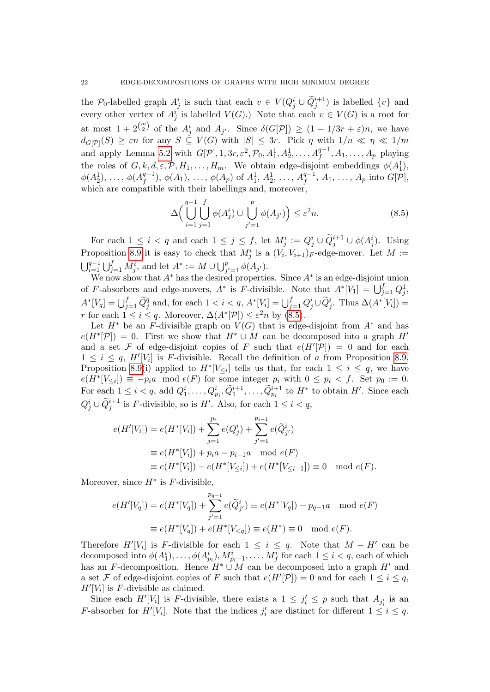the  $\mathcal{P}_0$ -labelled graph  $A_j^i$  is such that each  $v \in V(Q_j^i \cup \tilde{Q}_j^{i+1})$  is labelled  $\{v\}$  and every other vertex of  $A_j^i$  is labelled  $V(G)$ .) Note that each  $v \in V(G)$  is a root for at most  $1+2^{\binom{m}{2}}$  of the  $A_j^i$  and  $A_{j'}$ . Since  $\delta(G[\mathcal{P}]) \geq (1-1/3r+\varepsilon)n$ , we have  $d_{G[\mathcal{P}]}(S) \geq \varepsilon n$  for any  $S \subseteq V(G)$  with  $|S| \leq 3r$ . Pick  $\eta$  with  $1/n \ll \eta \ll 1/m$ and apply Lemma [5.2](#page-9-2) with  $G[\mathcal{P}], 1, 3r, \varepsilon^2, \mathcal{P}_0, A_1^1, A_2^1, \ldots, A_f^{q-1}, A_1, \ldots, A_p$  playing the roles of  $G, k, d, \varepsilon, \mathcal{P}, H_1, \ldots, H_m$ . We obtain edge-disjoint embeddings  $\phi(A_1^1)$ ,  $\phi(A_2^1), \ldots, \phi(A_f^{q-1})$  $f^{q-1}_{f}$ ),  $\phi(A_1)$ , ...,  $\phi(A_p)$  of  $A_1^1$ ,  $A_2^1$ , ...,  $A_f^{q-1}$  $_{f}^{q-1}, A_1, \ldots, A_p \text{ into } G[\mathcal{P}],$ which are compatible with their labellings and, moreover,

<span id="page-21-0"></span>
$$
\Delta \Big(\bigcup_{i=1}^{q-1} \bigcup_{j=1}^{f} \phi(A_j^i) \cup \bigcup_{j'=1}^{p} \phi(A_{j'})\Big) \leq \varepsilon^2 n. \tag{8.5}
$$

For each  $1 \leq i < q$  and each  $1 \leq j \leq f$ , let  $M_j^i := Q_j^i \cup \widetilde{Q}_j^{i+1} \cup \phi(A_j^i)$ . Using Proposition [8.9](#page-20-0) it is easy to check that  $M_j^i$  is a  $(V_i, V_{i+1})_F$ -edge-mover. Let  $M :=$  $\bigcup_{i=1}^{q-1} \bigcup_{j=1}^{f} M_j^i$ , and let  $A^* := M \cup \bigcup_{j'=1}^{p} \phi(A_{j'}).$ 

We now show that  $A^*$  has the desired properties. Since  $A^*$  is an edge-disjoint union of F-absorbers and edge-movers,  $A^*$  is F-divisible. Note that  $A^*[V_1] = \bigcup_{j=1}^f Q_j^1$ ,  $A^*[V_q] = \bigcup_{j=1}^f \widetilde{Q}_j^q$  and, for each  $1 < i < q$ ,  $A^*[V_i] = \bigcup_{j=1}^f Q_j^i \cup \widetilde{Q}_j^i$ . Thus  $\Delta(A^*[V_i]) =$ r for each  $1 \leq i \leq q$ . Moreover,  $\Delta(A^*[\mathcal{P}]) \leq \varepsilon^2 n$  by  $(8.5)$ .

Let  $H^*$  be an F-divisible graph on  $V(G)$  that is edge-disjoint from  $A^*$  and has  $e(H^*[\mathcal{P}]) = 0$ . First we show that  $H^* \cup M$  can be decomposed into a graph  $H'$ and a set F of edge-disjoint copies of F such that  $e(H'|\mathcal{P}|) = 0$  and for each  $1 \leq i \leq q$ ,  $H'[V_i]$  is *F*-divisible. Recall the definition of a from Proposition [8.9.](#page-20-0) Proposition [8.9\(](#page-20-0)i) applied to  $H^*[V_{\leq i}]$  tells us that, for each  $1 \leq i \leq q$ , we have  $e(H^*[V_{\leq i}]) \equiv -p_i a \mod e(F)$  for some integer  $p_i$  with  $0 \leq p_i < f$ . Set  $p_0 := 0$ . For each  $1 \leq i < q$ , add  $Q_1^i, \ldots, Q_{p_i}^i, \widetilde{Q}_1^{i+1}, \ldots, \widetilde{Q}_{p_i}^{i+1}$  to  $H^*$  to obtain  $H'$ . Since each  $Q_j^i \cup \widetilde{Q}_j^{i+1}$  is F-divisible, so is H'. Also, for each  $1 \leq i < q$ ,

$$
e(H'[V_i]) = e(H^*[V_i]) + \sum_{j=1}^{p_i} e(Q_j^i) + \sum_{j'=1}^{p_{i-1}} e(\widetilde{Q}_{j'}^i)
$$
  
\n
$$
\equiv e(H^*[V_i]) + p_i a - p_{i-1} a \mod e(F)
$$
  
\n
$$
\equiv e(H^*[V_i]) - e(H^*[V_{\leq i}]) + e(H^*[V_{\leq i-1}]) \equiv 0 \mod e(F).
$$

Moreover, since  $H^*$  is  $F$ -divisible,

$$
e(H'[V_q]) = e(H^*[V_q]) + \sum_{j'=1}^{p_{q-1}} e(\widetilde{Q}_{j'}^i) \equiv e(H^*[V_q]) - p_{q-1}a \mod e(F)
$$
  

$$
\equiv e(H^*[V_q]) + e(H^*[V_{\leq q}]) \equiv e(H^*) \equiv 0 \mod e(F).
$$

Therefore  $H'[V_i]$  is F-divisible for each  $1 \leq i \leq q$ . Note that  $M - H'$  can be decomposed into  $\phi(A_1^i), \ldots, \phi(A_{p_i}^i), M_{p_i+1}^i, \ldots, M_f^i$  for each  $1 \leq i < q$ , each of which has an F-decomposition. Hence  $H^* \cup M$  can be decomposed into a graph  $H'$  and a set F of edge-disjoint copies of F such that  $e(H'[\mathcal{P}]) = 0$  and for each  $1 \leq i \leq q$ ,  $H'[V_i]$  is F-divisible as claimed.

Since each  $H'[V_i]$  is F-divisible, there exists a  $1 \leq j'_i \leq p$  such that  $A_{j'_i}$  is an *F*-absorber for  $H'[V_i]$ . Note that the indices  $j'_i$  are distinct for different  $1 \leq i \leq q$ .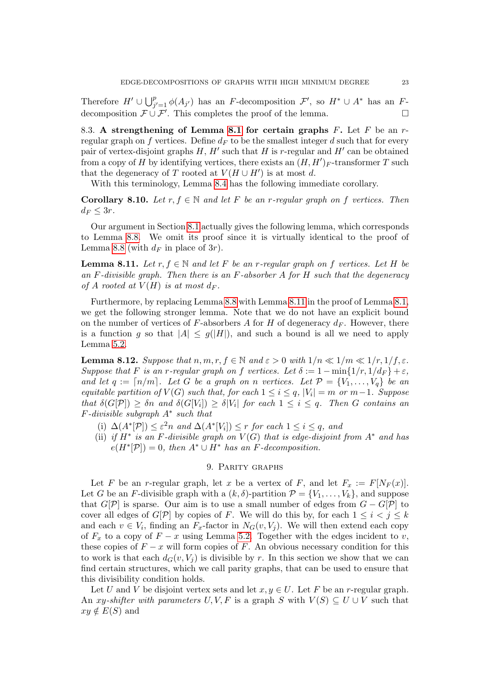Therefore  $H' \cup \bigcup_{j'=1}^p \phi(A_{j'})$  has an F-decomposition  $\mathcal{F}',$  so  $H^* \cup A^*$  has an Fdecomposition  $\mathcal{F} \cup \mathcal{F}'$ . This completes the proof of the lemma.

<span id="page-22-2"></span>8.3. A strengthening of Lemma [8.1](#page-14-0) for certain graphs  $F$ . Let  $F$  be an  $r$ regular graph on f vertices. Define  $d_F$  to be the smallest integer d such that for every pair of vertex-disjoint graphs  $H$ ,  $H'$  such that  $H$  is r-regular and  $H'$  can be obtained from a copy of H by identifying vertices, there exists an  $(H, H')_F$ -transformer T such that the degeneracy of T rooted at  $V(H \cup H')$  is at most d.

With this terminology, Lemma [8.4](#page-15-2) has the following immediate corollary.

<span id="page-22-4"></span>**Corollary 8.10.** Let  $r, f \in \mathbb{N}$  and let F be an r-regular graph on f vertices. Then  $d_F \leq 3r$ .

Our argument in Section [8.1](#page-14-2) actually gives the following lemma, which corresponds to Lemma [8.8.](#page-19-1) We omit its proof since it is virtually identical to the proof of Lemma [8.8](#page-19-1) (with  $d_F$  in place of 3r).

<span id="page-22-1"></span>**Lemma 8.11.** Let  $r, f \in \mathbb{N}$  and let F be an r-regular graph on f vertices. Let H be an F-divisible graph. Then there is an F-absorber  $A$  for  $H$  such that the degeneracy of A rooted at  $V(H)$  is at most  $d_F$ .

Furthermore, by replacing Lemma [8.8](#page-19-1) with Lemma [8.11](#page-22-1) in the proof of Lemma [8.1,](#page-14-0) we get the following stronger lemma. Note that we do not have an explicit bound on the number of vertices of F-absorbers A for H of degeneracy  $d_F$ . However, there is a function g so that  $|A| \leq g(|H|)$ , and such a bound is all we need to apply Lemma [5.2.](#page-9-2)

<span id="page-22-3"></span>**Lemma 8.12.** Suppose that  $n, m, r, f \in \mathbb{N}$  and  $\varepsilon > 0$  with  $1/n \ll 1/m \ll 1/r, 1/f, \varepsilon$ . Suppose that F is an r-regular graph on f vertices. Let  $\delta := 1 - \min\{1/r, 1/d_F\} + \varepsilon$ , and let  $q := \lceil n/m \rceil$ . Let G be a graph on n vertices. Let  $\mathcal{P} = \{V_1, \ldots, V_q\}$  be an equitable partition of  $V(G)$  such that, for each  $1 \leq i \leq q$ ,  $|V_i| = m$  or  $m-1$ . Suppose that  $\delta(G[P]) \geq \delta n$  and  $\delta(G[V_i]) \geq \delta |V_i|$  for each  $1 \leq i \leq q$ . Then G contains an F-divisible subgraph A<sup>∗</sup> such that

- (i)  $\Delta(A^*[\mathcal{P}]) \leq \varepsilon^2 n$  and  $\Delta(A^*[V_i]) \leq r$  for each  $1 \leq i \leq q$ , and
- (ii) if  $H^*$  is an F-divisible graph on  $V(G)$  that is edge-disjoint from  $A^*$  and has  $e(H^*[\mathcal{P}]) = 0$ , then  $A^* \cup H^*$  has an F-decomposition.

### 9. Parity graphs

<span id="page-22-0"></span>Let F be an r-regular graph, let x be a vertex of F, and let  $F_x := F[N_F(x)]$ . Let G be an F-divisible graph with a  $(k, \delta)$ -partition  $\mathcal{P} = \{V_1, \ldots, V_k\}$ , and suppose that  $G[\mathcal{P}]$  is sparse. Our aim is to use a small number of edges from  $G - G[\mathcal{P}]$  to cover all edges of  $G[\mathcal{P}]$  by copies of F. We will do this by, for each  $1 \leq i < j \leq k$ and each  $v \in V_i$ , finding an  $F_x$ -factor in  $N_G(v, V_j)$ . We will then extend each copy of  $F_x$  to a copy of  $F - x$  using Lemma [5.2.](#page-9-2) Together with the edges incident to v, these copies of  $F - x$  will form copies of F. An obvious necessary condition for this to work is that each  $d_G(v, V_i)$  is divisible by r. In this section we show that we can find certain structures, which we call parity graphs, that can be used to ensure that this divisibility condition holds.

Let U and V be disjoint vertex sets and let  $x, y \in U$ . Let F be an r-regular graph. An xy-shifter with parameters U, V, F is a graph S with  $V(S) \subseteq U \cup V$  such that  $xy \notin E(S)$  and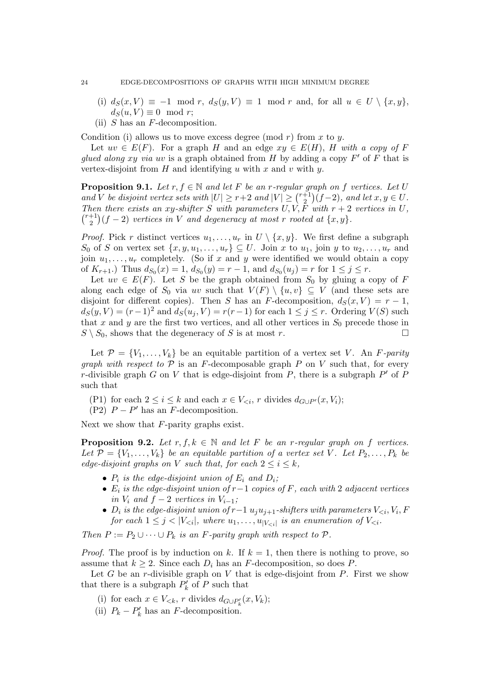- (i)  $d_S(x, V) \equiv -1 \mod r$ ,  $d_S(y, V) \equiv 1 \mod r$  and, for all  $u \in U \setminus \{x, y\}$ ,  $d_S(u, V) \equiv 0 \mod r;$
- (ii) S has an F-decomposition.

Condition (i) allows us to move excess degree (mod r) from x to y.

Let  $uv \in E(F)$ . For a graph H and an edge  $xy \in E(H)$ , H with a copy of F glued along xy via uv is a graph obtained from H by adding a copy  $F'$  of F that is vertex-disjoint from  $H$  and identifying u with x and v with y.

<span id="page-23-1"></span>**Proposition 9.1.** Let  $r, f \in \mathbb{N}$  and let F be an r-regular graph on f vertices. Let U and V be disjoint vertex sets with  $|U| \ge r+2$  and  $|V| \ge \binom{r+1}{2}$  $\binom{+1}{2}(f-2)$ , and let  $x, y \in U$ . Then there exists an xy-shifter S with parameters  $U, V, F$  with  $r + 2$  vertices in U,  $\binom{r+1}{2}$  $\binom{+1}{2}(f-2)$  vertices in V and degeneracy at most r rooted at  $\{x,y\}.$ 

*Proof.* Pick r distinct vertices  $u_1, \ldots, u_r$  in  $U \setminus \{x, y\}$ . We first define a subgraph S<sub>0</sub> of S on vertex set  $\{x, y, u_1, \ldots, u_r\} \subseteq U$ . Join x to  $u_1$ , join y to  $u_2, \ldots, u_r$  and join  $u_1, \ldots, u_r$  completely. (So if x and y were identified we would obtain a copy of  $K_{r+1}$ .) Thus  $d_{S_0}(x) = 1$ ,  $d_{S_0}(y) = r - 1$ , and  $d_{S_0}(u_j) = r$  for  $1 \le j \le r$ .

Let  $uv \in E(F)$ . Let S be the graph obtained from  $S_0$  by gluing a copy of F along each edge of  $S_0$  via uv such that  $V(F) \setminus \{u, v\} \subseteq V$  (and these sets are disjoint for different copies). Then S has an F-decomposition,  $d_S(x, V) = r - 1$ ,  $d_S(y, V) = (r-1)^2$  and  $d_S(u_i, V) = r(r-1)$  for each  $1 \leq j \leq r$ . Ordering  $V(S)$  such that x and y are the first two vertices, and all other vertices in  $S_0$  precede those in  $S \setminus S_0$ , shows that the degeneracy of S is at most r.

Let  $\mathcal{P} = \{V_1, \ldots, V_k\}$  be an equitable partition of a vertex set V. An F-parity *graph with respect to*  $P$  is an F-decomposable graph  $P$  on  $V$  such that, for every r-divisible graph G on V that is edge-disjoint from  $P$ , there is a subgraph  $P'$  of  $P$ such that

(P1) for each  $2 \leq i \leq k$  and each  $x \in V_{\leq i}$ , r divides  $d_{G \cup P}(x, V_i)$ ;

(P2)  $P - P'$  has an F-decomposition.

Next we show that F-parity graphs exist.

<span id="page-23-0"></span>**Proposition 9.2.** Let  $r, f, k \in \mathbb{N}$  and let F be an r-regular graph on f vertices. Let  $\mathcal{P} = \{V_1, \ldots, V_k\}$  be an equitable partition of a vertex set V. Let  $P_2, \ldots, P_k$  be edge-disjoint graphs on V such that, for each  $2 \leq i \leq k$ ,

- $P_i$  is the edge-disjoint union of  $E_i$  and  $D_i$ ;
- $E_i$  is the edge-disjoint union of  $r-1$  copies of F, each with 2 adjacent vertices in  $V_i$  and  $f - 2$  vertices in  $V_{i-1}$ ;
- $D_i$  is the edge-disjoint union of r-1  $u_ju_{j+1}$ -shifters with parameters  $V_{\leq i}$ ,  $V_i$ ,  $F$ for each  $1 \leq j < |V_{\leq i}|$ , where  $u_1, \ldots, u_{|V_{\leq i}|}$  is an enumeration of  $V_{\leq i}$ .

Then  $P := P_2 \cup \cdots \cup P_k$  is an F-parity graph with respect to  $P$ .

*Proof.* The proof is by induction on k. If  $k = 1$ , then there is nothing to prove, so assume that  $k \geq 2$ . Since each  $D_i$  has an F-decomposition, so does P.

Let G be an r-divisible graph on V that is edge-disjoint from  $P$ . First we show that there is a subgraph  $P'_k$  of P such that

- (i) for each  $x \in V_{\leq k}$ , r divides  $d_{G \cup P'_k}(x, V_k)$ ;
- (ii)  $P_k P'_k$  has an F-decomposition.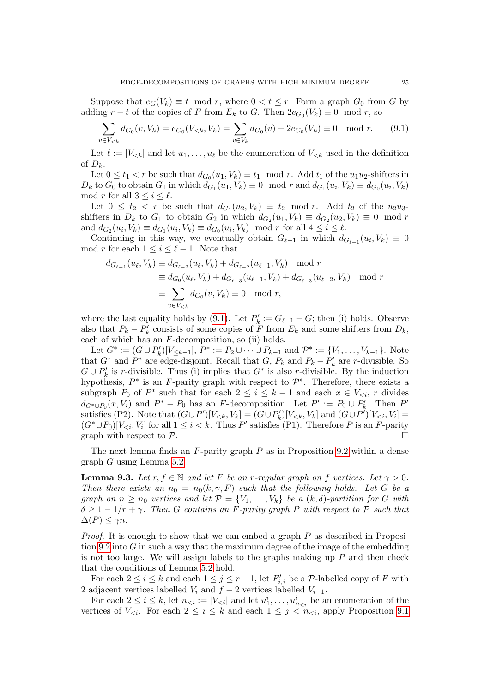Suppose that  $e_G(V_k) \equiv t \mod r$ , where  $0 < t \leq r$ . Form a graph  $G_0$  from G by adding  $r - t$  of the copies of F from  $E_k$  to G. Then  $2e_{G_0}(V_k) \equiv 0 \mod r$ , so

<span id="page-24-0"></span>
$$
\sum_{v \in V_{< k}} d_{G_0}(v, V_k) = e_{G_0}(V_{< k}, V_k) = \sum_{v \in V_k} d_{G_0}(v) - 2e_{G_0}(V_k) \equiv 0 \mod r. \tag{9.1}
$$

Let  $\ell := |V_{< k}|$  and let  $u_1, \ldots, u_\ell$  be the enumeration of  $V_{< k}$  used in the definition of  $D_k$ .

Let  $0 \le t_1 < r$  be such that  $d_{G_0}(u_1, V_k) \equiv t_1 \mod r$ . Add  $t_1$  of the  $u_1u_2$ -shifters in  $D_k$  to  $G_0$  to obtain  $G_1$  in which  $d_{G_1}(u_1, V_k) \equiv 0 \mod r$  and  $d_{G_1}(u_i, V_k) \equiv d_{G_0}(u_i, V_k)$ mod r for all  $3 \leq i \leq \ell$ .

Let  $0 \leq t_2 < r$  be such that  $d_{G_1}(u_2, V_k) \equiv t_2 \mod r$ . Add  $t_2$  of the  $u_2u_3$ shifters in  $D_k$  to  $G_1$  to obtain  $G_2$  in which  $d_{G_2}(u_1, V_k) \equiv d_{G_2}(u_2, V_k) \equiv 0 \mod r$ and  $d_{G_2}(u_i, V_k) \equiv d_{G_1}(u_i, V_k) \equiv d_{G_0}(u_i, V_k) \mod r$  for all  $4 \le i \le \ell$ .

Continuing in this way, we eventually obtain  $G_{\ell-1}$  in which  $d_{G_{\ell-1}}(u_i, V_k) \equiv 0$ mod r for each  $1 \leq i \leq \ell - 1$ . Note that

$$
d_{G_{\ell-1}}(u_{\ell}, V_k) \equiv d_{G_{\ell-2}}(u_{\ell}, V_k) + d_{G_{\ell-2}}(u_{\ell-1}, V_k) \mod r
$$
  
\n
$$
\equiv d_{G_0}(u_{\ell}, V_k) + d_{G_{\ell-3}}(u_{\ell-1}, V_k) + d_{G_{\ell-3}}(u_{\ell-2}, V_k) \mod r
$$
  
\n
$$
\equiv \sum_{v \in V_{< k}} d_{G_0}(v, V_k) \equiv 0 \mod r,
$$

where the last equality holds by [\(9.1\)](#page-24-0). Let  $P'_k := G_{\ell-1} - G$ ; then (i) holds. Observe also that  $P_k - P'_k$  consists of some copies of F from  $E_k$  and some shifters from  $D_k$ , each of which has an  $F$ -decomposition, so (ii) holds.

Let  $G^* := (G \cup P'_k)[V_{\leq k-1}], P^* := P_2 \cup \cdots \cup P_{k-1}$  and  $P^* := \{V_1, \ldots, V_{k-1}\}.$  Note that  $G^*$  and  $P^*$  are edge-disjoint. Recall that  $G, P_k$  and  $P_k - P'_k$  are r-divisible. So  $G \cup P'_k$  is r-divisible. Thus (i) implies that  $G^*$  is also r-divisible. By the induction hypothesis,  $P^*$  is an F-parity graph with respect to  $\mathcal{P}^*$ . Therefore, there exists a subgraph  $P_0$  of  $P^*$  such that for each  $2 \leq i \leq k-1$  and each  $x \in V_{\leq i}$ , r divides  $d_{G^* \cup P_0}(x, V_i)$  and  $P^* - P_0$  has an F-decomposition. Let  $P' := P_0 \cup P'_k$ . Then  $P'$ satisfies (P2). Note that  $(G \cup P')[V_{< k}, V_k] = (G \cup P'_k)[V_{< k}, V_k]$  and  $(G \cup P')[V_{< i}, V_i] =$  $(G^* \cup P_0)[V_{\leq i}, V_i]$  for all  $1 \leq i \leq k$ . Thus P' satisfies (P1). Therefore P is an F-parity graph with respect to  $P$ .

The next lemma finds an  $F$ -parity graph  $P$  as in Proposition [9.2](#page-23-0) within a dense graph G using Lemma [5.2.](#page-9-2)

<span id="page-24-1"></span>**Lemma 9.3.** Let  $r, f \in \mathbb{N}$  and let F be an r-regular graph on f vertices. Let  $\gamma > 0$ . Then there exists an  $n_0 = n_0(k, \gamma, F)$  such that the following holds. Let G be a graph on  $n \geq n_0$  vertices and let  $\mathcal{P} = \{V_1, \ldots, V_k\}$  be a  $(k, \delta)$ -partition for G with  $\delta \geq 1 - 1/r + \gamma$ . Then G contains an F-parity graph P with respect to P such that  $\Delta(P) \leq \gamma n$ .

*Proof.* It is enough to show that we can embed a graph  $P$  as described in Proposi-tion [9.2](#page-23-0) into  $G$  in such a way that the maximum degree of the image of the embedding is not too large. We will assign labels to the graphs making up  $P$  and then check that the conditions of Lemma [5.2](#page-9-2) hold.

For each  $2 \leq i \leq k$  and each  $1 \leq j \leq r-1$ , let  $F'_{i,j}$  be a P-labelled copy of F with 2 adjacent vertices labelled  $V_i$  and  $f - 2$  vertices labelled  $V_{i-1}$ .

For each  $2 \leq i \leq k$ , let  $n_{\leq i} := |V_{\leq i}|$  and let  $u_1^i, \ldots, u_{n_{\leq i}}^i$  be an enumeration of the vertices of  $V_{\leq i}$ . For each  $2 \leq i \leq k$  and each  $1 \leq j \leq n_{\leq i}$ , apply Proposition [9.1](#page-23-1)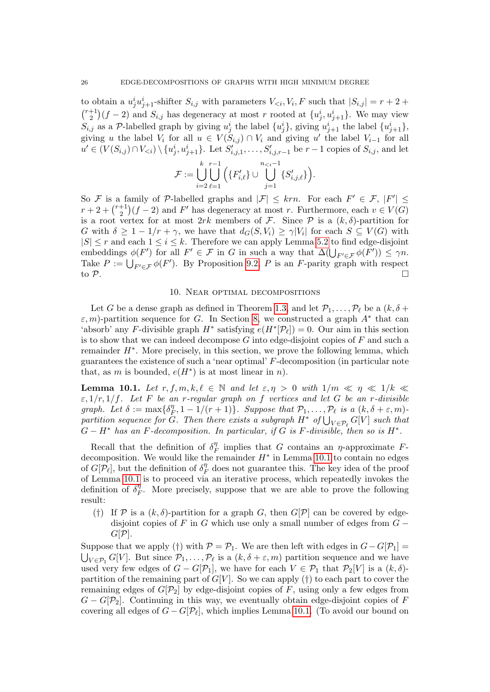to obtain a  $u_j^i u_{j+1}^i$ -shifter  $S_{i,j}$  with parameters  $V_{\leq i}, V_i, F$  such that  $|S_{i,j}| = r + 2 +$  $\binom{r+1}{2}$  $\binom{+1}{2}(f-2)$  and  $S_{i,j}$  has degeneracy at most r rooted at  $\{u_j^i, u_{j+1}^i\}$ . We may view  $S_{i,j}$  as a P-labelled graph by giving  $u_j^i$  the label  $\{u_j^i\}$ , giving  $u_{j+1}^i$  the label  $\{u_{j+1}^i\}$ , giving u the label  $V_i$  for all  $u \in V(S_{i,j}) \cap V_i$  and giving u' the label  $V_{i-1}$  for all  $u' \in (V(S_{i,j}) \cap V_{\leq i}) \setminus \{u_j^i, u_{j+1}^i\}$ . Let  $S'_{i,j,1}, \ldots, S'_{i,j,r-1}$  be  $r-1$  copies of  $S_{i,j}$ , and let

$$
\mathcal{F}:=\bigcup_{i=2}^k\bigcup_{\ell=1}^{r-1}\Big(\{F'_{i,\ell}\}\cup\bigcup_{j=1}^{n_{
$$

So F is a family of P-labelled graphs and  $|\mathcal{F}| \leq krn$ . For each  $F' \in \mathcal{F}$ ,  $|F'| \leq$  $r+2+\binom{r+1}{2}$  $\binom{+1}{2}(f-2)$  and F' has degeneracy at most r. Furthermore, each  $v \in V(G)$ is a root vertex for at most 2rk members of F. Since  $P$  is a  $(k, \delta)$ -partition for G with  $\delta \geq 1 - 1/r + \gamma$ , we have that  $d_G(S, V_i) \geq \gamma |V_i|$  for each  $S \subseteq V(G)$  with  $|S| \leq r$  and each  $1 \leq i \leq k$ . Therefore we can apply Lemma [5.2](#page-9-2) to find edge-disjoint embeddings  $\phi(F')$  for all  $F' \in \mathcal{F}$  in G in such a way that  $\Delta(\bigcup_{F' \in \mathcal{F}} \phi(F')) \leq \gamma n$ . Take  $P := \bigcup_{F' \in \mathcal{F}} \phi(F')$ . By Proposition [9.2,](#page-23-0) P is an F-parity graph with respect to  $\mathcal P$ .

## 10. Near optimal decompositions

<span id="page-25-0"></span>Let G be a dense graph as defined in Theorem [1.3,](#page-2-0) and let  $\mathcal{P}_1, \ldots, \mathcal{P}_\ell$  be a  $(k, \delta +$  $\varepsilon$ , m)-partition sequence for G. In Section [8,](#page-13-0) we constructed a graph  $A^*$  that can 'absorb' any F-divisible graph  $H^*$  satisfying  $e(H^*[\mathcal{P}_l]) = 0$ . Our aim in this section is to show that we can indeed decompose G into edge-disjoint copies of  $F$  and such a remainder  $H^*$ . More precisely, in this section, we prove the following lemma, which guarantees the existence of such a 'near optimal' F-decomposition (in particular note that, as m is bounded,  $e(H^*)$  is at most linear in n).

<span id="page-25-1"></span>**Lemma 10.1.** Let  $r, f, m, k, \ell \in \mathbb{N}$  and let  $\varepsilon, \eta > 0$  with  $1/m \ll \eta \ll 1/k \ll$  $\varepsilon$ ,  $1/r$ ,  $1/f$ . Let F be an r-regular graph on f vertices and let G be an r-divisible graph. Let  $\delta := \max\{\delta_{\mu}^{\eta}$  $\mathcal{F}_F^{\eta}, 1 - 1/(r + 1) \}$ . Suppose that  $\mathcal{P}_1, \ldots, \mathcal{P}_\ell$  is a  $(k, \delta + \varepsilon, m)$ partition sequence for  $\tilde{G}$ . Then there exists a subgraph  $H^*$  of  $\bigcup_{V \in \mathcal{P}_\ell} G[V]$  such that  $G - H^*$  has an F-decomposition. In particular, if G is F-divisible, then so is  $H^*$ .

Recall that the definition of  $\delta_{R}^{\eta}$  $\eta$ <sup>n</sup> implies that G contains an  $\eta$ -approximate Fdecomposition. We would like the remainder  $H^*$  in Lemma [10.1](#page-25-1) to contain no edges of  $G[\mathcal{P}_\ell],$  but the definition of  $\delta_I^\eta$  $\frac{\eta}{F}$  does not guarantee this. The key idea of the proof of Lemma [10.1](#page-25-1) is to proceed via an iterative process, which repeatedly invokes the definition of  $\delta^{\eta}_{\mu}$  $\eta$ . More precisely, suppose that we are able to prove the following result:

(†) If P is a  $(k, \delta)$ -partition for a graph G, then  $G[\mathcal{P}]$  can be covered by edgedisjoint copies of F in G which use only a small number of edges from  $G G[\mathcal{P}].$ 

Suppose that we apply (†) with  $P = P_1$ . We are then left with edges in  $G - G[P_1] =$  $\bigcup_{V \in \mathcal{P}_1} G[V]$ . But since  $\mathcal{P}_1, \ldots, \mathcal{P}_\ell$  is a  $(k, \delta + \varepsilon, m)$  partition sequence and we have used very few edges of  $G - G[\mathcal{P}_1]$ , we have for each  $V \in \mathcal{P}_1$  that  $\mathcal{P}_2[V]$  is a  $(k, \delta)$ partition of the remaining part of  $G[V]$ . So we can apply (†) to each part to cover the remaining edges of  $G[\mathcal{P}_2]$  by edge-disjoint copies of F, using only a few edges from  $G - G[\mathcal{P}_2]$ . Continuing in this way, we eventually obtain edge-disjoint copies of F covering all edges of  $G - G[\mathcal{P}_\ell]$ , which implies Lemma [10.1.](#page-25-1) (To avoid our bound on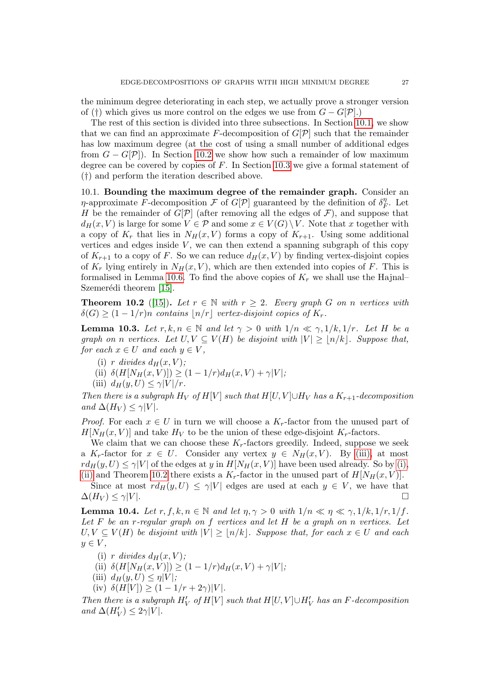the minimum degree deteriorating in each step, we actually prove a stronger version of (†) which gives us more control on the edges we use from  $G - G[\mathcal{P}]$ .)

The rest of this section is divided into three subsections. In Section [10.1,](#page-26-0) we show that we can find an approximate F-decomposition of  $G[\mathcal{P}]$  such that the remainder has low maximum degree (at the cost of using a small number of additional edges from  $G - G[\mathcal{P}]$ . In Section [10.2](#page-29-0) we show how such a remainder of low maximum degree can be covered by copies of  $F$ . In Section [10.3](#page-31-0) we give a formal statement of (†) and perform the iteration described above.

<span id="page-26-0"></span>10.1. Bounding the maximum degree of the remainder graph. Consider an *η*-approximate F-decomposition F of  $G[\mathcal{P}]$  guaranteed by the definition of  $\delta_{\mathcal{P}}^{\eta}$  $j_F^n$ . Let H be the remainder of  $G[\mathcal{P}]$  (after removing all the edges of  $\mathcal{F}$ ), and suppose that  $d_H(x, V)$  is large for some  $V \in \mathcal{P}$  and some  $x \in V(G) \setminus V$ . Note that x together with a copy of  $K_r$  that lies in  $N_H(x, V)$  forms a copy of  $K_{r+1}$ . Using some additional vertices and edges inside  $V$ , we can then extend a spanning subgraph of this copy of  $K_{r+1}$  to a copy of F. So we can reduce  $d_H(x, V)$  by finding vertex-disjoint copies of  $K_r$  lying entirely in  $N_H(x, V)$ , which are then extended into copies of F. This is formalised in Lemma [10.6.](#page-27-0) To find the above copies of  $K_r$  we shall use the Hajnal– Szemerédi theorem [\[15\]](#page-39-21).

<span id="page-26-4"></span>**Theorem 10.2** ([\[15\]](#page-39-21)). Let  $r \in \mathbb{N}$  with  $r \geq 2$ . Every graph G on n vertices with  $\delta(G)$  >  $(1 - 1/r)n$  contains  $|n/r|$  vertex-disjoint copies of  $K_r$ .

<span id="page-26-5"></span>**Lemma 10.3.** Let  $r, k, n \in \mathbb{N}$  and let  $\gamma > 0$  with  $1/n \ll \gamma$ ,  $1/k, 1/r$ . Let H be a graph on n vertices. Let  $U, V \subseteq V(H)$  be disjoint with  $|V| \geq |n/k|$ . Suppose that, for each  $x \in U$  and each  $y \in V$ ,

- <span id="page-26-2"></span>(i) r divides  $d_H(x, V)$ ;
- <span id="page-26-3"></span>(ii)  $\delta(H[N_H(x, V)]) \ge (1 - 1/r)d_H(x, V) + \gamma|V|;$
- <span id="page-26-1"></span>(iii)  $d_H(y, U) \leq \gamma |V|/r$ .

Then there is a subgraph  $H_V$  of  $H[V]$  such that  $H[U, V] \cup H_V$  has a  $K_{r+1}$ -decomposition and  $\Delta(H_V) \leq \gamma |V|$ .

*Proof.* For each  $x \in U$  in turn we will choose a  $K_r$ -factor from the unused part of  $H[N_H(x, V)]$  and take  $H_V$  to be the union of these edge-disjoint  $K_r$ -factors.

We claim that we can choose these  $K_r$ -factors greedily. Indeed, suppose we seek a  $K_r$ -factor for  $x \in U$ . Consider any vertex  $y \in N_H(x, V)$ . By [\(iii\),](#page-26-1) at most  $r d_H(y, U) \le \gamma |V|$  of the edges at y in  $H[N_H(x, V)]$  have been used already. So by [\(i\),](#page-26-2) [\(ii\)](#page-26-3) and Theorem [10.2](#page-26-4) there exists a  $K_r$ -factor in the unused part of  $H[N_H(x, V)]$ .

Since at most  $rd_H(y, U) \leq \gamma|V|$  edges are used at each  $y \in V$ , we have that  $\Delta(H_V) \le \gamma |V|$ .

<span id="page-26-6"></span>**Lemma 10.4.** Let  $r, f, k, n \in \mathbb{N}$  and let  $\eta, \gamma > 0$  with  $1/n \ll \eta \ll \gamma, 1/k, 1/r, 1/f$ . Let  $F$  be an r-regular graph on  $f$  vertices and let  $H$  be a graph on n vertices. Let  $U, V \subseteq V(H)$  be disjoint with  $|V| \geq |n/k|$ . Suppose that, for each  $x \in U$  and each  $y \in V$ ,

- (i) r divides  $d_H(x, V)$ ;
- (ii)  $\delta(H[N_H(x, V)]) \ge (1 1/r)d_H(x, V) + \gamma|V|;$
- (iii)  $d_H(y, U) \leq \eta |V|$ ;
- (iv)  $\delta(H[V]) \ge (1 1/r + 2\gamma)|V|.$

Then there is a subgraph  $H_V'$  of  $H[V]$  such that  $H[U, V] \cup H_V'$  has an F-decomposition and  $\Delta(H'_V) \leq 2\gamma|V|$ .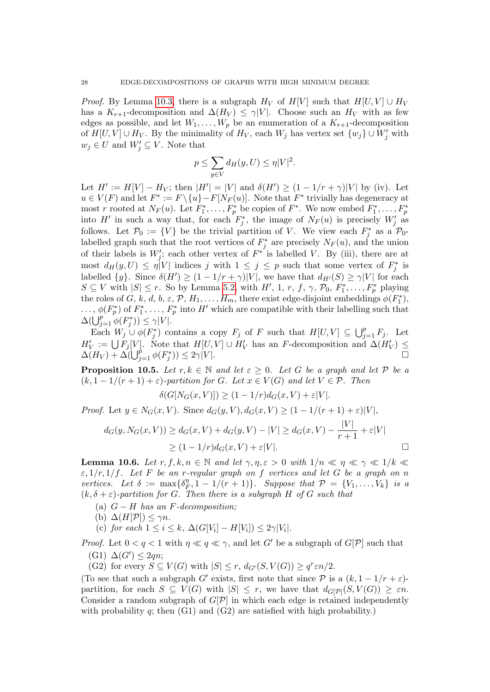*Proof.* By Lemma [10.3,](#page-26-5) there is a subgraph  $H_V$  of  $H[V]$  such that  $H[U, V] \cup H_V$ has a  $K_{r+1}$ -decomposition and  $\Delta(H_V) \leq \gamma |V|$ . Choose such an  $H_V$  with as few edges as possible, and let  $W_1, \ldots, W_p$  be an enumeration of a  $K_{r+1}$ -decomposition of  $H[U, V] \cup H_V$ . By the minimality of  $H_V$ , each  $W_j$  has vertex set  $\{w_j\} \cup W'_j$  with  $w_j \in U$  and  $W'_j \subseteq V$ . Note that

$$
p \le \sum_{y \in V} d_H(y, U) \le \eta |V|^2.
$$

Let  $H' := H[V] - H_V$ ; then  $|H'| = |V|$  and  $\delta(H') \ge (1 - 1/r + \gamma)|V|$  by (iv). Let  $u \in V(F)$  and let  $F^* := F \setminus \{u\} - F[N_F(u)]$ . Note that  $F^*$  trivially has degeneracy at most r rooted at  $N_F(u)$ . Let  $F_1^*, \ldots, F_p^*$  be copies of  $F^*$ . We now embed  $F_1^*, \ldots, F_p^*$ into H<sup>'</sup> in such a way that, for each  $F_j^*$ , the image of  $N_F(u)$  is precisely  $W_j'$  as follows. Let  $\mathcal{P}_0 := \{V\}$  be the trivial partition of V. We view each  $F_j^*$  as a  $\mathcal{P}_0$ labelled graph such that the root vertices of  $F_j^*$  are precisely  $N_F(u)$ , and the union of their labels is  $W'_j$ ; each other vertex of  $F^*$  is labelled V. By (iii), there are at most  $d_H(y,U) \leq \eta |V|$  indices j with  $1 \leq j \leq p$  such that some vertex of  $F_j^*$  is labelled  $\{y\}$ . Since  $\delta(H') \geq (1 - 1/r + \gamma)|V|$ , we have that  $d_{H'}(S) \geq \gamma|V|$  for each  $S \subseteq V$  with  $|S| \leq r$ . So by Lemma [5.2,](#page-9-2) with  $H'$ , 1,  $r$ ,  $f$ ,  $\gamma$ ,  $\mathcal{P}_0$ ,  $F_1^*, \ldots, F_p^*$  playing the roles of G, k, d, b,  $\varepsilon$ , P,  $H_1, \ldots, H_m$ , there exist edge-disjoint embeddings  $\phi(F_1^*)$ ,  $\ldots, \phi(F_p^*)$  of  $F_1^*, \ldots, F_p^*$  into H' which are compatible with their labelling such that  $\Delta(\bigcup_{j=1}^p \phi(F_j^*)) \leq \gamma |V|.$ 

Each  $W_j \cup \phi(F_j^*)$  contains a copy  $F_j$  of F such that  $H[U,V] \subseteq \bigcup_{j=1}^p F_j$ . Let  $H'_V := \bigcup F_j[V]$ . Note that  $H[U, V] \cup H'_V$  has an F-decomposition and  $\Delta(H'_V) \leq$  $\Delta(H_V) + \Delta(\bigcup_{j=1}^p \phi(F_j^*)) \leq 2\gamma|V|.$ 

<span id="page-27-1"></span>**Proposition 10.5.** Let  $r, k \in \mathbb{N}$  and let  $\varepsilon \geq 0$ . Let G be a graph and let P be a  $(k, 1 - 1/(r + 1) + \varepsilon)$ -partition for G. Let  $x \in V(G)$  and let  $V \in \mathcal{P}$ . Then

$$
\delta(G[N_G(x,V)]) \ge (1 - 1/r)d_G(x,V) + \varepsilon|V|.
$$

*Proof.* Let  $y \in N_G(x, V)$ . Since  $d_G(y, V), d_G(x, V) \geq (1 - 1/(r + 1) + \varepsilon)|V|$ ,

$$
d_G(y, N_G(x, V)) \ge d_G(x, V) + d_G(y, V) - |V| \ge d_G(x, V) - \frac{|V|}{r+1} + \varepsilon |V|
$$
  
\n
$$
\ge (1 - 1/r) d_G(x, V) + \varepsilon |V|.
$$

<span id="page-27-0"></span>**Lemma 10.6.** Let  $r, f, k, n \in \mathbb{N}$  and let  $\gamma, \eta, \varepsilon > 0$  with  $1/n \ll \eta \ll \gamma \ll 1/k \ll$  $\varepsilon$ ,  $1/r$ ,  $1/f$ . Let F be an r-regular graph on f vertices and let G be a graph on n vertices. Let  $\delta := \max\{\delta_R^n\}$  $F_r^{\eta}, 1-1/(r+1)$ . Suppose that  $\mathcal{P} = \{V_1, \ldots, V_k\}$  is a  $(k, \delta + \varepsilon)$ -partition for G. Then there is a subgraph H of G such that

- (a)  $G H$  has an F-decomposition;
- (b)  $\Delta(H[\mathcal{P}]) \leq \gamma n$ .
- (c) for each  $1 \leq i \leq k$ ,  $\Delta(G[V_i] H[V_i]) \leq 2\gamma|V_i|$ .

*Proof.* Let  $0 < q < 1$  with  $\eta \ll q \ll \gamma$ , and let G' be a subgraph of G[P] such that  $(G1) \Delta(G') \leq 2qn;$ 

(G2) for every  $S \subseteq V(G)$  with  $|S| \leq r$ ,  $d_{G'}(S, V(G)) \geq q^r \varepsilon n/2$ .

(To see that such a subgraph G' exists, first note that since  $P$  is a  $(k, 1 - 1/r + \varepsilon)$ partition, for each  $S \subseteq V(G)$  with  $|S| \leq r$ , we have that  $d_{G[\mathcal{P}]}(S, V(G)) \geq \varepsilon n$ . Consider a random subgraph of  $G[\mathcal{P}]$  in which each edge is retained independently with probability q; then  $(G1)$  and  $(G2)$  are satisfied with high probability.)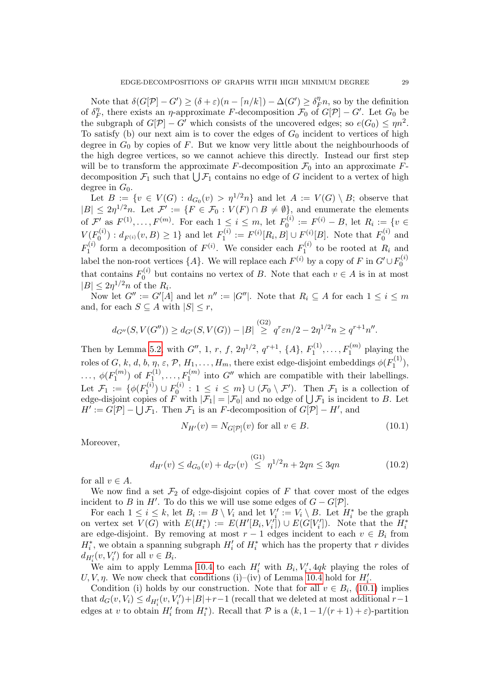Note that  $\delta(G[\mathcal{P}]-G') \geq (\delta + \varepsilon)(n - \lceil n/k \rceil) - \Delta(G') \geq \delta_{R}^{\eta}$  $\int_{F}^{\eta}$ n, so by the definition of  $\delta_{\mu}^{\eta}$  $T_F^{\eta}$ , there exists an  $\eta$ -approximate F-decomposition  $\mathcal{F}_0$  of  $G[\mathcal{P}] - G'$ . Let  $G_0$  be the subgraph of  $G[\mathcal{P}] - G'$  which consists of the uncovered edges; so  $e(G_0) \leq \eta n^2$ . To satisfy (b) our next aim is to cover the edges of  $G_0$  incident to vertices of high degree in  $G_0$  by copies of F. But we know very little about the neighbourhoods of the high degree vertices, so we cannot achieve this directly. Instead our first step will be to transform the approximate F-decomposition  $\mathcal{F}_0$  into an approximate Fdecomposition  $\mathcal{F}_1$  such that  $\bigcup \mathcal{F}_1$  contains no edge of G incident to a vertex of high degree in  $G_0$ .

Let  $B := \{v \in V(G) : d_{G_0}(v) > \eta^{1/2}n\}$  and let  $A := V(G) \setminus B$ ; observe that  $|B| \leq 2\eta^{1/2}n$ . Let  $\mathcal{F}' := \{F \in \mathcal{F}_0 : V(F) \cap B \neq \emptyset\}$ , and enumerate the elements of  $\mathcal{F}'$  as  $F^{(1)}, \ldots, F^{(m)}$ . For each  $1 \leq i \leq m$ , let  $F_0^{(i)}$  $S_0^{(i)} := F^{(i)} - B$ , let  $R_i := \{v \in$  $V(F_0^{(i)}$  $\binom{O_0(i)}{O}$  :  $d_{F^{(i)}}(v, B) \geq 1$  and let  $F_1^{(i)}$  $T_1^{(i)} := F^{(i)}[R_i, B] \cup F_{(i)}^{(i)}[B]$ . Note that  $F_0^{(i)}$  $\int_0^{(i)}$  and  $F_1^{(i)}$  $f_1^{(i)}$  form a decomposition of  $F^{(i)}$ . We consider each  $F_1^{(i)}$  $T_1^{(i)}$  to be rooted at  $R_i$  and label the non-root vertices  $\{A\}$ . We will replace each  $F^{(i)}$  by a copy of F in  $G' \cup F_0^{(i)}$  $\mathbf{0}$ that contains  $F_0^{(i)}$  $\mathbf{0}^{(i)}$  but contains no vertex of B. Note that each  $v \in A$  is in at most  $|B| \leq 2\eta^{1/2} n$  of the  $R_i$ .

Now let  $G'':=G'[A]$  and let  $n'':=|G''|$ . Note that  $R_i\subseteq A$  for each  $1\leq i\leq m$ and, for each  $S \subseteq A$  with  $|S| \leq r$ ,

$$
d_{G''}(S, V(G'')) \ge d_{G'}(S, V(G)) - |B| \stackrel{(G2)}{\ge} q^r \varepsilon n/2 - 2\eta^{1/2} n \ge q^{r+1} n''.
$$

Then by Lemma [5.2,](#page-9-2) with  $G''$ , 1, r, f,  $2\eta^{1/2}$ ,  $q^{r+1}$ , {A},  $F_1^{(1)}$  $I_1^{(1)}, \ldots, F_1^{(m)}$  playing the roles of  $G, k, d, b, \eta, \varepsilon, \mathcal{P}, H_1, \ldots, H_m$ , there exist edge-disjoint embeddings  $\phi(F_1^{(1)}$  $\binom{1}{1}$ ,  $\ldots, \phi(F_1^{(m)}$  $f_1^{(m)}$ ) of  $F_1^{(1)}$  $T_1^{(1)}, \ldots, F_1^{(m)}$  into  $G''$  which are compatible with their labellings. Let  $\mathcal{F}_1 := \{ \phi(F_1^{(i)} \)$  $F_1^{(i)}$ )  $\cup F_0^{(i)}$  $\mathcal{F}_0^{(i)}$ :  $1 \leq i \leq m$   $\cup$   $(\mathcal{F}_0 \setminus \mathcal{F}')$ . Then  $\mathcal{F}_1$  is a collection of edge-disjoint copies of F with  $|\mathcal{F}_1| = |\mathcal{F}_0|$  and no edge of  $\bigcup \mathcal{F}_1$  is incident to B. Let  $H' := G[\mathcal{P}] - \bigcup \mathcal{F}_1$ . Then  $\mathcal{F}_1$  is an F-decomposition of  $G[\mathcal{P}] - H'$ , and

<span id="page-28-1"></span><span id="page-28-0"></span>
$$
N_{H'}(v) = N_{G[\mathcal{P}]}(v) \text{ for all } v \in B.
$$
\n
$$
(10.1)
$$

Moreover,

$$
d_{H'}(v) \le d_{G_0}(v) + d_{G'}(v) \stackrel{\text{(G1)}}{\le} \eta^{1/2} n + 2qn \le 3qn \tag{10.2}
$$

for all  $v \in A$ .

We now find a set  $\mathcal{F}_2$  of edge-disjoint copies of F that cover most of the edges incident to B in H'. To do this we will use some edges of  $G - G[\mathcal{P}]$ .

For each  $1 \leq i \leq k$ , let  $B_i := B \setminus V_i$  and let  $V'_i := V_i \setminus B$ . Let  $H_i^*$  be the graph on vertex set  $V(G)$  with  $E(H_i^*) := E(H'[B_i, V'_i]) \cup E(G[V'_i])$ . Note that the  $H_i^*$ are edge-disjoint. By removing at most  $r-1$  edges incident to each  $v \in B_i$  from  $H_i^*$ , we obtain a spanning subgraph  $H_i'$  of  $H_i^*$  which has the property that r divides  $d_{H'_i}(v, V'_i)$  for all  $v \in B_i$ .

We aim to apply Lemma [10.4](#page-26-6) to each  $H'_i$  with  $B_i, V'_i, 4qk$  playing the roles of U, V,  $\eta$ . We now check that conditions (i)–(iv) of Lemma [10.4](#page-26-6) hold for  $H'_i$ .

Condition (i) holds by our construction. Note that for all  $v \in B_i$ , [\(10.1\)](#page-28-0) implies that  $d_G(v, V_i) \leq d_{H_i'}(v, V_i') + |B| + r - 1$  (recall that we deleted at most additional  $r-1$ ) edges at v to obtain  $H'_i$  from  $H_i^*$ ). Recall that  $P$  is a  $(k, 1 - 1/(r + 1) + \varepsilon)$ -partition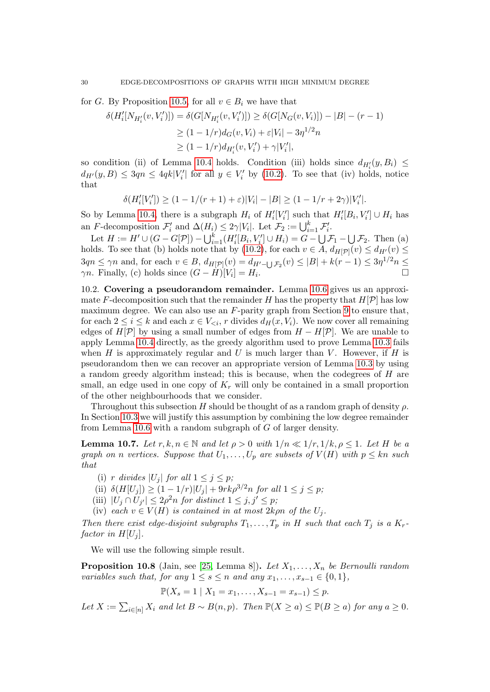for G. By Proposition [10.5,](#page-27-1) for all  $v \in B_i$  we have that

$$
\delta(H'_i[N_{H'_i}(v, V'_i)]) = \delta(G[N_{H'_i}(v, V'_i)]) \ge \delta(G[N_G(v, V_i)]) - |B| - (r - 1)
$$
  
\n
$$
\ge (1 - 1/r)d_G(v, V_i) + \varepsilon|V_i| - 3\eta^{1/2}n
$$
  
\n
$$
\ge (1 - 1/r)d_{H'_i}(v, V'_i) + \gamma|V'_i|,
$$

so condition (ii) of Lemma [10.4](#page-26-6) holds. Condition (iii) holds since  $d_{H_i'}(y, B_i) \leq$  $d_{H'}(y, B) \leq 3qn \leq 4qk|V_i'|\$  for all  $y \in V_i'$  by [\(10.2\)](#page-28-1). To see that (iv) holds, notice that

$$
\delta(H_i'[V_i']) \ge (1 - 1/(r+1) + \varepsilon)|V_i| - |B| \ge (1 - 1/r + 2\gamma)|V_i'|.
$$

So by Lemma [10.4,](#page-26-6) there is a subgraph  $H_i$  of  $H_i'[V_i']$  such that  $H_i'[B_i, V_i'] \cup H_i$  has an F-decomposition  $\mathcal{F}'_i$  and  $\Delta(H_i) \leq 2\gamma|V_i|$ . Let  $\mathcal{F}_2 := \bigcup_{i=1}^k \mathcal{F}'_i$ .

Let  $H := H' \cup (G - G[P]) - \bigcup_{i=1}^{k} (H_i'[B_i, V_i'] \cup H_i) = G - \bigcup \mathcal{F}_1 - \bigcup \mathcal{F}_2$ . Then (a) holds. To see that (b) holds note that by [\(10.2\)](#page-28-1), for each  $v \in A$ ,  $d_{H[\mathcal{P}]}(v) \leq d_{H'}(v) \leq$  $3qn \leq \gamma n$  and, for each  $v \in B$ ,  $d_{H[\mathcal{P}]}(v) = d_{H'-\bigcup \mathcal{F}_2}(v) \leq |B| + k(r-1) \leq 3\eta^{1/2} n \leq$  $\gamma n$ . Finally, (c) holds since  $(G - \dot{H})[V_i] = H_i$ .

<span id="page-29-0"></span>10.2. Covering a pseudorandom remainder. Lemma [10.6](#page-27-0) gives us an approximate F-decomposition such that the remainder H has the property that  $H[\mathcal{P}]$  has low maximum degree. We can also use an  $F$ -parity graph from Section [9](#page-22-0) to ensure that, for each  $2 \le i \le k$  and each  $x \in V_{\le i}$ , r divides  $d_H(x, V_i)$ . We now cover all remaining edges of  $H[\mathcal{P}]$  by using a small number of edges from  $H - H[\mathcal{P}]$ . We are unable to apply Lemma [10.4](#page-26-6) directly, as the greedy algorithm used to prove Lemma [10.3](#page-26-5) fails when  $H$  is approximately regular and U is much larger than  $V$ . However, if  $H$  is pseudorandom then we can recover an appropriate version of Lemma [10.3](#page-26-5) by using a random greedy algorithm instead; this is because, when the codegrees of  $H$  are small, an edge used in one copy of  $K_r$  will only be contained in a small proportion of the other neighbourhoods that we consider.

Throughout this subsection H should be thought of as a random graph of density  $\rho$ . In Section [10.3](#page-31-0) we will justify this assumption by combining the low degree remainder from Lemma  $10.6$  with a random subgraph of  $G$  of larger density.

<span id="page-29-1"></span>**Lemma 10.7.** Let  $r, k, n \in \mathbb{N}$  and let  $\rho > 0$  with  $1/n \ll 1/r, 1/k, \rho \leq 1$ . Let H be a graph on n vertices. Suppose that  $U_1, \ldots, U_p$  are subsets of  $V(H)$  with  $p \leq kn$  such that

- <span id="page-29-3"></span>(i) r divides  $|U_j|$  for all  $1 \leq j \leq p$ ;
- <span id="page-29-2"></span>(ii)  $\delta(H[U_i]) \geq (1 - 1/r)|U_j| + 9rk\rho^{3/2}n$  for all  $1 \leq j \leq p$ ;
- <span id="page-29-5"></span>(iii)  $|U_j \cap U_{j'}| \leq 2\rho^2 n$  for distinct  $1 \leq j, j' \leq p$ ;
- <span id="page-29-4"></span>(iv) each  $v \in V(H)$  is contained in at most  $2k\rho n$  of the  $U_j$ .

Then there exist edge-disjoint subgraphs  $T_1, \ldots, T_p$  in H such that each  $T_j$  is a  $K_r$ factor in  $H[U_i]$ .

We will use the following simple result.

<span id="page-29-6"></span>**Proposition 10.8** (Jain, see [\[25,](#page-39-22) Lemma 8]). Let  $X_1, \ldots, X_n$  be Bernoulli random variables such that, for any  $1 \leq s \leq n$  and any  $x_1, \ldots, x_{s-1} \in \{0, 1\},$ 

 $\mathbb{P}(X_s = 1 \mid X_1 = x_1, \ldots, X_{s-1} = x_{s-1}) \leq p.$ 

Let  $X := \sum_{i \in [n]} X_i$  and let  $B \sim B(n, p)$ . Then  $\mathbb{P}(X \ge a) \le \mathbb{P}(B \ge a)$  for any  $a \ge 0$ .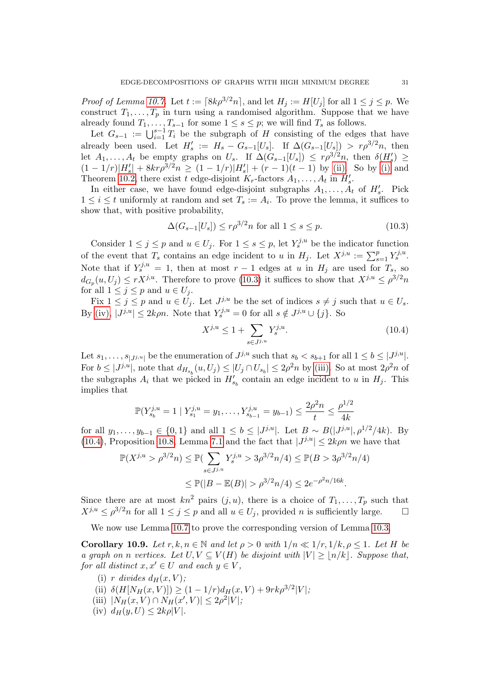*Proof of Lemma [10.7.](#page-29-1)* Let  $t := \lceil 8k\rho^{3/2}n \rceil$ , and let  $H_j := H[U_j]$  for all  $1 \leq j \leq p$ . We construct  $T_1, \ldots, T_p$  in turn using a randomised algorithm. Suppose that we have already found  $T_1, \ldots, T_{s-1}$  for some  $1 \leq s \leq p$ ; we will find  $T_s$  as follows.

Let  $G_{s-1} := \bigcup_{i=1}^{s-1} T_i$  be the subgraph of H consisting of the edges that have already been used. Let  $H'_s := H_s - G_{s-1}[U_s]$ . If  $\Delta(G_{s-1}[U_s]) > r \rho^{3/2} n$ , then let  $A_1, \ldots, A_t$  be empty graphs on  $U_s$ . If  $\Delta(G_{s-1}[U_s]) \leq r \rho^{3/2} n$ , then  $\delta(H_s') \geq$  $(1 - 1/r)|H'_s| + 8kr\rho^{3/2}n \ge (1 - 1/r)|H'_s| + (r - 1)(t - 1)$  by [\(ii\).](#page-29-2) So by [\(i\)](#page-29-3) and Theorem [10.2,](#page-26-4) there exist t edge-disjoint  $K_r$ -factors  $A_1, \ldots, A_t$  in  $H'_s$ .

In either case, we have found edge-disjoint subgraphs  $A_1, \ldots, A_t$  of  $H'_s$ . Pick  $1 \leq i \leq t$  uniformly at random and set  $T_s := A_i$ . To prove the lemma, it suffices to show that, with positive probability,

$$
\Delta(G_{s-1}[U_s]) \le r\rho^{3/2} n \text{ for all } 1 \le s \le p. \tag{10.3}
$$

Consider  $1 \leq j \leq p$  and  $u \in U_j$ . For  $1 \leq s \leq p$ , let  $Y_s^{j,u}$  be the indicator function of the event that  $T_s$  contains an edge incident to u in  $H_j$ . Let  $X^{j,u} := \sum_{s=1}^p Y_s^{j,u}$ . Note that if  $Y_s^{j,u} = 1$ , then at most  $r-1$  edges at u in  $H_j$  are used for  $T_s$ , so  $d_{G_p}(u, U_j) \leq r X^{j,u}$ . Therefore to prove [\(10.3\)](#page-30-0) it suffices to show that  $X^{j,u} \leq \rho^{3/2} n$ for all  $1 \leq j \leq p$  and  $u \in U_j$ .

Fix  $1 \leq j \leq p$  and  $u \in U_j$ . Let  $J^{j,u}$  be the set of indices  $s \neq j$  such that  $u \in U_s$ . By [\(iv\),](#page-29-4)  $|J^{j,u}| \leq 2k\rho n$ . Note that  $Y_s^{j,u} = 0$  for all  $s \notin J^{j,u} \cup \{j\}$ . So

<span id="page-30-1"></span><span id="page-30-0"></span>
$$
X^{j,u} \le 1 + \sum_{s \in J^{j,u}} Y_s^{j,u}.
$$
\n(10.4)

Let  $s_1, \ldots, s_{|J^{j,u}|}$  be the enumeration of  $J^{j,u}$  such that  $s_b < s_{b+1}$  for all  $1 \leq b \leq |J^{j,u}|$ . For  $b \leq |J^{j,u}|$ , note that  $d_{H_{s_b}}(u, U_j) \leq |U_j \cap U_{s_b}| \leq 2\rho^2 n$  by [\(iii\).](#page-29-5) So at most  $2\rho^2 n$  of the subgraphs  $A_i$  that we picked in  $H'_{s_b}$  contain an edge incident to u in  $H_j$ . This implies that

$$
\mathbb{P}(Y_{s_b}^{j,u} = 1 | Y_{s_1}^{j,u} = y_1, \dots, Y_{s_{b-1}}^{j,u} = y_{b-1}) \le \frac{2\rho^2 n}{t} \le \frac{\rho^{1/2}}{4k}
$$

for all  $y_1, \ldots, y_{b-1} \in \{0, 1\}$  and all  $1 \leq b \leq |J^{j,u}|$ . Let  $B \sim B(|J^{j,u}|, \rho^{1/2}/4k)$ . By [\(10.4\)](#page-30-1), Proposition [10.8,](#page-29-6) Lemma [7.1](#page-12-2) and the fact that  $|J^{j,u}| \leq 2k\rho n$  we have that

$$
\mathbb{P}(X^{j,u} > \rho^{3/2}n) \le \mathbb{P}(\sum_{s \in J^{j,u}} Y_s^{j,u} > 3\rho^{3/2}n/4) \le \mathbb{P}(B > 3\rho^{3/2}n/4)
$$
  

$$
\le \mathbb{P}(|B - \mathbb{E}(B)| > \rho^{3/2}n/4) \le 2e^{-\rho^2 n/16k}.
$$

Since there are at most  $kn^2$  pairs  $(j, u)$ , there is a choice of  $T_1, \ldots, T_p$  such that  $X^{j,u} \leq \rho^{3/2} n$  for all  $1 \leq j \leq p$  and all  $u \in U_j$ , provided n is sufficiently large.

We now use Lemma [10.7](#page-29-1) to prove the corresponding version of Lemma [10.3.](#page-26-5)

<span id="page-30-2"></span>**Corollary 10.9.** Let  $r, k, n \in \mathbb{N}$  and let  $\rho > 0$  with  $1/n \ll 1/r, 1/k, \rho \leq 1$ . Let H be a graph on n vertices. Let  $U, V \subseteq V(H)$  be disjoint with  $|V| \geq |n/k|$ . Suppose that, for all distinct  $x, x' \in U$  and each  $y \in V$ ,

- (i) r divides  $d_H(x, V)$ ;
- (ii)  $\delta(H[N_H(x, V)]) \ge (1 1/r)d_H(x, V) + 9rk\rho^{3/2}|V|;$
- (iii)  $|N_H(x, V) \cap N_H(x', V)| \leq 2\rho^2 |V|$ ;
- (iv)  $d_H(y, U) \leq 2k\rho|V|$ .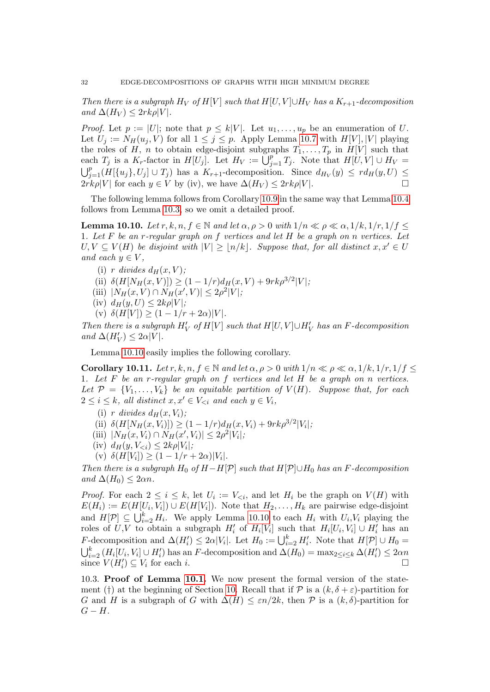Then there is a subgraph  $H_V$  of  $H[V]$  such that  $H[U, V] \cup H_V$  has a  $K_{r+1}$ -decomposition and  $\Delta(H_V) \leq 2rk\rho|V|$ .

*Proof.* Let  $p := |U|$ ; note that  $p \leq k|V|$ . Let  $u_1, \ldots, u_p$  be an enumeration of U. Let  $U_j := N_H(u_j, V)$  for all  $1 \leq j \leq p$ . Apply Lemma [10.7](#page-29-1) with  $H[V], |V|$  playing the roles of H, n to obtain edge-disjoint subgraphs  $T_1, \ldots, T_p$  in  $H[V]$  such that each  $T_j$  is a  $K_r$ -factor in  $H[U_j]$ . Let  $H_V := \bigcup_{j=1}^p T_j$ . Note that  $H[U, V] \cup H_V =$  $\bigcup_{j=1}^p (H[\{u_j\}, U_j] \cup T_j)$  has a  $K_{r+1}$ -decomposition. Since  $d_{H_V}(y) \leq rd_H(y, U) \leq$  $2rk\rho|V|$  for each  $y \in V$  by (iv), we have  $\Delta(H_V) \leq 2rk\rho|V|$ .

The following lemma follows from Corollary [10.9](#page-30-2) in the same way that Lemma [10.4](#page-26-6) follows from Lemma [10.3,](#page-26-5) so we omit a detailed proof.

<span id="page-31-1"></span>**Lemma 10.10.** Let  $r, k, n, f \in \mathbb{N}$  and let  $\alpha, \rho > 0$  with  $1/n \ll \rho \ll \alpha, 1/k, 1/r, 1/f \leq$ 1. Let  $F$  be an r-regular graph on f vertices and let  $H$  be a graph on n vertices. Let  $U, V \subseteq V(H)$  be disjoint with  $|V| \geq |n/k|$ . Suppose that, for all distinct  $x, x' \in U$ and each  $y \in V$ ,

- (i) r divides  $d_H(x, V)$ ;
- (ii)  $\delta(H[N_H(x, V)]) \ge (1 1/r)d_H(x, V) + 9rk\rho^{3/2}|V|$ ;
- (iii)  $|N_H(x, V) \cap N_H(x', V)| \leq 2\rho^2|V|$ ;
- (iv)  $d_H(y, U) \leq 2k\rho|V|$ ;
- (v)  $\delta(H[V]) \geq (1 1/r + 2\alpha)|V|.$

Then there is a subgraph  $H_V'$  of  $H[V]$  such that  $H[U, V] \cup H_V'$  has an F-decomposition and  $\Delta(H'_V) \leq 2\alpha |V|$ .

Lemma [10.10](#page-31-1) easily implies the following corollary.

<span id="page-31-2"></span>**Corollary 10.11.** Let  $r, k, n, f \in \mathbb{N}$  and let  $\alpha, \rho > 0$  with  $1/n \ll \rho \ll \alpha, 1/k, 1/r, 1/f \leq$ 1. Let F be an r-regular graph on f vertices and let H be a graph on n vertices. Let  $\mathcal{P} = \{V_1, \ldots, V_k\}$  be an equitable partition of  $V(H)$ . Suppose that, for each  $2 \leq i \leq k$ , all distinct  $x, x' \in V_{\leq i}$  and each  $y \in V_i$ ,

- (i) r divides  $d_H(x, V_i)$ ;
- (ii)  $\delta(H[N_H(x, V_i)]) \ge (1 1/r)d_H(x, V_i) + 9rk\rho^{3/2}|V_i|$ ;
- (iii)  $|N_H(x, V_i) \cap N_H(x', V_i)| \leq 2\rho^2 |V_i|$ ;
- (iv)  $d_H(y, V_{\leq i}) \leq 2k\rho|V_i|$ ;
- (v)  $\delta(H[V_i]) \geq (1 1/r + 2\alpha)|V_i|.$

Then there is a subgraph  $H_0$  of  $H-H[\mathcal{P}]$  such that  $H[\mathcal{P}]\cup H_0$  has an F-decomposition and  $\Delta(H_0) \leq 2\alpha n$ .

*Proof.* For each  $2 \leq i \leq k$ , let  $U_i := V_{\leq i}$ , and let  $H_i$  be the graph on  $V(H)$  with  $E(H_i) := E(H[U_i, V_i]) \cup E(H[V_i])$ . Note that  $H_2, \ldots, H_k$  are pairwise edge-disjoint and  $H[\mathcal{P}] \subseteq \bigcup_{i=2}^k H_i$ . We apply Lemma [10.10](#page-31-1) to each  $H_i$  with  $U_i, V_i$  playing the roles of  $U, V$  to obtain a subgraph  $H_i'$  of  $H_i[V_i]$  such that  $H_i[U_i, V_i] \cup H_i'$  has an F-decomposition and  $\Delta(H'_i) \leq 2\alpha |V_i|$ . Let  $H_0 := \bigcup_{i=2}^k H'_i$ . Note that  $H[\mathcal{P}] \cup H_0 =$  $\bigcup_{i=2}^k (H_i[U_i,V_i] \cup H'_i)$  has an F-decomposition and  $\Delta(H_0) = \max_{2 \le i \le k} \Delta(H'_i) \le 2\alpha n$ since  $V(H_i') \subseteq V_i$  for each i.

<span id="page-31-0"></span>10.3. Proof of Lemma [10.1.](#page-25-1) We now present the formal version of the state-ment (†) at the beginning of Section [10.](#page-25-0) Recall that if  $\mathcal P$  is a  $(k, \delta + \varepsilon)$ -partition for G and H is a subgraph of G with  $\Delta(H) \leq \varepsilon n/2k$ , then P is a  $(k, \delta)$ -partition for  $G-H.$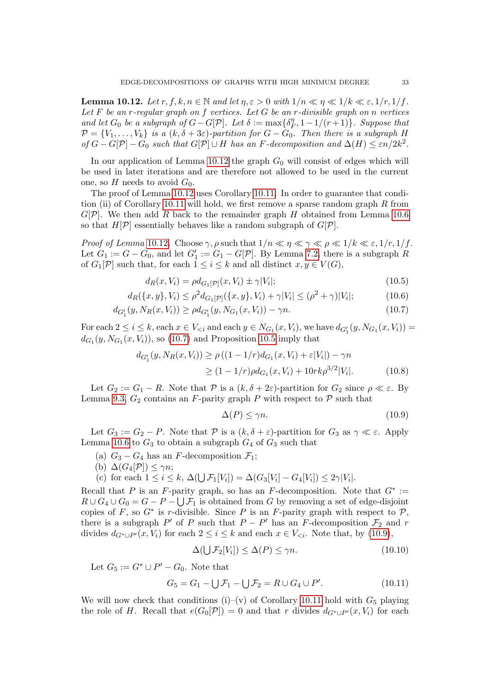<span id="page-32-0"></span>**Lemma 10.12.** Let  $r, f, k, n \in \mathbb{N}$  and let  $\eta, \varepsilon > 0$  with  $1/n \ll \eta \ll 1/k \ll \varepsilon, 1/r, 1/f$ . Let  $F$  be an r-regular graph on  $f$  vertices. Let  $G$  be an r-divisible graph on n vertices and let  $G_0$  be a subgraph of  $G - G[\mathcal{P}]$ . Let  $\delta := \max\{\delta_F^{\eta}, 1 - 1/(r+1)\}$ . Suppose that and let  $G_0$  be a subgraph of  $G - G[r]$ . Let  $\sigma := \max\{\sigma_F, 1 - 1/(r + 1)f\}$ . Suppose that<br> $\mathcal{P} = \{V_1, \ldots, V_k\}$  is a  $(k, \delta + 3\varepsilon)$ -partition for  $G - G_0$ . Then there is a subgraph H of  $G - G[\mathcal{P}] - G_0$  such that  $G[\mathcal{P}] \cup H$  has an F-decomposition and  $\Delta(H) \leq \varepsilon n/2k^2$ .

In our application of Lemma [10.12](#page-32-0) the graph  $G_0$  will consist of edges which will be used in later iterations and are therefore not allowed to be used in the current one, so  $H$  needs to avoid  $G_0$ .

The proof of Lemma [10.12](#page-32-0) uses Corollary [10.11.](#page-31-2) In order to guarantee that condi-tion (ii) of Corollary [10.11](#page-31-2) will hold, we first remove a sparse random graph  $R$  from  $G[\mathcal{P}]$ . We then add R back to the remainder graph H obtained from Lemma [10.6](#page-27-0) so that  $H[\mathcal{P}]$  essentially behaves like a random subgraph of  $G[\mathcal{P}]$ .

*Proof of Lemma* [10](#page-32-0).12. Choose  $\gamma$ ,  $\rho$  such that  $1/n \ll \eta \ll \gamma \ll \rho \ll 1/k \ll \varepsilon$ ,  $1/r$ ,  $1/f$ . Let  $G_1 := G - G_0$ , and let  $G'_1 := G_1 - G[\mathcal{P}]$ . By Lemma [7.2,](#page-12-3) there is a subgraph R of  $G_1[\mathcal{P}]$  such that, for each  $1 \leq i \leq k$  and all distinct  $x, y \in V(G)$ ,

$$
d_R(x, V_i) = \rho d_{G_1[\mathcal{P}]}(x, V_i) \pm \gamma |V_i|; \qquad (10.5)
$$

$$
d_R(\{x,y\}, V_i) \le \rho^2 d_{G_1[\mathcal{P}]}(\{x,y\}, V_i) + \gamma |V_i| \le (\rho^2 + \gamma)|V_i|; \tag{10.6}
$$

$$
d_{G_1'}(y, N_R(x, V_i)) \ge \rho d_{G_1'}(y, N_{G_1}(x, V_i)) - \gamma n. \tag{10.7}
$$

For each  $2 \leq i \leq k$ , each  $x \in V_{\leq i}$  and each  $y \in N_{G_1}(x, V_i)$ , we have  $d_{G'_1}(y, N_{G_1}(x, V_i)) =$  $d_{G_1}(y, N_{G_1}(x, V_i))$ , so [\(10.7\)](#page-32-1) and Proposition [10.5](#page-27-1) imply that

$$
d_{G_1'}(y, N_R(x, V_i)) \ge \rho \left( (1 - 1/r) d_{G_1}(x, V_i) + \varepsilon |V_i| \right) - \gamma n
$$
  
 
$$
\ge (1 - 1/r) \rho d_{G_1}(x, V_i) + 10 r k \rho^{3/2} |V_i|. \tag{10.8}
$$

Let  $G_2 := G_1 - R$ . Note that  $P$  is a  $(k, \delta + 2\varepsilon)$ -partition for  $G_2$  since  $\rho \ll \varepsilon$ . By Lemma [9.3,](#page-24-1)  $G_2$  contains an F-parity graph P with respect to P such that

<span id="page-32-7"></span><span id="page-32-5"></span><span id="page-32-4"></span><span id="page-32-2"></span><span id="page-32-1"></span>
$$
\Delta(P) \le \gamma n. \tag{10.9}
$$

Let  $G_3 := G_2 - P$ . Note that  $P$  is a  $(k, \delta + \varepsilon)$ -partition for  $G_3$  as  $\gamma \ll \varepsilon$ . Apply Lemma [10.6](#page-27-0) to  $G_3$  to obtain a subgraph  $G_4$  of  $G_3$  such that

- (a)  $G_3 G_4$  has an F-decomposition  $\mathcal{F}_1$ ;
- (b)  $\Delta(G_4[\mathcal{P}]) \leq \gamma n;$
- (c) for each  $1 \le i \le k$ ,  $\Delta(\bigcup \mathcal{F}_1[V_i]) = \Delta(G_3[V_i] G_4[V_i]) \le 2\gamma|V_i|$ .

Recall that P is an F-parity graph, so has an F-decomposition. Note that  $G^* :=$  $R \cup G_4 \cup G_0 = G - P - \bigcup \mathcal{F}_1$  is obtained from G by removing a set of edge-disjoint copies of F, so  $G^*$  is r-divisible. Since P is an F-parity graph with respect to P, there is a subgraph  $P'$  of P such that  $P - P'$  has an F-decomposition  $\mathcal{F}_2$  and r divides  $d_{G^*\cup P'}(x, V_i)$  for each  $2 \leq i \leq k$  and each  $x \in V_{\leq i}$ . Note that, by [\(10.9\)](#page-32-2),

<span id="page-32-6"></span><span id="page-32-3"></span>
$$
\Delta(\bigcup \mathcal{F}_2[V_i]) \le \Delta(P) \le \gamma n. \tag{10.10}
$$

Let  $G_5 := G^* \cup P' - G_0$ . Note that

$$
G_5 = G_1 - \bigcup \mathcal{F}_1 - \bigcup \mathcal{F}_2 = R \cup G_4 \cup P'. \tag{10.11}
$$

We will now check that conditions (i)–(v) of Corollary [10.11](#page-31-2) hold with  $G_5$  playing the role of H. Recall that  $e(G_0[\mathcal{P}]) = 0$  and that r divides  $d_{G^*\cup P'}(x, V_i)$  for each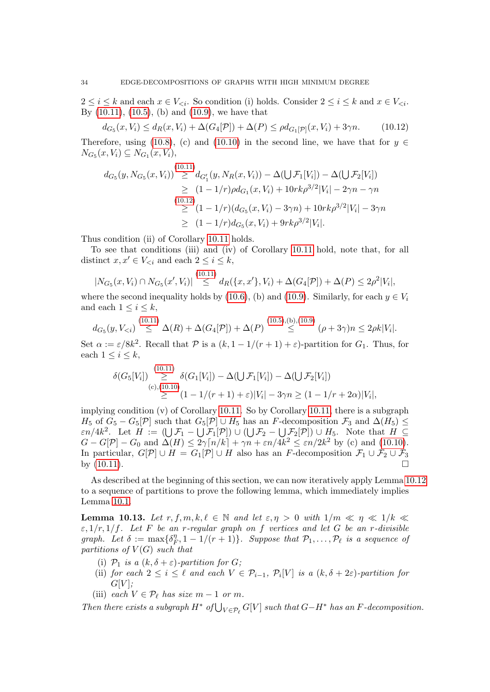$2 \leq i \leq k$  and each  $x \in V_{\leq i}$ . So condition (i) holds. Consider  $2 \leq i \leq k$  and  $x \in V_{\leq i}$ . By [\(10.11\)](#page-32-3), [\(10.5\)](#page-32-4), (b) and [\(10.9\)](#page-32-2), we have that

<span id="page-33-0"></span>
$$
d_{G_5}(x, V_i) \le d_R(x, V_i) + \Delta(G_4[\mathcal{P}]) + \Delta(P) \le \rho d_{G_1[\mathcal{P}]}(x, V_i) + 3\gamma n. \tag{10.12}
$$

Therefore, using [\(10.8\)](#page-32-5), (c) and [\(10.10\)](#page-32-6) in the second line, we have that for  $y \in \mathbb{R}$  $N_{G_5}(x, V_i) \subseteq N_{G_1}(x, V_i),$ 

$$
d_{G_5}(y, N_{G_5}(x, V_i)) \stackrel{(10.11)}{\geq} d_{G'_1}(y, N_R(x, V_i)) - \Delta(\bigcup \mathcal{F}_1[V_i]) - \Delta(\bigcup \mathcal{F}_2[V_i])
$$
  
\n
$$
\geq (1 - 1/r)\rho d_{G_1}(x, V_i) + 10rk\rho^{3/2}|V_i| - 2\gamma n - \gamma n
$$
  
\n
$$
\geq (1 - 1/r)(d_{G_5}(x, V_i) - 3\gamma n) + 10rk\rho^{3/2}|V_i| - 3\gamma n
$$
  
\n
$$
\geq (1 - 1/r)d_{G_5}(x, V_i) + 9rk\rho^{3/2}|V_i|.
$$

Thus condition (ii) of Corollary [10.11](#page-31-2) holds.

To see that conditions (iii) and (iv) of Corollary [10.11](#page-31-2) hold, note that, for all distinct  $x, x' \in V_{\leq i}$  and each  $2 \leq i \leq k$ ,

$$
|N_{G_5}(x,V_i)\cap N_{G_5}(x',V_i)|\stackrel{(10.11)}{\leq} d_R(\lbrace x,x'\rbrace,V_i)+\Delta(G_4[\mathcal{P}])+\Delta(P)\leq 2\rho^2|V_i|,
$$

where the second inequality holds by [\(10.6\)](#page-32-7), (b) and [\(10.9\)](#page-32-2). Similarly, for each  $y \in V_i$ and each  $1 \leq i \leq k$ ,

$$
d_{G_5}(y, V_{< i}) \stackrel{(10.11)}{\leq} \Delta(R) + \Delta(G_4[\mathcal{P}]) + \Delta(P) \stackrel{(10.5),(b),(10.9)}{\leq} (\rho + 3\gamma)n \leq 2\rho k|V_i|.
$$

Set  $\alpha := \varepsilon/8k^2$ . Recall that  $\mathcal P$  is a  $(k, 1 - 1/(r + 1) + \varepsilon)$ -partition for  $G_1$ . Thus, for each  $1 \leq i \leq k$ ,

$$
\delta(G_5[V_i]) \geq \delta(G_1[V_i]) - \Delta(\bigcup \mathcal{F}_1[V_i]) - \Delta(\bigcup \mathcal{F}_2[V_i])
$$
  
(c),(10.10)  

$$
\geq (1 - 1/(r + 1) + \varepsilon)|V_i| - 3\gamma n \geq (1 - 1/r + 2\alpha)|V_i|,
$$

implying condition  $(v)$  of Corollary [10.11.](#page-31-2) So by Corollary [10.11,](#page-31-2) there is a subgraph  $H_5$  of  $G_5 - G_5[\mathcal{P}]$  such that  $G_5[\mathcal{P}] \cup H_5$  has an F-decomposition  $\mathcal{F}_3$  and  $\Delta(H_5) \leq$  $\varepsilon n/4k^2$ . Let  $H := (\bigcup \mathcal{F}_1 - \bigcup \mathcal{F}_1[\mathcal{P}]) \cup (\bigcup \mathcal{F}_2 - \bigcup \mathcal{F}_2[\mathcal{P}]) \cup H_5$ . Note that  $H \subseteq$  $G - G[\mathcal{P}] - G_0$  and  $\Delta(H) \leq 2\gamma \lceil n/k \rceil + \gamma n + \varepsilon n/4k^2 \leq \varepsilon n/2k^2$  by (c) and [\(10.10\)](#page-32-6). In particular,  $G[\mathcal{P}] \cup H = G_1[\mathcal{P}] \cup H$  also has an F-decomposition  $\mathcal{F}_1 \cup \mathcal{F}_2 \cup \mathcal{F}_3$ by  $(10.11)$ .

As described at the beginning of this section, we can now iteratively apply Lemma [10.12](#page-32-0) to a sequence of partitions to prove the following lemma, which immediately implies Lemma [10.1.](#page-25-1)

**Lemma 10.13.** Let  $r, f, m, k, \ell \in \mathbb{N}$  and let  $\varepsilon, \eta > 0$  with  $1/m \ll \eta \ll 1/k \ll$  $\varepsilon$ ,  $1/r$ ,  $1/f$ . Let F be an r-regular graph on f vertices and let G be an r-divisible graph. Let  $\delta := \max\{\delta_{\mu}^{\eta}$  $\mathcal{F}_F$ ,  $1 - 1/(r + 1)$ . Suppose that  $\mathcal{P}_1, \ldots, \mathcal{P}_\ell$  is a sequence of partitions of  $V(G)$  such that

- (i)  $\mathcal{P}_1$  is a  $(k, \delta + \varepsilon)$ -partition for G;
- (ii) for each  $2 \leq i \leq \ell$  and each  $V \in \mathcal{P}_{i-1}$ ,  $\mathcal{P}_i[V]$  is a  $(k, \delta + 2\varepsilon)$ -partition for  $G[V]$ :
- (iii) each  $V \in \mathcal{P}_{\ell}$  has size  $m 1$  or m.

Then there exists a subgraph  $H^*$  of  $\bigcup_{V \in \mathcal{P}_\ell} G[V]$  such that  $G-H^*$  has an F-decomposition.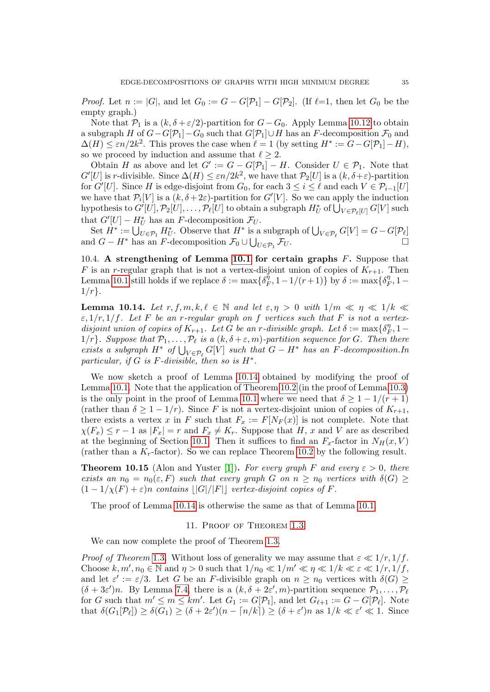*Proof.* Let  $n := |G|$ , and let  $G_0 := G - G[\mathcal{P}_1] - G[\mathcal{P}_2]$ . (If  $\ell =1$ , then let  $G_0$  be the empty graph.)

Note that  $P_1$  is a  $(k, \delta + \varepsilon/2)$ -partition for  $G - G_0$ . Apply Lemma [10.12](#page-32-0) to obtain a subgraph H of  $G-G[\mathcal{P}_1]-G_0$  such that  $G[\mathcal{P}_1]\cup H$  has an F-decomposition  $\mathcal{F}_0$  and  $\Delta(H) \leq \varepsilon n/2k^2$ . This proves the case when  $\ell = 1$  (by setting  $H^* := G - G[\mathcal{P}_1] - H$ ), so we proceed by induction and assume that  $\ell \geq 2$ .

Obtain H as above and let  $G' := G - G[\mathcal{P}_1] - H$ . Consider  $U \in \mathcal{P}_1$ . Note that  $G'[U]$  is r-divisible. Since  $\Delta(H) \leq \varepsilon n/2k^2$ , we have that  $\mathcal{P}_2[U]$  is a  $(k, \delta + \varepsilon)$ -partition for  $G'[U]$ . Since H is edge-disjoint from  $G_0$ , for each  $3 \leq i \leq \ell$  and each  $V \in \mathcal{P}_{i-1}[U]$ we have that  $\mathcal{P}_i[V]$  is a  $(k, \delta+2\varepsilon)$ -partition for  $G'[V]$ . So we can apply the induction hypothesis to  $G'[U], \mathcal{P}_2[U], \ldots, \mathcal{P}_\ell[U]$  to obtain a subgraph  $H_U^*$  of  $\bigcup_{V \in \mathcal{P}_\ell[U]} G[V]$  such that  $G'[U] - H_U^*$  has an F-decomposition  $\mathcal{F}_U$ .

Set  $H^* := \bigcup_{U \in \mathcal{P}_1}^{\check{}} H^*_{U}$ . Observe that  $H^*$  is a subgraph of  $\bigcup_{V \in \mathcal{P}_\ell} G[V] = G - G[\mathcal{P}_\ell]$ and  $G - H^*$  has an F-decomposition  $\mathcal{F}_0 \cup \bigcup_{U \in \mathcal{P}_1}$  $\mathcal{F}_U$ .

10.4. A strengthening of Lemma [10.1](#page-25-1) for certain graphs F. Suppose that F is an r-regular graph that is not a vertex-disjoint union of copies of  $K_{r+1}$ . Then Lemma [10.1](#page-25-1) still holds if we replace  $\delta := \max\{\delta_R^{\eta}$  $\overline{r}_F^{\eta}$ , 1 – 1/(r+1)} by  $\delta := \max\{\delta_I^{\eta}$  $T_F^{\eta}, 1 1/r$ .

<span id="page-34-1"></span>**Lemma 10.14.** Let  $r, f, m, k, \ell \in \mathbb{N}$  and let  $\varepsilon, \eta > 0$  with  $1/m \ll \eta \ll 1/k \ll$  $\varepsilon$ ,  $1/r$ ,  $1/f$ . Let F be an r-regular graph on f vertices such that F is not a vertexdisjoint union of copies of  $K_{r+1}$ . Let G be an r-divisible graph. Let  $\delta := \max\{\delta_I^{\eta}$  $T_F^{\eta}, 1 1/r$ . Suppose that  $\mathcal{P}_1, \ldots, \mathcal{P}_\ell$  is a  $(k, \delta + \varepsilon, m)$ -partition sequence for G. Then there exists a subgraph  $H^*$  of  $\bigcup_{V \in \mathcal{P}_\ell} G[V]$  such that  $G - H^*$  has an F-decomposition.In particular, if G is F-divisible, then so is  $H^*$ .

We now sketch a proof of Lemma [10.14](#page-34-1) obtained by modifying the proof of Lemma [10.1.](#page-25-1) Note that the application of Theorem [10.2](#page-26-4) (in the proof of Lemma [10.3\)](#page-26-5) is the only point in the proof of Lemma [10.1](#page-25-1) where we need that  $\delta \geq 1 - 1/(r+1)$ (rather than  $\delta \geq 1 - 1/r$ ). Since F is not a vertex-disjoint union of copies of  $K_{r+1}$ , there exists a vertex x in F such that  $F_x := F[N_F(x)]$  is not complete. Note that  $\chi(F_x) \leq r-1$  as  $|F_x| = r$  and  $F_x \neq K_r$ . Suppose that H, x and V are as described at the beginning of Section [10.1.](#page-26-0) Then it suffices to find an  $F_x$ -factor in  $N_H(x, V)$ (rather than a  $K_r$ -factor). So we can replace Theorem [10.2](#page-26-4) by the following result.

<span id="page-34-2"></span>**Theorem 10.15** (Alon and Yuster [\[1\]](#page-38-6)). For every graph F and every  $\varepsilon > 0$ , there exists an  $n_0 = n_0(\varepsilon, F)$  such that every graph G on  $n \geq n_0$  vertices with  $\delta(G) \geq$  $(1 - 1/\chi(F) + \varepsilon)n$  contains  $||G||/|F||$  vertex-disjoint copies of F.

<span id="page-34-0"></span>The proof of Lemma [10.14](#page-34-1) is otherwise the same as that of Lemma [10.1.](#page-25-1)

## 11. Proof of Theorem [1.3](#page-2-0)

We can now complete the proof of Theorem [1.3.](#page-2-0)

*Proof of Theorem* [1](#page-2-0).3. Without loss of generality we may assume that  $\varepsilon \ll 1/r$ ,  $1/f$ . Choose  $k, m', n_0 \in \mathbb{N}$  and  $\eta > 0$  such that  $1/n_0 \ll 1/m' \ll \eta \ll 1/k \ll \varepsilon \ll 1/r, 1/f$ , and let  $\varepsilon' := \varepsilon/3$ . Let G be an F-divisible graph on  $n \geq n_0$  vertices with  $\delta(G) \geq$  $(\delta + 3\varepsilon')n$ . By Lemma [7.4,](#page-13-2) there is a  $(k, \delta + 2\varepsilon', m)$ -partition sequence  $\mathcal{P}_1, \ldots, \mathcal{P}_\ell$ for G such that  $m' \le m \le km'$ . Let  $G_1 := G[\mathcal{P}_1]$ , and let  $G_{\ell+1} := G - G[\mathcal{P}_\ell]$ . Note that  $\delta(G_1[\mathcal{P}_\ell]) \geq \delta(G_1) \geq (\delta + 2\varepsilon')(n - \lceil n/k \rceil) \geq (\delta + \varepsilon')n$  as  $1/k \ll \varepsilon' \ll 1$ . Since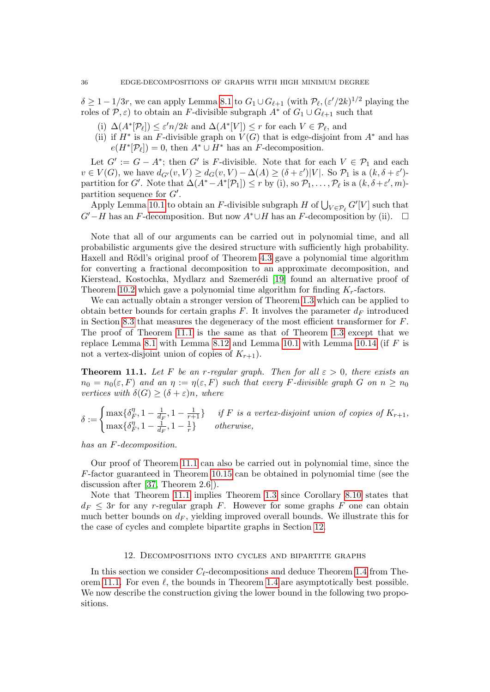$\delta \geq 1 - 1/3r$ , we can apply Lemma [8.1](#page-14-0) to  $G_1 \cup G_{\ell+1}$  (with  $\mathcal{P}_{\ell}, (\varepsilon'/2k)^{1/2}$  playing the roles of P,  $\varepsilon$ ) to obtain an F-divisible subgraph  $A^*$  of  $G_1 \cup G_{\ell+1}$  such that

- (i)  $\Delta(A^*[\mathcal{P}_\ell]) \leq \varepsilon' n/2k$  and  $\Delta(A^*[V]) \leq r$  for each  $V \in \mathcal{P}_\ell$ , and
- (ii) if  $H^*$  is an F-divisible graph on  $V(G)$  that is edge-disjoint from  $A^*$  and has  $e(H^*[\mathcal{P}_\ell]) = 0$ , then  $A^* \cup H^*$  has an F-decomposition.

Let  $G' := G - A^*$ ; then G' is F-divisible. Note that for each  $V \in \mathcal{P}_1$  and each  $v \in V(G)$ , we have  $d_{G'}(v, V) \geq d_G(v, V) - \Delta(A) \geq (\delta + \varepsilon')|V|$ . So  $\mathcal{P}_1$  is a  $(k, \delta + \varepsilon')$ partition for G'. Note that  $\Delta(A^* - A^*[\mathcal{P}_1]) \leq r$  by (i), so  $\mathcal{P}_1, \ldots, \mathcal{P}_\ell$  is a  $(k, \delta + \varepsilon', m)$ partition sequence for  $G'$ .

Apply Lemma [10.1](#page-25-1) to obtain an F-divisible subgraph H of  $\bigcup_{V \in \mathcal{P}_\ell} G'[V]$  such that  $G'-H$  has an F-decomposition. But now  $A^* \cup H$  has an F-decomposition by (ii).  $\Box$ 

Note that all of our arguments can be carried out in polynomial time, and all probabilistic arguments give the desired structure with sufficiently high probability. Haxell and Rödl's original proof of Theorem [4.3](#page-7-2) gave a polynomial time algorithm for converting a fractional decomposition to an approximate decomposition, and Kierstead, Kostochka, Mydlarz and Szemerédi [\[19\]](#page-39-23) found an alternative proof of Theorem [10.2](#page-26-4) which gave a polynomial time algorithm for finding  $K_r$ -factors.

We can actually obtain a stronger version of Theorem 1.[3](#page-2-0) which can be applied to obtain better bounds for certain graphs  $F$ . It involves the parameter  $d_F$  introduced in Section [8.3](#page-22-2) that measures the degeneracy of the most efficient transformer for  $F$ . The proof of Theorem [11.1](#page-35-1) is the same as that of Theorem [1.3](#page-2-0) except that we replace Lemma [8.1](#page-14-0) with Lemma [8.12](#page-22-3) and Lemma [10.1](#page-25-1) with Lemma [10.14](#page-34-1) (if  $F$  is not a vertex-disjoint union of copies of  $K_{r+1}$ ).

<span id="page-35-1"></span>**Theorem 11.1.** Let F be an r-regular graph. Then for all  $\varepsilon > 0$ , there exists an  $n_0 = n_0(\varepsilon, F)$  and an  $\eta := \eta(\varepsilon, F)$  such that every F-divisible graph G on  $n > n_0$ vertices with  $\delta(G) \geq (\delta + \varepsilon)n$ , where

$$
\delta := \begin{cases} \max\{\delta_F^{\eta}, 1 - \frac{1}{d_F}, 1 - \frac{1}{r+1}\} & \text{if } F \text{ is a vertex-disjoint union of copies of } K_{r+1}, \\ \max\{\delta_F^{\eta}, 1 - \frac{1}{d_F}, 1 - \frac{1}{r}\} & \text{otherwise,} \end{cases}
$$

has an F-decomposition.

Our proof of Theorem [11.1](#page-35-1) can also be carried out in polynomial time, since the F-factor guaranteed in Theorem [10.15](#page-34-2) can be obtained in polynomial time (see the discussion after [\[37,](#page-40-1) Theorem 2.6]).

Note that Theorem [11.1](#page-35-1) implies Theorem [1.3](#page-2-0) since Corollary [8.10](#page-22-4) states that  $d_F \leq 3r$  for any r-regular graph F. However for some graphs F one can obtain much better bounds on  $d_F$ , yielding improved overall bounds. We illustrate this for the case of cycles and complete bipartite graphs in Section [12.](#page-35-0)

#### 12. Decompositions into cycles and bipartite graphs

<span id="page-35-0"></span>In this section we consider  $C_{\ell}$ -decompositions and deduce Theorem [1.4](#page-3-1) from The-orem [11.1.](#page-35-1) For even  $\ell$ , the bounds in Theorem [1.4](#page-3-1) are asymptotically best possible. We now describe the construction giving the lower bound in the following two propositions.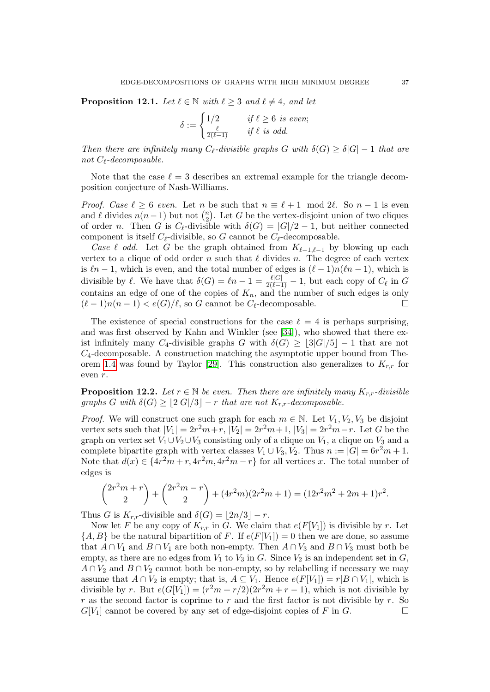<span id="page-36-0"></span>**Proposition 12.1.** Let  $\ell \in \mathbb{N}$  with  $\ell \geq 3$  and  $\ell \neq 4$ , and let

$$
\delta := \begin{cases} 1/2 & \text{if } \ell \ge 6 \text{ is even;} \\ \frac{\ell}{2(\ell-1)} & \text{if } \ell \text{ is odd.} \end{cases}
$$

Then there are infinitely many  $C_{\ell}$ -divisible graphs G with  $\delta(G) > \delta |G| - 1$  that are not  $C_{\ell}$ -decomposable.

Note that the case  $\ell = 3$  describes an extremal example for the triangle decomposition conjecture of Nash-Williams.

*Proof.* Case  $\ell > 6$  even. Let n be such that  $n \equiv \ell + 1 \mod 2\ell$ . So  $n - 1$  is even and  $\ell$  divides  $n(n-1)$  but not  $\binom{n}{2}$  $n \choose 2$ . Let G be the vertex-disjoint union of two cliques of order n. Then G is  $C_{\ell}$ -divisible with  $\delta(G) = |G|/2 - 1$ , but neither connected component is itself  $C_{\ell}$ -divisible, so G cannot be  $C_{\ell}$ -decomposable.

Case  $\ell$  odd. Let G be the graph obtained from  $K_{\ell-1,\ell-1}$  by blowing up each vertex to a clique of odd order n such that  $\ell$  divides n. The degree of each vertex is  $\ell n - 1$ , which is even, and the total number of edges is  $(\ell - 1)n(\ell n - 1)$ , which is divisible by  $\ell$ . We have that  $\delta(G) = \ell n - 1 = \frac{\ell |G|}{2(\ell-1)} - 1$ , but each copy of  $C_{\ell}$  in G contains an edge of one of the copies of  $K_n$ , and the number of such edges is only  $(\ell - 1)n(n - 1) < e(G)/\ell$ , so G cannot be  $C_{\ell}$ -decomposable.

The existence of special constructions for the case  $\ell = 4$  is perhaps surprising, and was first observed by Kahn and Winkler (see [\[34\]](#page-39-7)), who showed that there exist infinitely many  $C_4$ -divisible graphs G with  $\delta(G) \geq |3|G|/5-1$  that are not  $C_4$ -decomposable. A construction matching the asymptotic upper bound from The-orem [1.4](#page-3-1) was found by Taylor [\[29\]](#page-39-24). This construction also generalizes to  $K_{r,r}$  for even r.

<span id="page-36-1"></span>**Proposition 12.2.** Let  $r \in \mathbb{N}$  be even. Then there are infinitely many  $K_{rr}$ -divisible graphs G with  $\delta(G) \geq |2|G|/3 - r$  that are not  $K_{r,r}$ -decomposable.

*Proof.* We will construct one such graph for each  $m \in \mathbb{N}$ . Let  $V_1, V_2, V_3$  be disjoint vertex sets such that  $|V_1| = 2r^2m + r$ ,  $|V_2| = 2r^2m + 1$ ,  $|V_3| = 2r^2m - r$ . Let G be the graph on vertex set  $V_1 \cup V_2 \cup V_3$  consisting only of a clique on  $V_1$ , a clique on  $V_3$  and a complete bipartite graph with vertex classes  $V_1 \cup V_3$ ,  $V_2$ . Thus  $n := |G| = 6r^2m + 1$ . Note that  $d(x) \in \{4r^2m + r, 4r^2m, 4r^2m - r\}$  for all vertices x. The total number of edges is

$$
{2r^2m+r \choose 2} + {2r^2m-r \choose 2} + (4r^2m)(2r^2m+1) = (12r^2m^2+2m+1)r^2.
$$

Thus G is  $K_{r,r}$ -divisible and  $\delta(G) = |2n/3| - r$ .

Now let F be any copy of  $K_{r,r}$  in G. We claim that  $e(F[V_1])$  is divisible by r. Let  ${A, B}$  be the natural bipartition of F. If  $e(F[V_1]) = 0$  then we are done, so assume that  $A \cap V_1$  and  $B \cap V_1$  are both non-empty. Then  $A \cap V_3$  and  $B \cap V_3$  must both be empty, as there are no edges from  $V_1$  to  $V_3$  in G. Since  $V_2$  is an independent set in G,  $A \cap V_2$  and  $B \cap V_2$  cannot both be non-empty, so by relabelling if necessary we may assume that  $A \cap V_2$  is empty; that is,  $A \subseteq V_1$ . Hence  $e(F[V_1]) = r|B \cap V_1|$ , which is divisible by r. But  $e(G[V_1]) = (r^2m + r/2)(2r^2m + r - 1)$ , which is not divisible by  $r$  as the second factor is coprime to  $r$  and the first factor is not divisible by  $r$ . So  $G[V_1]$  cannot be covered by any set of edge-disjoint copies of F in G.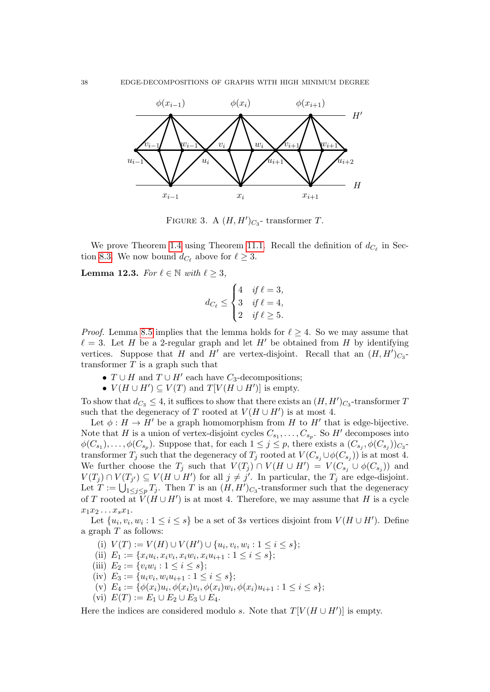

FIGURE 3. A  $(H, H')_{C_3}$ - transformer T.

We prove Theorem [1](#page-3-1).4 using Theorem [11.1.](#page-35-1) Recall the definition of  $d_{C_\ell}$  in Sec-tion [8.3.](#page-22-2) We now bound  $d_{C_{\ell}}$  above for  $\ell \geq 3$ .

<span id="page-37-0"></span>**Lemma 12.3.** For  $\ell \in \mathbb{N}$  with  $\ell \geq 3$ ,

$$
d_{C_{\ell}} \leq \begin{cases} 4 & \text{if } \ell = 3, \\ 3 & \text{if } \ell = 4, \\ 2 & \text{if } \ell \geq 5. \end{cases}
$$

*Proof.* Lemma [8.5](#page-16-1) implies that the lemma holds for  $\ell \geq 4$ . So we may assume that  $\ell = 3$ . Let H be a 2-regular graph and let H' be obtained from H by identifying vertices. Suppose that H and H' are vertex-disjoint. Recall that an  $(H, H')_{C_3}$ transformer  $T$  is a graph such that

- $T \cup H$  and  $T \cup H'$  each have  $C_3$ -decompositions;
- $V(H \cup H') \subseteq V(T)$  and  $T[V(H \cup H')]$  is empty.

To show that  $d_{C_3} \leq 4$ , it suffices to show that there exists an  $(H, H')_{C_3}$ -transformer T such that the degeneracy of T rooted at  $V(H \cup H')$  is at most 4.

Let  $\phi: H \to H'$  be a graph homomorphism from H to H<sup>t</sup> that is edge-bijective. Note that H is a union of vertex-disjoint cycles  $C_{s_1}, \ldots, C_{s_p}$ . So H' decomposes into  $\phi(C_{s_1}), \ldots, \phi(C_{s_p}).$  Suppose that, for each  $1 \leq j \leq p$ , there exists a  $(C_{s_j}, \phi(C_{s_j}))_{C_3}$ transformer  $T_j$  such that the degeneracy of  $T_j$  rooted at  $V(C_{s_j} \cup \phi(C_{s_j}))$  is at most 4. We further choose the  $T_j$  such that  $V(T_j) \cap V(H \cup H') = V(C_{s_j} \cup \phi(C_{s_j}))$  and  $V(T_j) \cap V(T_{j'}) \subseteq V(H \cup H')$  for all  $j \neq j'$ . In particular, the  $T_j$  are edge-disjoint. Let  $T := \bigcup_{1 \leq j \leq p} T_j$ . Then T is an  $(H, H')_{C_3}$ -transformer such that the degeneracy of T rooted at  $\overrightarrow{V}(H \cup H')$  is at most 4. Therefore, we may assume that H is a cycle  $x_1x_2 \ldots x_sx_1$ .

Let  $\{u_i, v_i, w_i : 1 \leq i \leq s\}$  be a set of 3s vertices disjoint from  $V(H \cup H')$ . Define a graph  $T$  as follows:

- (i)  $V(T) := V(H) \cup V(H') \cup \{u_i, v_i, w_i : 1 \leq i \leq s\};$
- (ii)  $E_1 := \{x_i u_i, x_i v_i, x_i w_i, x_i u_{i+1} : 1 \leq i \leq s\};$
- (iii)  $E_2 := \{v_i w_i : 1 \le i \le s\};$
- (iv)  $E_3 := \{u_i v_i, w_i u_{i+1} : 1 \leq i \leq s\};$
- (v)  $E_4 := \{ \phi(x_i)u_i, \phi(x_i)v_i, \phi(x_i)w_i, \phi(x_i)u_{i+1} : 1 \leq i \leq s \};$
- (vi)  $E(T) := E_1 \cup E_2 \cup E_3 \cup E_4$ .

Here the indices are considered modulo s. Note that  $T[V(H \cup H')]$  is empty.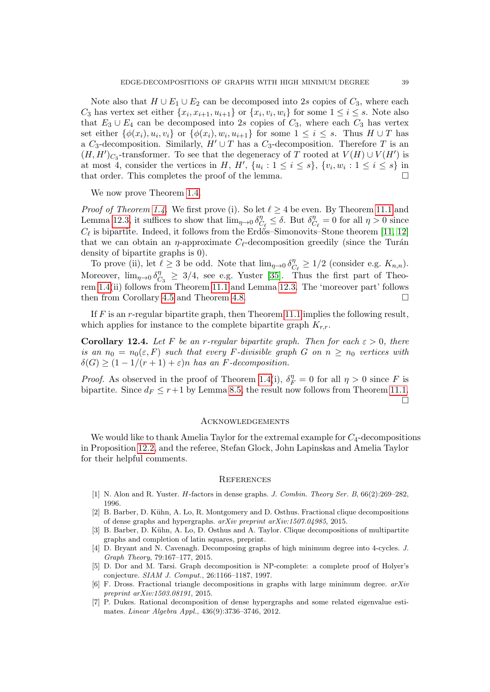Note also that  $H \cup E_1 \cup E_2$  can be decomposed into 2s copies of  $C_3$ , where each  $C_3$  has vertex set either  $\{x_i, x_{i+1}, u_{i+1}\}$  or  $\{x_i, v_i, w_i\}$  for some  $1 \le i \le s$ . Note also that  $E_3 \cup E_4$  can be decomposed into 2s copies of  $C_3$ , where each  $C_3$  has vertex set either  $\{\phi(x_i), u_i, v_i\}$  or  $\{\phi(x_i), w_i, u_{i+1}\}$  for some  $1 \leq i \leq s$ . Thus  $H \cup T$  has a C<sub>3</sub>-decomposition. Similarly,  $H' \cup T$  has a C<sub>3</sub>-decomposition. Therefore T is an  $(H, H')_{C_3}$ -transformer. To see that the degeneracy of T rooted at  $V(H) \cup V(H')$  is at most 4, consider the vertices in H, H',  $\{u_i: 1 \leq i \leq s\}$ ,  $\{v_i, w_i: 1 \leq i \leq s\}$  in that order. This completes the proof of the lemma.

We now prove Theorem [1.4.](#page-3-1)

*Proof of Theorem [1.4.](#page-3-1)* We first prove (i). So let  $\ell \geq 4$  be even. By Theorem [11.1](#page-35-1) and Lemma [12.3,](#page-37-0) it suffices to show that  $\lim_{\eta \to 0} \delta_0^{\eta}$  $C_{\ell}$   $\leq \delta$ . But  $\delta_{\mathcal{C}}^{\eta}$  $C_{\ell}^{\eta} = 0$  for all  $\eta > 0$  since  $C_{\ell}$  is bipartite. Indeed, it follows from the Erdős–Simonovits–Stone theorem [\[11,](#page-39-25) [12\]](#page-39-26) that we can obtain an  $\eta$ -approximate  $C_{\ell}$ -decomposition greedily (since the Turán density of bipartite graphs is 0).

To prove (ii), let  $\ell \geq 3$  be odd. Note that  $\lim_{\eta \to 0} \delta_{\zeta}^{\eta}$  $C_{\ell} \geq 1/2$  (consider e.g.  $K_{n,n}$ ). Moreover,  $\lim_{\eta \to 0} \delta_{\mathcal{C}}^{\eta}$  $\frac{\eta}{C_3} \geq 3/4$ , see e.g. Yuster [\[35\]](#page-40-4). Thus the first part of Theorem [1.4\(](#page-3-1)ii) follows from Theorem [11.1](#page-35-1) and Lemma [12.3.](#page-37-0) The 'moreover part' follows then from Corollary [4.5](#page-7-4) and Theorem [4.8.](#page-7-5)

If  $F$  is an  $r$ -regular bipartite graph, then Theorem [11.1](#page-35-1) implies the following result, which applies for instance to the complete bipartite graph  $K_{r,r}$ .

**Corollary 12.4.** Let F be an r-regular bipartite graph. Then for each  $\varepsilon > 0$ , there is an  $n_0 = n_0(\varepsilon, F)$  such that every F-divisible graph G on  $n \geq n_0$  vertices with  $\delta(G) \geq (1 - 1/(r + 1) + \varepsilon)n$  has an F-decomposition.

*Proof.* As observed in the proof of Theorem [1.4\(](#page-3-1)i),  $\delta_F^{\eta} = 0$  for all  $\eta > 0$  since F is bipartite. Since  $d_F \leq r+1$  by Lemma [8.5,](#page-16-1) the result now follows from Theorem [11.1.](#page-35-1)  $\Box$ 

#### **ACKNOWLEDGEMENTS**

We would like to thank Amelia Taylor for the extremal example for  $C_4$ -decompositions in Proposition [12.2,](#page-36-1) and the referee, Stefan Glock, John Lapinskas and Amelia Taylor for their helpful comments.

#### **REFERENCES**

- <span id="page-38-6"></span>[1] N. Alon and R. Yuster. H-factors in dense graphs. J. Combin. Theory Ser. B, 66(2):269-282, 1996.
- <span id="page-38-2"></span>[2] B. Barber, D. Kühn, A. Lo, R. Montgomery and D. Osthus. Fractional clique decompositions of dense graphs and hypergraphs. arXiv preprint arXiv:1507.04985, 2015.
- <span id="page-38-4"></span>[3] B. Barber, D. Kühn, A. Lo, D. Osthus and A. Taylor. Clique decompositions of multipartite graphs and completion of latin squares, preprint.
- <span id="page-38-3"></span>[4] D. Bryant and N. Cavenagh. Decomposing graphs of high minimum degree into 4-cycles. J. Graph Theory, 79:167–177, 2015.
- <span id="page-38-0"></span>[5] D. Dor and M. Tarsi. Graph decomposition is NP-complete: a complete proof of Holyer's conjecture. SIAM J. Comput., 26:1166–1187, 1997.
- <span id="page-38-5"></span>[6] F. Dross. Fractional triangle decompositions in graphs with large minimum degree.  $arXiv$ preprint arXiv:1503.08191, 2015.
- <span id="page-38-1"></span>[7] P. Dukes. Rational decomposition of dense hypergraphs and some related eigenvalue estimates. Linear Algebra Appl., 436(9):3736–3746, 2012.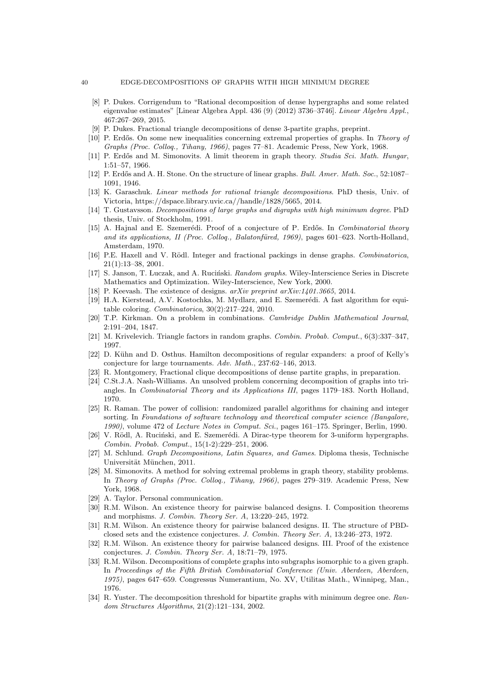#### 40 EDGE-DECOMPOSITIONS OF GRAPHS WITH HIGH MINIMUM DEGREE

- <span id="page-39-9"></span>[8] P. Dukes. Corrigendum to "Rational decomposition of dense hypergraphs and some related eigenvalue estimates" [Linear Algebra Appl. 436 (9) (2012) 3736–3746]. Linear Algebra Appl., 467:267–269, 2015.
- <span id="page-39-11"></span>[9] P. Dukes. Fractional triangle decompositions of dense 3-partite graphs, preprint.
- <span id="page-39-19"></span>[10] P. Erdős. On some new inequalities concerning extremal properties of graphs. In Theory of Graphs (Proc. Colloq., Tihany, 1966), pages 77–81. Academic Press, New York, 1968.
- <span id="page-39-25"></span>[11] P. Erdős and M. Simonovits. A limit theorem in graph theory. Studia Sci. Math. Hungar, 1:51–57, 1966.
- <span id="page-39-26"></span>[12] P. Erdős and A. H. Stone. On the structure of linear graphs. Bull. Amer. Math. Soc., 52:1087– 1091, 1946.
- <span id="page-39-17"></span>[13] K. Garaschuk. *Linear methods for rational triangle decompositions*. PhD thesis, Univ. of Victoria, https://dspace.library.uvic.ca//handle/1828/5665, 2014.
- <span id="page-39-5"></span>[14] T. Gustavsson. Decompositions of large graphs and digraphs with high minimum degree. PhD thesis, Univ. of Stockholm, 1991.
- <span id="page-39-21"></span>[15] A. Hajnal and E. Szemerédi. Proof of a conjecture of P. Erdős. In *Combinatorial theory* and its applications, II (Proc. Colloq., Balatonfüred, 1969), pages 601–623. North-Holland, Amsterdam, 1970.
- <span id="page-39-10"></span>[16] P.E. Haxell and V. Rödl. Integer and fractional packings in dense graphs. *Combinatorica*, 21(1):13–38, 2001.
- <span id="page-39-18"></span>[17] S. Janson, T. Łuczak, and A. Ruciński. Random graphs. Wiley-Interscience Series in Discrete Mathematics and Optimization. Wiley-Interscience, New York, 2000.
- <span id="page-39-6"></span>[18] P. Keevash. The existence of designs.  $arXiv$  preprint  $arXiv:1401.3665$ , 2014.
- <span id="page-39-23"></span>[19] H.A. Kierstead, A.V. Kostochka, M. Mydlarz, and E. Szemerédi. A fast algorithm for equitable coloring. Combinatorica, 30(2):217–224, 2010.
- <span id="page-39-0"></span>[20] T.P. Kirkman. On a problem in combinations. Cambridge Dublin Mathematical Journal, 2:191–204, 1847.
- <span id="page-39-14"></span>[21] M. Krivelevich. Triangle factors in random graphs. Combin. Probab. Comput., 6(3):337–347, 1997.
- <span id="page-39-16"></span>[22] D. Kühn and D. Osthus. Hamilton decompositions of regular expanders: a proof of Kelly's conjecture for large tournaments. Adv. Math., 237:62–146, 2013.
- <span id="page-39-12"></span>[23] R. Montgomery, Fractional clique decompositions of dense partite graphs, in preparation.
- <span id="page-39-8"></span>[24] C.St.J.A. Nash-Williams. An unsolved problem concerning decomposition of graphs into triangles. In Combinatorial Theory and its Applications III, pages 1179–183. North Holland, 1970.
- <span id="page-39-22"></span>[25] R. Raman. The power of collision: randomized parallel algorithms for chaining and integer sorting. In Foundations of software technology and theoretical computer science (Bangalore, 1990), volume 472 of Lecture Notes in Comput. Sci., pages 161–175. Springer, Berlin, 1990.
- <span id="page-39-15"></span>[26] V. Rödl, A. Ruciński, and E. Szemerédi. A Dirac-type theorem for 3-uniform hypergraphs. Combin. Probab. Comput., 15(1-2):229–251, 2006.
- <span id="page-39-13"></span>[27] M. Schlund. Graph Decompositions, Latin Squares, and Games. Diploma thesis, Technische Universität München, 2011.
- <span id="page-39-20"></span>[28] M. Simonovits. A method for solving extremal problems in graph theory, stability problems. In Theory of Graphs (Proc. Colloq., Tihany, 1966), pages 279–319. Academic Press, New York, 1968.
- <span id="page-39-24"></span>[29] A. Taylor. Personal communication.
- <span id="page-39-1"></span>[30] R.M. Wilson. An existence theory for pairwise balanced designs. I. Composition theorems and morphisms. J. Combin. Theory Ser. A, 13:220–245, 1972.
- <span id="page-39-2"></span>[31] R.M. Wilson. An existence theory for pairwise balanced designs. II. The structure of PBDclosed sets and the existence conjectures. J. Combin. Theory Ser. A, 13:246–273, 1972.
- <span id="page-39-3"></span>[32] R.M. Wilson. An existence theory for pairwise balanced designs. III. Proof of the existence conjectures. J. Combin. Theory Ser. A, 18:71–79, 1975.
- <span id="page-39-4"></span>[33] R.M. Wilson. Decompositions of complete graphs into subgraphs isomorphic to a given graph. In Proceedings of the Fifth British Combinatorial Conference (Univ. Aberdeen, Aberdeen, 1975), pages 647–659. Congressus Numerantium, No. XV, Utilitas Math., Winnipeg, Man., 1976.
- <span id="page-39-7"></span>[34] R. Yuster. The decomposition threshold for bipartite graphs with minimum degree one. Random Structures Algorithms, 21(2):121–134, 2002.